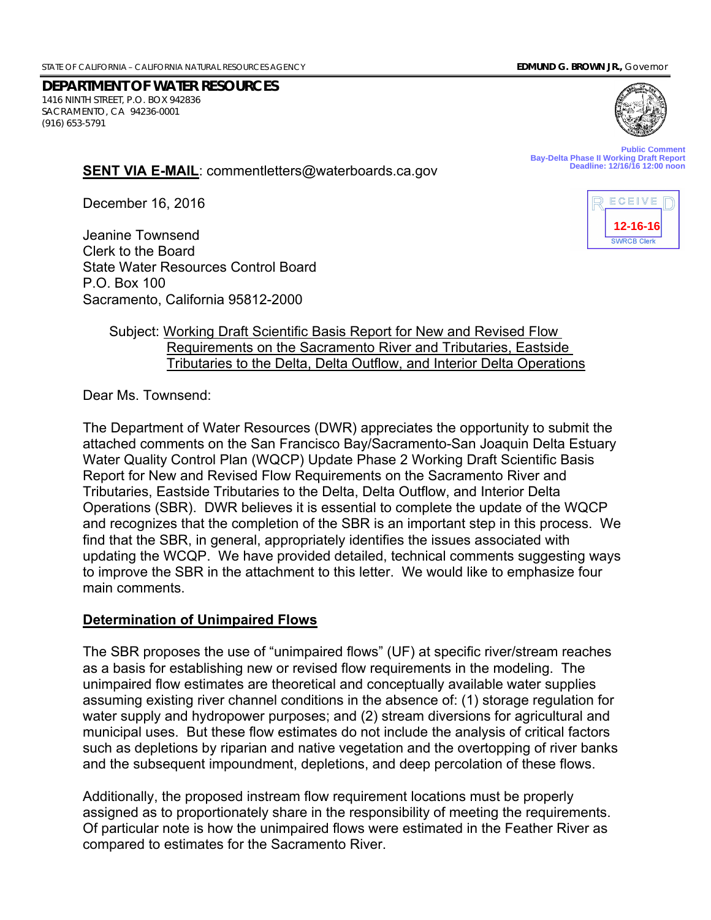**DEPARTMENT OF WATER RESOURCES** 1416 NINTH STREET, P.O. BOX 942836 SACRAMENTO, CA 94236-0001 (916) 653-5791



**Public Comment Bay-Delta Phase II Working Draft Report Deadline: 12/16/16 12:00 noon**

December 16, 2016

Jeanine Townsend Clerk to the Board State Water Resources Control Board P.O. Box 100 Sacramento, California 95812-2000

**SENT VIA E-MAIL**: commentletters@waterboards.ca.gov



## Subject: Working Draft Scientific Basis Report for New and Revised Flow Requirements on the Sacramento River and Tributaries, Eastside Tributaries to the Delta, Delta Outflow, and Interior Delta Operations

Dear Ms. Townsend:

The Department of Water Resources (DWR) appreciates the opportunity to submit the attached comments on the San Francisco Bay/Sacramento-San Joaquin Delta Estuary Water Quality Control Plan (WQCP) Update Phase 2 Working Draft Scientific Basis Report for New and Revised Flow Requirements on the Sacramento River and Tributaries, Eastside Tributaries to the Delta, Delta Outflow, and Interior Delta Operations (SBR). DWR believes it is essential to complete the update of the WQCP and recognizes that the completion of the SBR is an important step in this process. We find that the SBR, in general, appropriately identifies the issues associated with updating the WCQP. We have provided detailed, technical comments suggesting ways to improve the SBR in the attachment to this letter. We would like to emphasize four main comments.

#### **Determination of Unimpaired Flows**

The SBR proposes the use of "unimpaired flows" (UF) at specific river/stream reaches as a basis for establishing new or revised flow requirements in the modeling. The unimpaired flow estimates are theoretical and conceptually available water supplies assuming existing river channel conditions in the absence of: (1) storage regulation for water supply and hydropower purposes; and (2) stream diversions for agricultural and municipal uses. But these flow estimates do not include the analysis of critical factors such as depletions by riparian and native vegetation and the overtopping of river banks and the subsequent impoundment, depletions, and deep percolation of these flows.

Additionally, the proposed instream flow requirement locations must be properly assigned as to proportionately share in the responsibility of meeting the requirements. Of particular note is how the unimpaired flows were estimated in the Feather River as compared to estimates for the Sacramento River.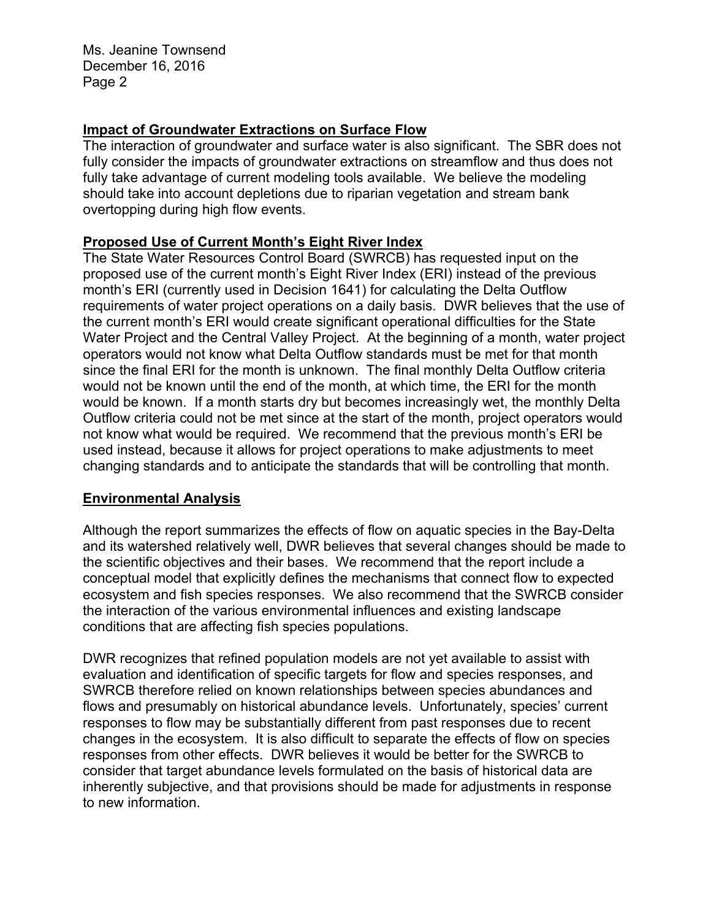Ms. Jeanine Townsend December 16, 2016 Page 2

# **Impact of Groundwater Extractions on Surface Flow**

The interaction of groundwater and surface water is also significant. The SBR does not fully consider the impacts of groundwater extractions on streamflow and thus does not fully take advantage of current modeling tools available. We believe the modeling should take into account depletions due to riparian vegetation and stream bank overtopping during high flow events.

## **Proposed Use of Current Month's Eight River Index**

The State Water Resources Control Board (SWRCB) has requested input on the proposed use of the current month's Eight River Index (ERI) instead of the previous month's ERI (currently used in Decision 1641) for calculating the Delta Outflow requirements of water project operations on a daily basis. DWR believes that the use of the current month's ERI would create significant operational difficulties for the State Water Project and the Central Valley Project. At the beginning of a month, water project operators would not know what Delta Outflow standards must be met for that month since the final ERI for the month is unknown. The final monthly Delta Outflow criteria would not be known until the end of the month, at which time, the ERI for the month would be known. If a month starts dry but becomes increasingly wet, the monthly Delta Outflow criteria could not be met since at the start of the month, project operators would not know what would be required. We recommend that the previous month's ERI be used instead, because it allows for project operations to make adjustments to meet changing standards and to anticipate the standards that will be controlling that month.

#### **Environmental Analysis**

Although the report summarizes the effects of flow on aquatic species in the Bay-Delta and its watershed relatively well, DWR believes that several changes should be made to the scientific objectives and their bases. We recommend that the report include a conceptual model that explicitly defines the mechanisms that connect flow to expected ecosystem and fish species responses. We also recommend that the SWRCB consider the interaction of the various environmental influences and existing landscape conditions that are affecting fish species populations.

DWR recognizes that refined population models are not yet available to assist with evaluation and identification of specific targets for flow and species responses, and SWRCB therefore relied on known relationships between species abundances and flows and presumably on historical abundance levels. Unfortunately, species' current responses to flow may be substantially different from past responses due to recent changes in the ecosystem. It is also difficult to separate the effects of flow on species responses from other effects. DWR believes it would be better for the SWRCB to consider that target abundance levels formulated on the basis of historical data are inherently subjective, and that provisions should be made for adjustments in response to new information.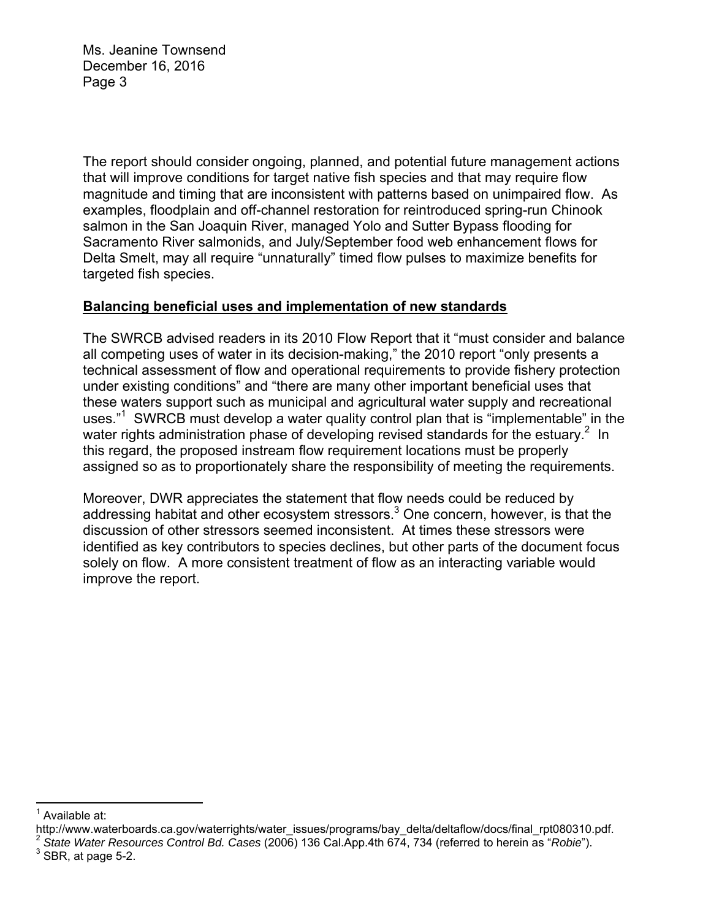Ms. Jeanine Townsend December 16, 2016 Page 3

The report should consider ongoing, planned, and potential future management actions that will improve conditions for target native fish species and that may require flow magnitude and timing that are inconsistent with patterns based on unimpaired flow. As examples, floodplain and off-channel restoration for reintroduced spring-run Chinook salmon in the San Joaquin River, managed Yolo and Sutter Bypass flooding for Sacramento River salmonids, and July/September food web enhancement flows for Delta Smelt, may all require "unnaturally" timed flow pulses to maximize benefits for targeted fish species.

# **Balancing beneficial uses and implementation of new standards**

The SWRCB advised readers in its 2010 Flow Report that it "must consider and balance all competing uses of water in its decision-making," the 2010 report "only presents a technical assessment of flow and operational requirements to provide fishery protection under existing conditions" and "there are many other important beneficial uses that these waters support such as municipal and agricultural water supply and recreational uses."<sup>1</sup> SWRCB must develop a water quality control plan that is "implementable" in the water rights administration phase of developing revised standards for the estuary.<sup>2</sup> In this regard, the proposed instream flow requirement locations must be properly assigned so as to proportionately share the responsibility of meeting the requirements.

Moreover, DWR appreciates the statement that flow needs could be reduced by addressing habitat and other ecosystem stressors.<sup>3</sup> One concern, however, is that the discussion of other stressors seemed inconsistent. At times these stressors were identified as key contributors to species declines, but other parts of the document focus solely on flow. A more consistent treatment of flow as an interacting variable would improve the report.

 1

<sup>&</sup>lt;sup>1</sup> Available at:<br>http://www.waterboards.ca.gov/waterrights/water\_issues/programs/bay\_delta/deltaflow/docs/final\_rpt080310.pdf.

 $2$  State Water Resources Control Bd. Cases (2006) 136 Cal. App. 4th 674, 734 (referred to herein as "Robie").

 $3$  SBR, at page 5-2.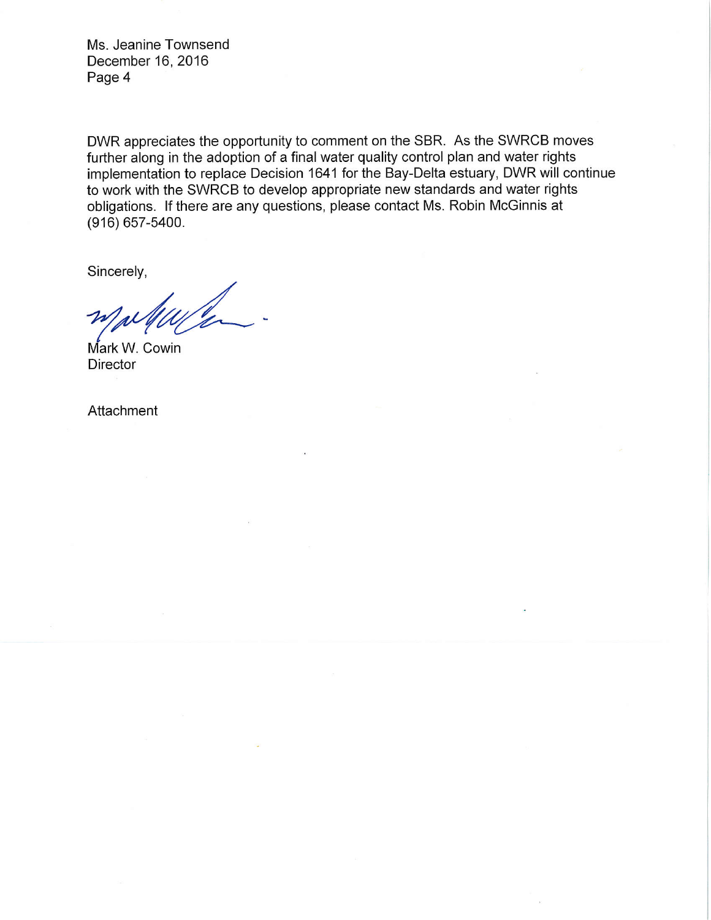Ms. Jeanine Townsend December 16, 2016 Page 4

DWR appreciates the opportunity to comment on the SBR. As the SWRCB moves further along in the adoption of a final water quality control plan and water rights implementation to replace Decision 1641 for the Bay-Delta estuary, DWR will continue to work with the SWRCB to develop appropriate new standards and water rights obligations. If there are any questions, please contact Ms. Robin McGinnis at  $(916) 657 - 5400.$ 

Sincerely,

Mark W. Cowin Director

Attachment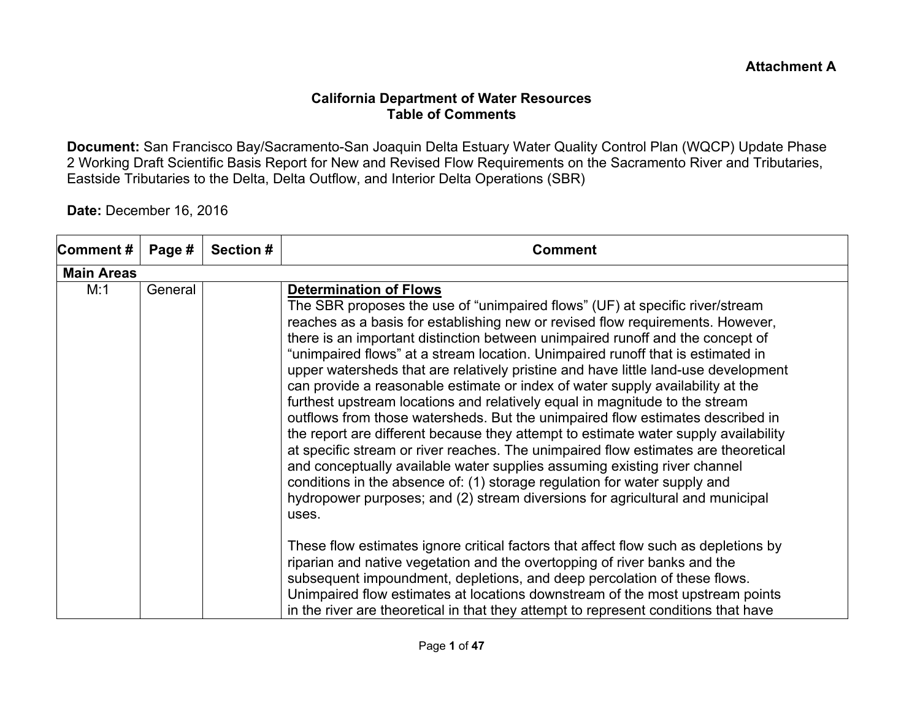### **California Department of Water Resources Table of Comments**

**Document:** San Francisco Bay/Sacramento-San Joaquin Delta Estuary Water Quality Control Plan (WQCP) Update Phase 2 Working Draft Scientific Basis Report for New and Revised Flow Requirements on the Sacramento River and Tributaries, Eastside Tributaries to the Delta, Delta Outflow, and Interior Delta Operations (SBR)

## **Date:** December 16, 2016

| Comment#          | Page #  | <b>Section #</b> | <b>Comment</b>                                                                                                                                                                                                                                                                                                                                                                                                                                                                                                                                                                                                                                                                                                                                                                                                                                                                                                                                                                                                                                                                                                                                 |
|-------------------|---------|------------------|------------------------------------------------------------------------------------------------------------------------------------------------------------------------------------------------------------------------------------------------------------------------------------------------------------------------------------------------------------------------------------------------------------------------------------------------------------------------------------------------------------------------------------------------------------------------------------------------------------------------------------------------------------------------------------------------------------------------------------------------------------------------------------------------------------------------------------------------------------------------------------------------------------------------------------------------------------------------------------------------------------------------------------------------------------------------------------------------------------------------------------------------|
| <b>Main Areas</b> |         |                  |                                                                                                                                                                                                                                                                                                                                                                                                                                                                                                                                                                                                                                                                                                                                                                                                                                                                                                                                                                                                                                                                                                                                                |
| M:1               | General |                  | <b>Determination of Flows</b><br>The SBR proposes the use of "unimpaired flows" (UF) at specific river/stream<br>reaches as a basis for establishing new or revised flow requirements. However,<br>there is an important distinction between unimpaired runoff and the concept of<br>"unimpaired flows" at a stream location. Unimpaired runoff that is estimated in<br>upper watersheds that are relatively pristine and have little land-use development<br>can provide a reasonable estimate or index of water supply availability at the<br>furthest upstream locations and relatively equal in magnitude to the stream<br>outflows from those watersheds. But the unimpaired flow estimates described in<br>the report are different because they attempt to estimate water supply availability<br>at specific stream or river reaches. The unimpaired flow estimates are theoretical<br>and conceptually available water supplies assuming existing river channel<br>conditions in the absence of: (1) storage regulation for water supply and<br>hydropower purposes; and (2) stream diversions for agricultural and municipal<br>uses. |
|                   |         |                  | These flow estimates ignore critical factors that affect flow such as depletions by<br>riparian and native vegetation and the overtopping of river banks and the<br>subsequent impoundment, depletions, and deep percolation of these flows.<br>Unimpaired flow estimates at locations downstream of the most upstream points<br>in the river are theoretical in that they attempt to represent conditions that have                                                                                                                                                                                                                                                                                                                                                                                                                                                                                                                                                                                                                                                                                                                           |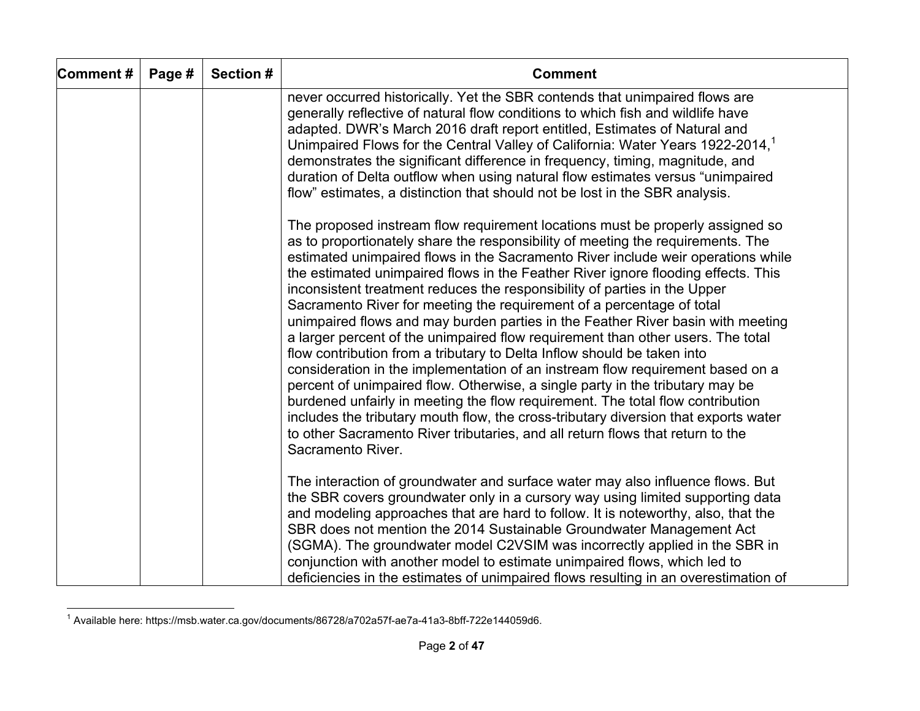| Comment# | Page # | <b>Section #</b> | <b>Comment</b>                                                                                                                                                                                                                                                                                                                                                                                                                                                                                                                                                                                                                                                                                                                                                                                                                                                                                                                                                                                                                                                                                                                                                                                      |
|----------|--------|------------------|-----------------------------------------------------------------------------------------------------------------------------------------------------------------------------------------------------------------------------------------------------------------------------------------------------------------------------------------------------------------------------------------------------------------------------------------------------------------------------------------------------------------------------------------------------------------------------------------------------------------------------------------------------------------------------------------------------------------------------------------------------------------------------------------------------------------------------------------------------------------------------------------------------------------------------------------------------------------------------------------------------------------------------------------------------------------------------------------------------------------------------------------------------------------------------------------------------|
|          |        |                  | never occurred historically. Yet the SBR contends that unimpaired flows are<br>generally reflective of natural flow conditions to which fish and wildlife have<br>adapted. DWR's March 2016 draft report entitled, Estimates of Natural and<br>Unimpaired Flows for the Central Valley of California: Water Years 1922-2014, <sup>1</sup><br>demonstrates the significant difference in frequency, timing, magnitude, and<br>duration of Delta outflow when using natural flow estimates versus "unimpaired<br>flow" estimates, a distinction that should not be lost in the SBR analysis.                                                                                                                                                                                                                                                                                                                                                                                                                                                                                                                                                                                                          |
|          |        |                  | The proposed instream flow requirement locations must be properly assigned so<br>as to proportionately share the responsibility of meeting the requirements. The<br>estimated unimpaired flows in the Sacramento River include weir operations while<br>the estimated unimpaired flows in the Feather River ignore flooding effects. This<br>inconsistent treatment reduces the responsibility of parties in the Upper<br>Sacramento River for meeting the requirement of a percentage of total<br>unimpaired flows and may burden parties in the Feather River basin with meeting<br>a larger percent of the unimpaired flow requirement than other users. The total<br>flow contribution from a tributary to Delta Inflow should be taken into<br>consideration in the implementation of an instream flow requirement based on a<br>percent of unimpaired flow. Otherwise, a single party in the tributary may be<br>burdened unfairly in meeting the flow requirement. The total flow contribution<br>includes the tributary mouth flow, the cross-tributary diversion that exports water<br>to other Sacramento River tributaries, and all return flows that return to the<br>Sacramento River. |
|          |        |                  | The interaction of groundwater and surface water may also influence flows. But<br>the SBR covers groundwater only in a cursory way using limited supporting data<br>and modeling approaches that are hard to follow. It is noteworthy, also, that the<br>SBR does not mention the 2014 Sustainable Groundwater Management Act<br>(SGMA). The groundwater model C2VSIM was incorrectly applied in the SBR in<br>conjunction with another model to estimate unimpaired flows, which led to<br>deficiencies in the estimates of unimpaired flows resulting in an overestimation of                                                                                                                                                                                                                                                                                                                                                                                                                                                                                                                                                                                                                     |

 $1$  Available here: https://msb.water.ca.gov/documents/86728/a702a57f-ae7a-41a3-8bff-722e144059d6.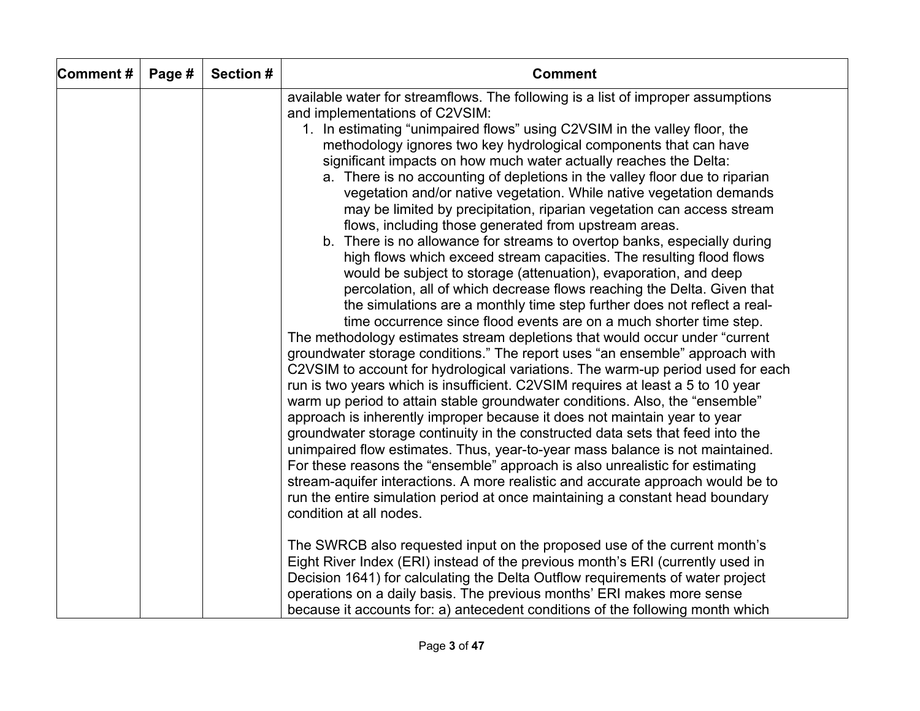| Comment# | Page # | Section # | <b>Comment</b>                                                                                                                                                                                                                                                                                                                                                                                                                                                                                                                                                                                                                                                                                                                                                                                                                                                                                                                                                                                                                                                                                                                                                                                                                                                                                                                                                                                                                                                                                                                                                                                                                                                                                                                                                                                                                                                                                                                                             |
|----------|--------|-----------|------------------------------------------------------------------------------------------------------------------------------------------------------------------------------------------------------------------------------------------------------------------------------------------------------------------------------------------------------------------------------------------------------------------------------------------------------------------------------------------------------------------------------------------------------------------------------------------------------------------------------------------------------------------------------------------------------------------------------------------------------------------------------------------------------------------------------------------------------------------------------------------------------------------------------------------------------------------------------------------------------------------------------------------------------------------------------------------------------------------------------------------------------------------------------------------------------------------------------------------------------------------------------------------------------------------------------------------------------------------------------------------------------------------------------------------------------------------------------------------------------------------------------------------------------------------------------------------------------------------------------------------------------------------------------------------------------------------------------------------------------------------------------------------------------------------------------------------------------------------------------------------------------------------------------------------------------------|
|          |        |           | available water for streamflows. The following is a list of improper assumptions                                                                                                                                                                                                                                                                                                                                                                                                                                                                                                                                                                                                                                                                                                                                                                                                                                                                                                                                                                                                                                                                                                                                                                                                                                                                                                                                                                                                                                                                                                                                                                                                                                                                                                                                                                                                                                                                           |
|          |        |           | and implementations of C2VSIM:<br>1. In estimating "unimpaired flows" using C2VSIM in the valley floor, the<br>methodology ignores two key hydrological components that can have<br>significant impacts on how much water actually reaches the Delta:<br>a. There is no accounting of depletions in the valley floor due to riparian<br>vegetation and/or native vegetation. While native vegetation demands<br>may be limited by precipitation, riparian vegetation can access stream<br>flows, including those generated from upstream areas.<br>b. There is no allowance for streams to overtop banks, especially during<br>high flows which exceed stream capacities. The resulting flood flows<br>would be subject to storage (attenuation), evaporation, and deep<br>percolation, all of which decrease flows reaching the Delta. Given that<br>the simulations are a monthly time step further does not reflect a real-<br>time occurrence since flood events are on a much shorter time step.<br>The methodology estimates stream depletions that would occur under "current"<br>groundwater storage conditions." The report uses "an ensemble" approach with<br>C2VSIM to account for hydrological variations. The warm-up period used for each<br>run is two years which is insufficient. C2VSIM requires at least a 5 to 10 year<br>warm up period to attain stable groundwater conditions. Also, the "ensemble"<br>approach is inherently improper because it does not maintain year to year<br>groundwater storage continuity in the constructed data sets that feed into the<br>unimpaired flow estimates. Thus, year-to-year mass balance is not maintained.<br>For these reasons the "ensemble" approach is also unrealistic for estimating<br>stream-aquifer interactions. A more realistic and accurate approach would be to<br>run the entire simulation period at once maintaining a constant head boundary<br>condition at all nodes. |
|          |        |           | The SWRCB also requested input on the proposed use of the current month's<br>Eight River Index (ERI) instead of the previous month's ERI (currently used in<br>Decision 1641) for calculating the Delta Outflow requirements of water project<br>operations on a daily basis. The previous months' ERI makes more sense<br>because it accounts for: a) antecedent conditions of the following month which                                                                                                                                                                                                                                                                                                                                                                                                                                                                                                                                                                                                                                                                                                                                                                                                                                                                                                                                                                                                                                                                                                                                                                                                                                                                                                                                                                                                                                                                                                                                                  |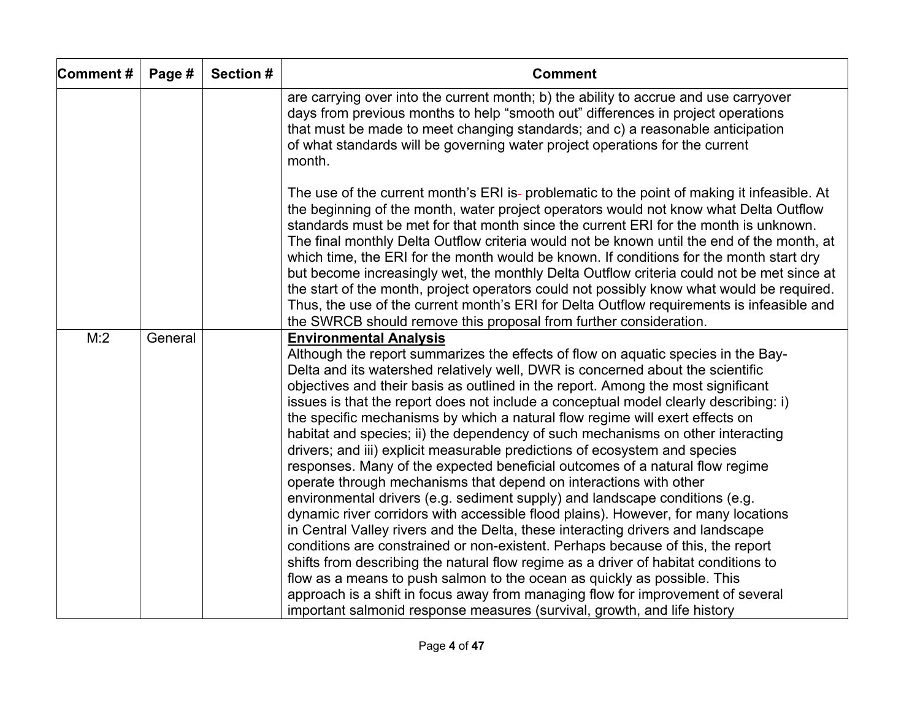| Comment# | Page #  | Section # | <b>Comment</b>                                                                                                                                                                                                                                                                                                                                                                                                                                                                                                                                                                                                                                                                                                                                                                                                                                                                                                                                                                                                                                                                                                                                                                                                                                                                                                                                                                                                                                                      |
|----------|---------|-----------|---------------------------------------------------------------------------------------------------------------------------------------------------------------------------------------------------------------------------------------------------------------------------------------------------------------------------------------------------------------------------------------------------------------------------------------------------------------------------------------------------------------------------------------------------------------------------------------------------------------------------------------------------------------------------------------------------------------------------------------------------------------------------------------------------------------------------------------------------------------------------------------------------------------------------------------------------------------------------------------------------------------------------------------------------------------------------------------------------------------------------------------------------------------------------------------------------------------------------------------------------------------------------------------------------------------------------------------------------------------------------------------------------------------------------------------------------------------------|
|          |         |           | are carrying over into the current month; b) the ability to accrue and use carryover<br>days from previous months to help "smooth out" differences in project operations<br>that must be made to meet changing standards; and c) a reasonable anticipation<br>of what standards will be governing water project operations for the current<br>month.                                                                                                                                                                                                                                                                                                                                                                                                                                                                                                                                                                                                                                                                                                                                                                                                                                                                                                                                                                                                                                                                                                                |
|          |         |           | The use of the current month's ERI is- problematic to the point of making it infeasible. At<br>the beginning of the month, water project operators would not know what Delta Outflow<br>standards must be met for that month since the current ERI for the month is unknown.<br>The final monthly Delta Outflow criteria would not be known until the end of the month, at<br>which time, the ERI for the month would be known. If conditions for the month start dry<br>but become increasingly wet, the monthly Delta Outflow criteria could not be met since at<br>the start of the month, project operators could not possibly know what would be required.<br>Thus, the use of the current month's ERI for Delta Outflow requirements is infeasible and<br>the SWRCB should remove this proposal from further consideration.                                                                                                                                                                                                                                                                                                                                                                                                                                                                                                                                                                                                                                   |
| M:2      | General |           | <b>Environmental Analysis</b><br>Although the report summarizes the effects of flow on aquatic species in the Bay-<br>Delta and its watershed relatively well, DWR is concerned about the scientific<br>objectives and their basis as outlined in the report. Among the most significant<br>issues is that the report does not include a conceptual model clearly describing: i)<br>the specific mechanisms by which a natural flow regime will exert effects on<br>habitat and species; ii) the dependency of such mechanisms on other interacting<br>drivers; and iii) explicit measurable predictions of ecosystem and species<br>responses. Many of the expected beneficial outcomes of a natural flow regime<br>operate through mechanisms that depend on interactions with other<br>environmental drivers (e.g. sediment supply) and landscape conditions (e.g.<br>dynamic river corridors with accessible flood plains). However, for many locations<br>in Central Valley rivers and the Delta, these interacting drivers and landscape<br>conditions are constrained or non-existent. Perhaps because of this, the report<br>shifts from describing the natural flow regime as a driver of habitat conditions to<br>flow as a means to push salmon to the ocean as quickly as possible. This<br>approach is a shift in focus away from managing flow for improvement of several<br>important salmonid response measures (survival, growth, and life history |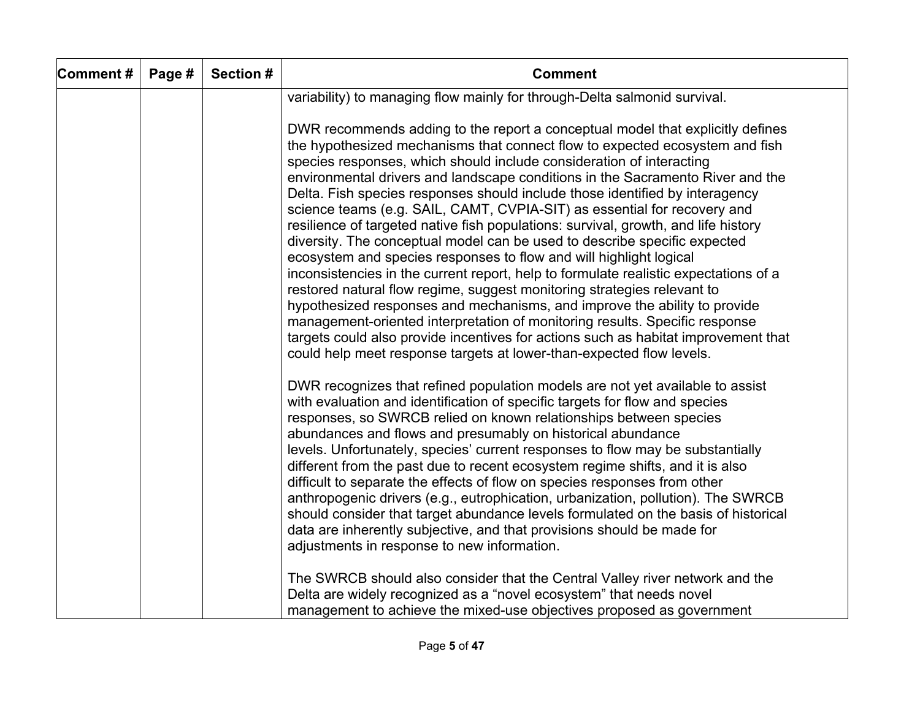| Comment# | Page # | Section # | <b>Comment</b>                                                                                                                                                                                                                                                                                                                                                                                                                                                                                                                                                                                                                                                                                                                                                                                                                                                                                                                                                                                                                                                                                                                                                                                                             |
|----------|--------|-----------|----------------------------------------------------------------------------------------------------------------------------------------------------------------------------------------------------------------------------------------------------------------------------------------------------------------------------------------------------------------------------------------------------------------------------------------------------------------------------------------------------------------------------------------------------------------------------------------------------------------------------------------------------------------------------------------------------------------------------------------------------------------------------------------------------------------------------------------------------------------------------------------------------------------------------------------------------------------------------------------------------------------------------------------------------------------------------------------------------------------------------------------------------------------------------------------------------------------------------|
|          |        |           | variability) to managing flow mainly for through-Delta salmonid survival.                                                                                                                                                                                                                                                                                                                                                                                                                                                                                                                                                                                                                                                                                                                                                                                                                                                                                                                                                                                                                                                                                                                                                  |
|          |        |           | DWR recommends adding to the report a conceptual model that explicitly defines<br>the hypothesized mechanisms that connect flow to expected ecosystem and fish<br>species responses, which should include consideration of interacting<br>environmental drivers and landscape conditions in the Sacramento River and the<br>Delta. Fish species responses should include those identified by interagency<br>science teams (e.g. SAIL, CAMT, CVPIA-SIT) as essential for recovery and<br>resilience of targeted native fish populations: survival, growth, and life history<br>diversity. The conceptual model can be used to describe specific expected<br>ecosystem and species responses to flow and will highlight logical<br>inconsistencies in the current report, help to formulate realistic expectations of a<br>restored natural flow regime, suggest monitoring strategies relevant to<br>hypothesized responses and mechanisms, and improve the ability to provide<br>management-oriented interpretation of monitoring results. Specific response<br>targets could also provide incentives for actions such as habitat improvement that<br>could help meet response targets at lower-than-expected flow levels. |
|          |        |           | DWR recognizes that refined population models are not yet available to assist<br>with evaluation and identification of specific targets for flow and species<br>responses, so SWRCB relied on known relationships between species<br>abundances and flows and presumably on historical abundance<br>levels. Unfortunately, species' current responses to flow may be substantially<br>different from the past due to recent ecosystem regime shifts, and it is also<br>difficult to separate the effects of flow on species responses from other<br>anthropogenic drivers (e.g., eutrophication, urbanization, pollution). The SWRCB<br>should consider that target abundance levels formulated on the basis of historical<br>data are inherently subjective, and that provisions should be made for<br>adjustments in response to new information.                                                                                                                                                                                                                                                                                                                                                                        |
|          |        |           | The SWRCB should also consider that the Central Valley river network and the<br>Delta are widely recognized as a "novel ecosystem" that needs novel<br>management to achieve the mixed-use objectives proposed as government                                                                                                                                                                                                                                                                                                                                                                                                                                                                                                                                                                                                                                                                                                                                                                                                                                                                                                                                                                                               |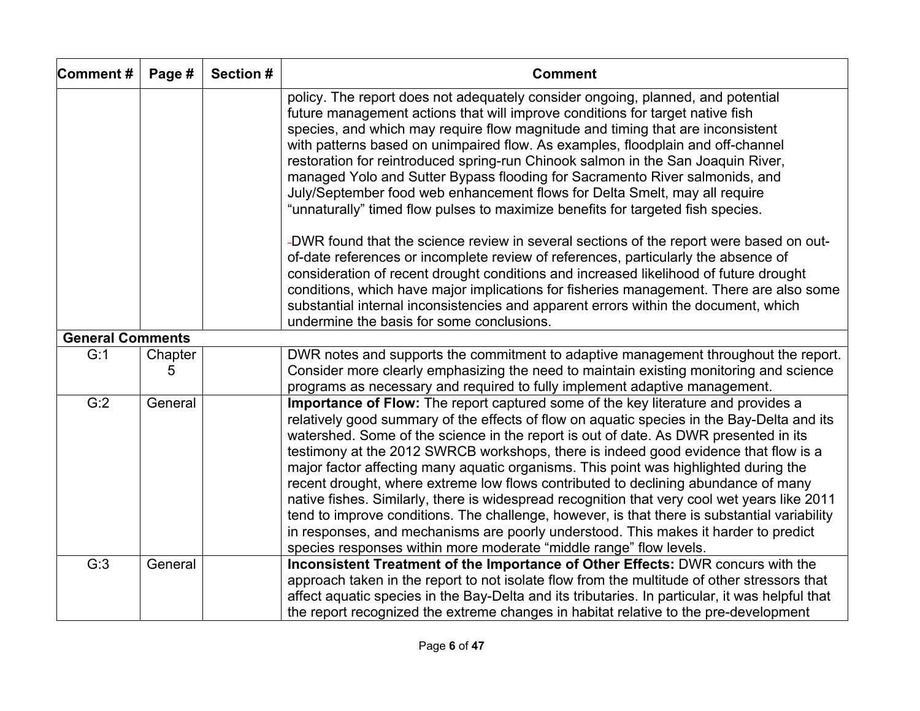| Comment#                | Page #       | Section # | <b>Comment</b>                                                                                                                                                                                                                                                                                                                                                                                                                                                                                                                                                                                                                                                                                                                                                                                                                                                                                                                                                                                                                                                                                                                        |
|-------------------------|--------------|-----------|---------------------------------------------------------------------------------------------------------------------------------------------------------------------------------------------------------------------------------------------------------------------------------------------------------------------------------------------------------------------------------------------------------------------------------------------------------------------------------------------------------------------------------------------------------------------------------------------------------------------------------------------------------------------------------------------------------------------------------------------------------------------------------------------------------------------------------------------------------------------------------------------------------------------------------------------------------------------------------------------------------------------------------------------------------------------------------------------------------------------------------------|
|                         |              |           | policy. The report does not adequately consider ongoing, planned, and potential<br>future management actions that will improve conditions for target native fish<br>species, and which may require flow magnitude and timing that are inconsistent<br>with patterns based on unimpaired flow. As examples, floodplain and off-channel<br>restoration for reintroduced spring-run Chinook salmon in the San Joaquin River,<br>managed Yolo and Sutter Bypass flooding for Sacramento River salmonids, and<br>July/September food web enhancement flows for Delta Smelt, may all require<br>"unnaturally" timed flow pulses to maximize benefits for targeted fish species.<br>-DWR found that the science review in several sections of the report were based on out-<br>of-date references or incomplete review of references, particularly the absence of<br>consideration of recent drought conditions and increased likelihood of future drought<br>conditions, which have major implications for fisheries management. There are also some<br>substantial internal inconsistencies and apparent errors within the document, which |
|                         |              |           | undermine the basis for some conclusions.                                                                                                                                                                                                                                                                                                                                                                                                                                                                                                                                                                                                                                                                                                                                                                                                                                                                                                                                                                                                                                                                                             |
| <b>General Comments</b> |              |           |                                                                                                                                                                                                                                                                                                                                                                                                                                                                                                                                                                                                                                                                                                                                                                                                                                                                                                                                                                                                                                                                                                                                       |
| G:1                     | Chapter<br>5 |           | DWR notes and supports the commitment to adaptive management throughout the report.<br>Consider more clearly emphasizing the need to maintain existing monitoring and science<br>programs as necessary and required to fully implement adaptive management.                                                                                                                                                                                                                                                                                                                                                                                                                                                                                                                                                                                                                                                                                                                                                                                                                                                                           |
| G:2                     | General      |           | Importance of Flow: The report captured some of the key literature and provides a<br>relatively good summary of the effects of flow on aquatic species in the Bay-Delta and its<br>watershed. Some of the science in the report is out of date. As DWR presented in its<br>testimony at the 2012 SWRCB workshops, there is indeed good evidence that flow is a<br>major factor affecting many aquatic organisms. This point was highlighted during the<br>recent drought, where extreme low flows contributed to declining abundance of many<br>native fishes. Similarly, there is widespread recognition that very cool wet years like 2011<br>tend to improve conditions. The challenge, however, is that there is substantial variability<br>in responses, and mechanisms are poorly understood. This makes it harder to predict<br>species responses within more moderate "middle range" flow levels.                                                                                                                                                                                                                             |
| G:3                     | General      |           | Inconsistent Treatment of the Importance of Other Effects: DWR concurs with the<br>approach taken in the report to not isolate flow from the multitude of other stressors that<br>affect aquatic species in the Bay-Delta and its tributaries. In particular, it was helpful that<br>the report recognized the extreme changes in habitat relative to the pre-development                                                                                                                                                                                                                                                                                                                                                                                                                                                                                                                                                                                                                                                                                                                                                             |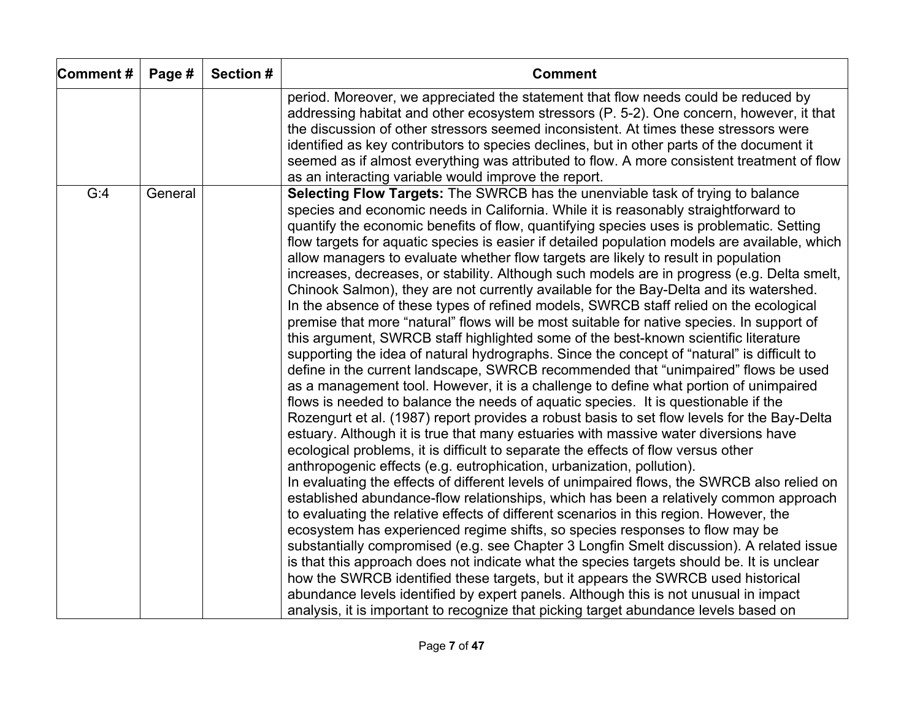| Comment# | Page #  | Section # | <b>Comment</b>                                                                                                                                                                                                                                                                                                                                                                                                                                                                                                                                                                                                                                                                                                                                                                                                                                                                                                                                                                                                                                                                                                                                                                                                                                                                                                                                                                                                                                                                                                                                                                                                                                                                                                                                                                                                                                                                                                                                                                                                                                                                                                                                                                                                                                                                                                                                                                                                                                                                       |
|----------|---------|-----------|--------------------------------------------------------------------------------------------------------------------------------------------------------------------------------------------------------------------------------------------------------------------------------------------------------------------------------------------------------------------------------------------------------------------------------------------------------------------------------------------------------------------------------------------------------------------------------------------------------------------------------------------------------------------------------------------------------------------------------------------------------------------------------------------------------------------------------------------------------------------------------------------------------------------------------------------------------------------------------------------------------------------------------------------------------------------------------------------------------------------------------------------------------------------------------------------------------------------------------------------------------------------------------------------------------------------------------------------------------------------------------------------------------------------------------------------------------------------------------------------------------------------------------------------------------------------------------------------------------------------------------------------------------------------------------------------------------------------------------------------------------------------------------------------------------------------------------------------------------------------------------------------------------------------------------------------------------------------------------------------------------------------------------------------------------------------------------------------------------------------------------------------------------------------------------------------------------------------------------------------------------------------------------------------------------------------------------------------------------------------------------------------------------------------------------------------------------------------------------------|
|          |         |           | period. Moreover, we appreciated the statement that flow needs could be reduced by<br>addressing habitat and other ecosystem stressors (P. 5-2). One concern, however, it that<br>the discussion of other stressors seemed inconsistent. At times these stressors were<br>identified as key contributors to species declines, but in other parts of the document it<br>seemed as if almost everything was attributed to flow. A more consistent treatment of flow<br>as an interacting variable would improve the report.                                                                                                                                                                                                                                                                                                                                                                                                                                                                                                                                                                                                                                                                                                                                                                                                                                                                                                                                                                                                                                                                                                                                                                                                                                                                                                                                                                                                                                                                                                                                                                                                                                                                                                                                                                                                                                                                                                                                                            |
| G:4      | General |           | Selecting Flow Targets: The SWRCB has the unenviable task of trying to balance<br>species and economic needs in California. While it is reasonably straightforward to<br>quantify the economic benefits of flow, quantifying species uses is problematic. Setting<br>flow targets for aquatic species is easier if detailed population models are available, which<br>allow managers to evaluate whether flow targets are likely to result in population<br>increases, decreases, or stability. Although such models are in progress (e.g. Delta smelt,<br>Chinook Salmon), they are not currently available for the Bay-Delta and its watershed.<br>In the absence of these types of refined models, SWRCB staff relied on the ecological<br>premise that more "natural" flows will be most suitable for native species. In support of<br>this argument, SWRCB staff highlighted some of the best-known scientific literature<br>supporting the idea of natural hydrographs. Since the concept of "natural" is difficult to<br>define in the current landscape, SWRCB recommended that "unimpaired" flows be used<br>as a management tool. However, it is a challenge to define what portion of unimpaired<br>flows is needed to balance the needs of aquatic species. It is questionable if the<br>Rozengurt et al. (1987) report provides a robust basis to set flow levels for the Bay-Delta<br>estuary. Although it is true that many estuaries with massive water diversions have<br>ecological problems, it is difficult to separate the effects of flow versus other<br>anthropogenic effects (e.g. eutrophication, urbanization, pollution).<br>In evaluating the effects of different levels of unimpaired flows, the SWRCB also relied on<br>established abundance-flow relationships, which has been a relatively common approach<br>to evaluating the relative effects of different scenarios in this region. However, the<br>ecosystem has experienced regime shifts, so species responses to flow may be<br>substantially compromised (e.g. see Chapter 3 Longfin Smelt discussion). A related issue<br>is that this approach does not indicate what the species targets should be. It is unclear<br>how the SWRCB identified these targets, but it appears the SWRCB used historical<br>abundance levels identified by expert panels. Although this is not unusual in impact<br>analysis, it is important to recognize that picking target abundance levels based on |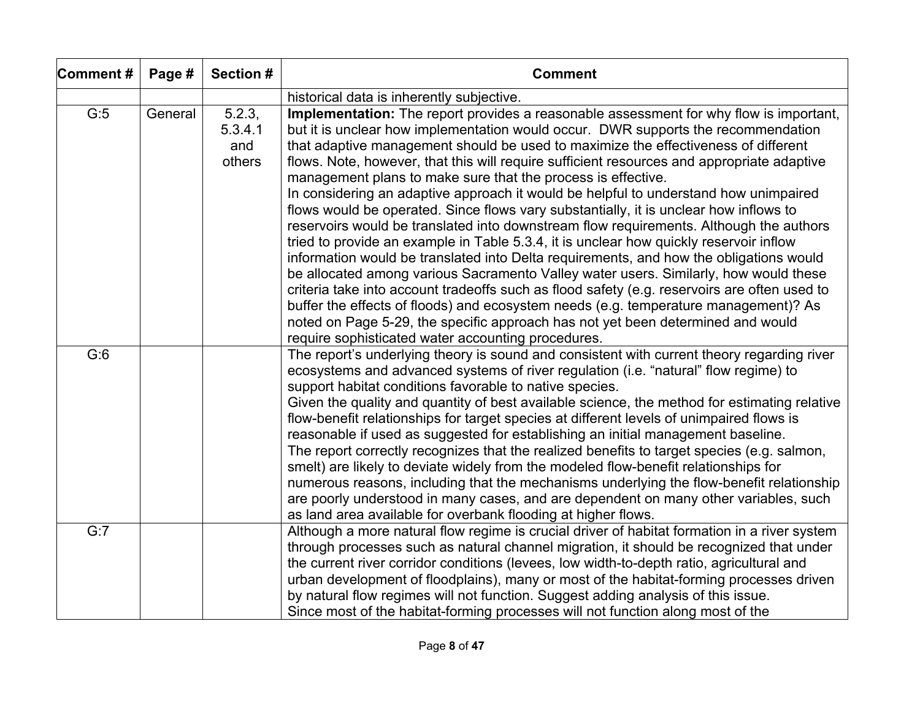| Comment# | Page #  | Section #                          | <b>Comment</b>                                                                                                                                                                                                                                                                                                                                                                                                                                                                                                                                                                                                                                                                                                                                                                                                                                                                                                                                                                                                                                                                                                                                                                                                                                                                                                         |
|----------|---------|------------------------------------|------------------------------------------------------------------------------------------------------------------------------------------------------------------------------------------------------------------------------------------------------------------------------------------------------------------------------------------------------------------------------------------------------------------------------------------------------------------------------------------------------------------------------------------------------------------------------------------------------------------------------------------------------------------------------------------------------------------------------------------------------------------------------------------------------------------------------------------------------------------------------------------------------------------------------------------------------------------------------------------------------------------------------------------------------------------------------------------------------------------------------------------------------------------------------------------------------------------------------------------------------------------------------------------------------------------------|
|          |         |                                    | historical data is inherently subjective.                                                                                                                                                                                                                                                                                                                                                                                                                                                                                                                                                                                                                                                                                                                                                                                                                                                                                                                                                                                                                                                                                                                                                                                                                                                                              |
| G:5      | General | 5.2.3,<br>5.3.4.1<br>and<br>others | Implementation: The report provides a reasonable assessment for why flow is important,<br>but it is unclear how implementation would occur. DWR supports the recommendation<br>that adaptive management should be used to maximize the effectiveness of different<br>flows. Note, however, that this will require sufficient resources and appropriate adaptive<br>management plans to make sure that the process is effective.<br>In considering an adaptive approach it would be helpful to understand how unimpaired<br>flows would be operated. Since flows vary substantially, it is unclear how inflows to<br>reservoirs would be translated into downstream flow requirements. Although the authors<br>tried to provide an example in Table 5.3.4, it is unclear how quickly reservoir inflow<br>information would be translated into Delta requirements, and how the obligations would<br>be allocated among various Sacramento Valley water users. Similarly, how would these<br>criteria take into account tradeoffs such as flood safety (e.g. reservoirs are often used to<br>buffer the effects of floods) and ecosystem needs (e.g. temperature management)? As<br>noted on Page 5-29, the specific approach has not yet been determined and would<br>require sophisticated water accounting procedures. |
| G:6      |         |                                    | The report's underlying theory is sound and consistent with current theory regarding river<br>ecosystems and advanced systems of river regulation (i.e. "natural" flow regime) to<br>support habitat conditions favorable to native species.<br>Given the quality and quantity of best available science, the method for estimating relative<br>flow-benefit relationships for target species at different levels of unimpaired flows is<br>reasonable if used as suggested for establishing an initial management baseline.<br>The report correctly recognizes that the realized benefits to target species (e.g. salmon,<br>smelt) are likely to deviate widely from the modeled flow-benefit relationships for<br>numerous reasons, including that the mechanisms underlying the flow-benefit relationship<br>are poorly understood in many cases, and are dependent on many other variables, such<br>as land area available for overbank flooding at higher flows.                                                                                                                                                                                                                                                                                                                                                 |
| G:7      |         |                                    | Although a more natural flow regime is crucial driver of habitat formation in a river system<br>through processes such as natural channel migration, it should be recognized that under<br>the current river corridor conditions (levees, low width-to-depth ratio, agricultural and<br>urban development of floodplains), many or most of the habitat-forming processes driven<br>by natural flow regimes will not function. Suggest adding analysis of this issue.<br>Since most of the habitat-forming processes will not function along most of the                                                                                                                                                                                                                                                                                                                                                                                                                                                                                                                                                                                                                                                                                                                                                                |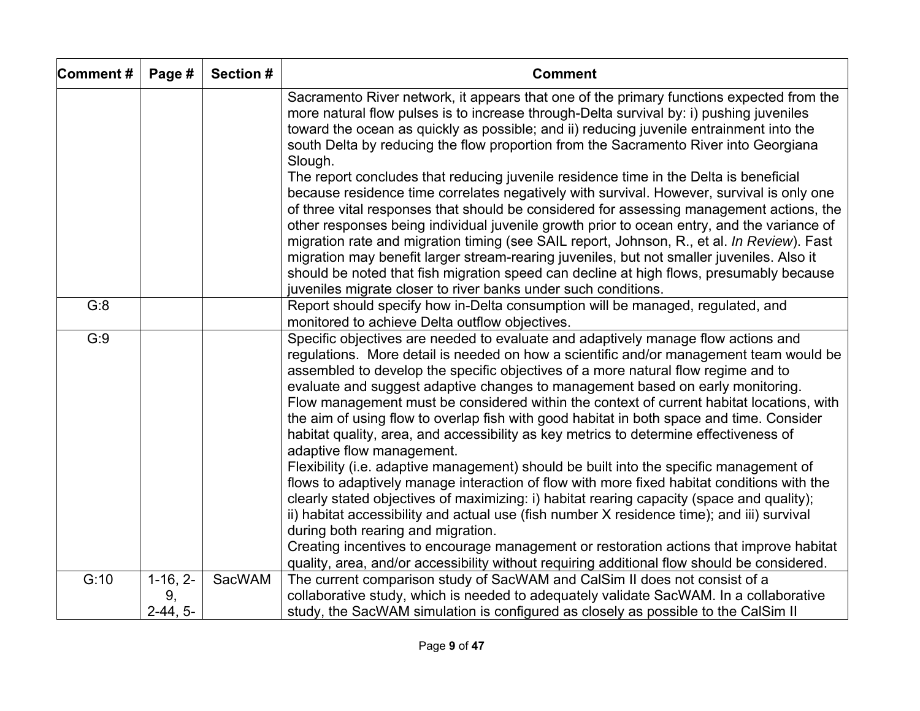| Comment# | Page #                         | <b>Section #</b> | <b>Comment</b>                                                                                                                                                                                                                                                                                                                                                                                                                                                                                                                                                                                                                                                                                                                       |
|----------|--------------------------------|------------------|--------------------------------------------------------------------------------------------------------------------------------------------------------------------------------------------------------------------------------------------------------------------------------------------------------------------------------------------------------------------------------------------------------------------------------------------------------------------------------------------------------------------------------------------------------------------------------------------------------------------------------------------------------------------------------------------------------------------------------------|
|          |                                |                  | Sacramento River network, it appears that one of the primary functions expected from the<br>more natural flow pulses is to increase through-Delta survival by: i) pushing juveniles<br>toward the ocean as quickly as possible; and ii) reducing juvenile entrainment into the<br>south Delta by reducing the flow proportion from the Sacramento River into Georgiana<br>Slough.                                                                                                                                                                                                                                                                                                                                                    |
|          |                                |                  | The report concludes that reducing juvenile residence time in the Delta is beneficial<br>because residence time correlates negatively with survival. However, survival is only one<br>of three vital responses that should be considered for assessing management actions, the<br>other responses being individual juvenile growth prior to ocean entry, and the variance of<br>migration rate and migration timing (see SAIL report, Johnson, R., et al. In Review). Fast<br>migration may benefit larger stream-rearing juveniles, but not smaller juveniles. Also it<br>should be noted that fish migration speed can decline at high flows, presumably because<br>juveniles migrate closer to river banks under such conditions. |
| G:8      |                                |                  | Report should specify how in-Delta consumption will be managed, regulated, and<br>monitored to achieve Delta outflow objectives.                                                                                                                                                                                                                                                                                                                                                                                                                                                                                                                                                                                                     |
| G:9      |                                |                  | Specific objectives are needed to evaluate and adaptively manage flow actions and<br>regulations. More detail is needed on how a scientific and/or management team would be<br>assembled to develop the specific objectives of a more natural flow regime and to<br>evaluate and suggest adaptive changes to management based on early monitoring.<br>Flow management must be considered within the context of current habitat locations, with<br>the aim of using flow to overlap fish with good habitat in both space and time. Consider<br>habitat quality, area, and accessibility as key metrics to determine effectiveness of<br>adaptive flow management.                                                                     |
|          |                                |                  | Flexibility (i.e. adaptive management) should be built into the specific management of<br>flows to adaptively manage interaction of flow with more fixed habitat conditions with the<br>clearly stated objectives of maximizing: i) habitat rearing capacity (space and quality);<br>ii) habitat accessibility and actual use (fish number X residence time); and iii) survival<br>during both rearing and migration.<br>Creating incentives to encourage management or restoration actions that improve habitat                                                                                                                                                                                                                     |
|          |                                |                  | quality, area, and/or accessibility without requiring additional flow should be considered.                                                                                                                                                                                                                                                                                                                                                                                                                                                                                                                                                                                                                                          |
|          |                                |                  |                                                                                                                                                                                                                                                                                                                                                                                                                                                                                                                                                                                                                                                                                                                                      |
|          |                                |                  |                                                                                                                                                                                                                                                                                                                                                                                                                                                                                                                                                                                                                                                                                                                                      |
| G:10     | $1-16, 2-$<br>9,<br>$2-44, 5-$ | SacWAM           | The current comparison study of SacWAM and CalSim II does not consist of a<br>collaborative study, which is needed to adequately validate SacWAM. In a collaborative<br>study, the SacWAM simulation is configured as closely as possible to the CalSim II                                                                                                                                                                                                                                                                                                                                                                                                                                                                           |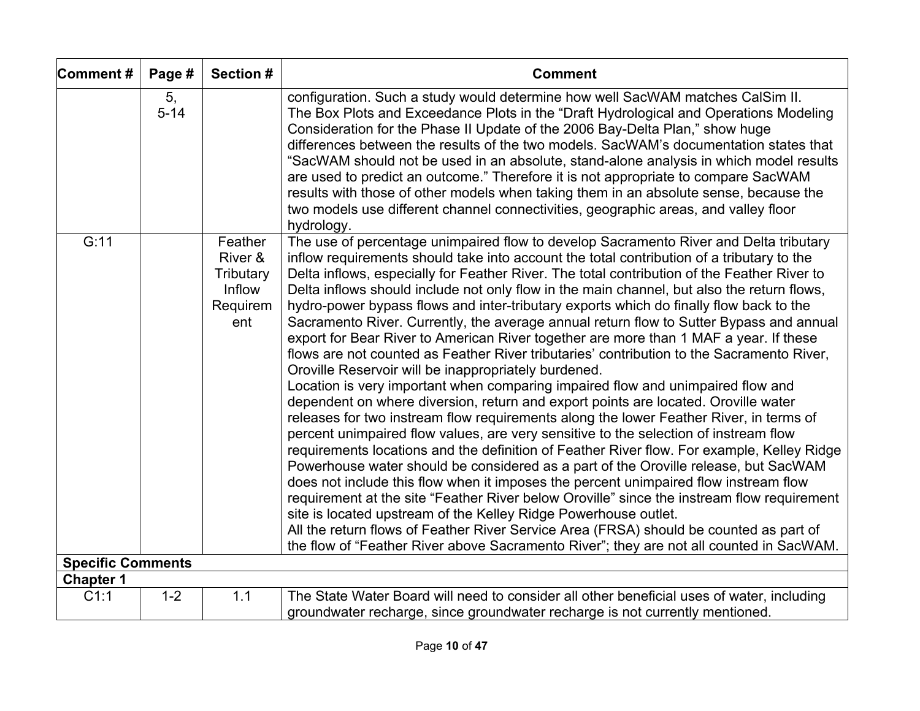| Comment#                         | Page #         | Section #                                                    | <b>Comment</b>                                                                                                                                                                                                                                                                                                                                                                                                                                                                                                                                                                                                                                                                                                                                                                                                                                                                                                                                                                                                                                                                                                                                                                                                                                                                                                                                                                                                                                                                                                                                                                                                                                                                                                                                                                                                   |
|----------------------------------|----------------|--------------------------------------------------------------|------------------------------------------------------------------------------------------------------------------------------------------------------------------------------------------------------------------------------------------------------------------------------------------------------------------------------------------------------------------------------------------------------------------------------------------------------------------------------------------------------------------------------------------------------------------------------------------------------------------------------------------------------------------------------------------------------------------------------------------------------------------------------------------------------------------------------------------------------------------------------------------------------------------------------------------------------------------------------------------------------------------------------------------------------------------------------------------------------------------------------------------------------------------------------------------------------------------------------------------------------------------------------------------------------------------------------------------------------------------------------------------------------------------------------------------------------------------------------------------------------------------------------------------------------------------------------------------------------------------------------------------------------------------------------------------------------------------------------------------------------------------------------------------------------------------|
|                                  | 5,<br>$5 - 14$ |                                                              | configuration. Such a study would determine how well SacWAM matches CalSim II.<br>The Box Plots and Exceedance Plots in the "Draft Hydrological and Operations Modeling<br>Consideration for the Phase II Update of the 2006 Bay-Delta Plan," show huge<br>differences between the results of the two models. SacWAM's documentation states that<br>"SacWAM should not be used in an absolute, stand-alone analysis in which model results<br>are used to predict an outcome." Therefore it is not appropriate to compare SacWAM<br>results with those of other models when taking them in an absolute sense, because the<br>two models use different channel connectivities, geographic areas, and valley floor<br>hydrology.                                                                                                                                                                                                                                                                                                                                                                                                                                                                                                                                                                                                                                                                                                                                                                                                                                                                                                                                                                                                                                                                                   |
| G:11<br><b>Specific Comments</b> |                | Feather<br>River &<br>Tributary<br>Inflow<br>Requirem<br>ent | The use of percentage unimpaired flow to develop Sacramento River and Delta tributary<br>inflow requirements should take into account the total contribution of a tributary to the<br>Delta inflows, especially for Feather River. The total contribution of the Feather River to<br>Delta inflows should include not only flow in the main channel, but also the return flows,<br>hydro-power bypass flows and inter-tributary exports which do finally flow back to the<br>Sacramento River. Currently, the average annual return flow to Sutter Bypass and annual<br>export for Bear River to American River together are more than 1 MAF a year. If these<br>flows are not counted as Feather River tributaries' contribution to the Sacramento River,<br>Oroville Reservoir will be inappropriately burdened.<br>Location is very important when comparing impaired flow and unimpaired flow and<br>dependent on where diversion, return and export points are located. Oroville water<br>releases for two instream flow requirements along the lower Feather River, in terms of<br>percent unimpaired flow values, are very sensitive to the selection of instream flow<br>requirements locations and the definition of Feather River flow. For example, Kelley Ridge<br>Powerhouse water should be considered as a part of the Oroville release, but SacWAM<br>does not include this flow when it imposes the percent unimpaired flow instream flow<br>requirement at the site "Feather River below Oroville" since the instream flow requirement<br>site is located upstream of the Kelley Ridge Powerhouse outlet.<br>All the return flows of Feather River Service Area (FRSA) should be counted as part of<br>the flow of "Feather River above Sacramento River"; they are not all counted in SacWAM. |
| <b>Chapter 1</b>                 |                |                                                              |                                                                                                                                                                                                                                                                                                                                                                                                                                                                                                                                                                                                                                                                                                                                                                                                                                                                                                                                                                                                                                                                                                                                                                                                                                                                                                                                                                                                                                                                                                                                                                                                                                                                                                                                                                                                                  |
| C1:1                             | $1 - 2$        | 1.1                                                          | The State Water Board will need to consider all other beneficial uses of water, including<br>groundwater recharge, since groundwater recharge is not currently mentioned.                                                                                                                                                                                                                                                                                                                                                                                                                                                                                                                                                                                                                                                                                                                                                                                                                                                                                                                                                                                                                                                                                                                                                                                                                                                                                                                                                                                                                                                                                                                                                                                                                                        |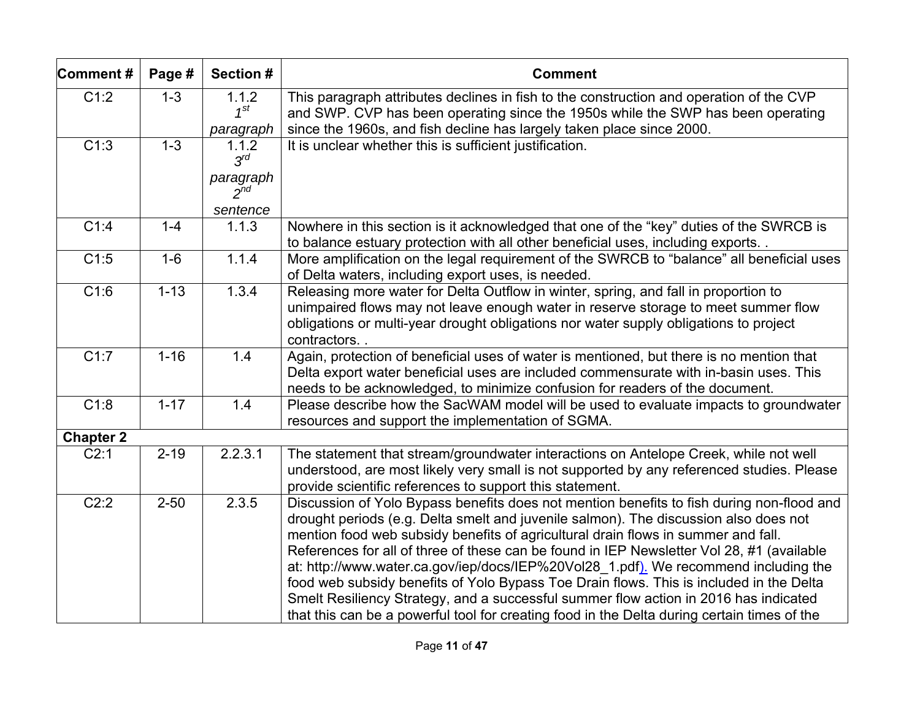| Comment#          | Page #   | Section #                                              | <b>Comment</b>                                                                                                                                                                                                                                                                                                                                                                                                                                                                                                                                                                                                                                                                                                                               |
|-------------------|----------|--------------------------------------------------------|----------------------------------------------------------------------------------------------------------------------------------------------------------------------------------------------------------------------------------------------------------------------------------------------------------------------------------------------------------------------------------------------------------------------------------------------------------------------------------------------------------------------------------------------------------------------------------------------------------------------------------------------------------------------------------------------------------------------------------------------|
| C1:2              | $1 - 3$  | 1.1.2<br>$1^{St}$<br>paragraph                         | This paragraph attributes declines in fish to the construction and operation of the CVP<br>and SWP. CVP has been operating since the 1950s while the SWP has been operating<br>since the 1960s, and fish decline has largely taken place since 2000.                                                                                                                                                                                                                                                                                                                                                                                                                                                                                         |
| C1:3              | $1 - 3$  | 1.1.2<br>$3^{rd}$<br>paragraph<br>$2^{nd}$<br>sentence | It is unclear whether this is sufficient justification.                                                                                                                                                                                                                                                                                                                                                                                                                                                                                                                                                                                                                                                                                      |
| C1:4              | $1 - 4$  | 1.1.3                                                  | Nowhere in this section is it acknowledged that one of the "key" duties of the SWRCB is<br>to balance estuary protection with all other beneficial uses, including exports                                                                                                                                                                                                                                                                                                                                                                                                                                                                                                                                                                   |
| C1:5              | $1-6$    | 1.1.4                                                  | More amplification on the legal requirement of the SWRCB to "balance" all beneficial uses<br>of Delta waters, including export uses, is needed.                                                                                                                                                                                                                                                                                                                                                                                                                                                                                                                                                                                              |
| $\overline{C1:6}$ | $1 - 13$ | 1.3.4                                                  | Releasing more water for Delta Outflow in winter, spring, and fall in proportion to<br>unimpaired flows may not leave enough water in reserve storage to meet summer flow<br>obligations or multi-year drought obligations nor water supply obligations to project<br>contractors.                                                                                                                                                                                                                                                                                                                                                                                                                                                           |
| C1:7              | $1 - 16$ | 1.4                                                    | Again, protection of beneficial uses of water is mentioned, but there is no mention that<br>Delta export water beneficial uses are included commensurate with in-basin uses. This<br>needs to be acknowledged, to minimize confusion for readers of the document.                                                                                                                                                                                                                                                                                                                                                                                                                                                                            |
| $\overline{C1:8}$ | $1 - 17$ | 1.4                                                    | Please describe how the SacWAM model will be used to evaluate impacts to groundwater<br>resources and support the implementation of SGMA.                                                                                                                                                                                                                                                                                                                                                                                                                                                                                                                                                                                                    |
| <b>Chapter 2</b>  |          |                                                        |                                                                                                                                                                                                                                                                                                                                                                                                                                                                                                                                                                                                                                                                                                                                              |
| C2:1              | $2 - 19$ | 2.2.3.1                                                | The statement that stream/groundwater interactions on Antelope Creek, while not well<br>understood, are most likely very small is not supported by any referenced studies. Please<br>provide scientific references to support this statement.                                                                                                                                                                                                                                                                                                                                                                                                                                                                                                |
| C2:2              | $2 - 50$ | 2.3.5                                                  | Discussion of Yolo Bypass benefits does not mention benefits to fish during non-flood and<br>drought periods (e.g. Delta smelt and juvenile salmon). The discussion also does not<br>mention food web subsidy benefits of agricultural drain flows in summer and fall.<br>References for all of three of these can be found in IEP Newsletter Vol 28, #1 (available<br>at: http://www.water.ca.gov/iep/docs/IEP%20Vol28 1.pdf). We recommend including the<br>food web subsidy benefits of Yolo Bypass Toe Drain flows. This is included in the Delta<br>Smelt Resiliency Strategy, and a successful summer flow action in 2016 has indicated<br>that this can be a powerful tool for creating food in the Delta during certain times of the |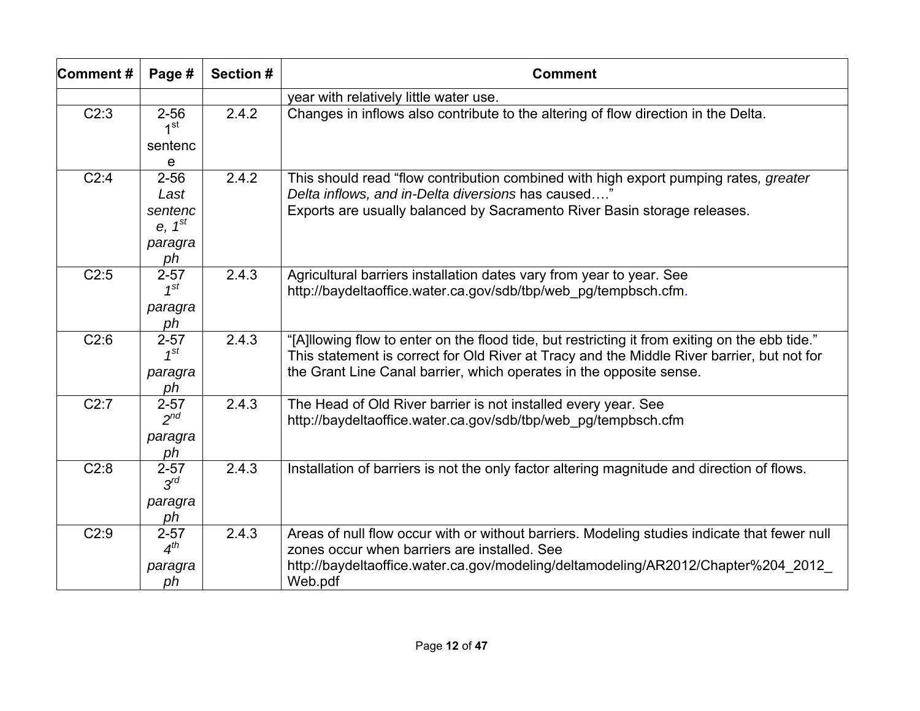| Comment# | Page #                                  | Section # | <b>Comment</b>                                                                                                                                                                                                                                                      |
|----------|-----------------------------------------|-----------|---------------------------------------------------------------------------------------------------------------------------------------------------------------------------------------------------------------------------------------------------------------------|
|          |                                         |           | year with relatively little water use.                                                                                                                                                                                                                              |
| C2:3     | $2 - 56$<br>1 <sup>st</sup>             | 2.4.2     | Changes in inflows also contribute to the altering of flow direction in the Delta.                                                                                                                                                                                  |
|          | sentenc<br>e                            |           |                                                                                                                                                                                                                                                                     |
| C2:4     | $2 - 56$<br>Last                        | 2.4.2     | This should read "flow contribution combined with high export pumping rates, greater<br>Delta inflows, and in-Delta diversions has caused"                                                                                                                          |
|          | sentenc<br>$e, 1^{st}$<br>paragra<br>ph |           | Exports are usually balanced by Sacramento River Basin storage releases.                                                                                                                                                                                            |
| C2:5     | $2 - 57$<br>$1^{st}$<br>paragra<br>ph   | 2.4.3     | Agricultural barriers installation dates vary from year to year. See<br>http://baydeltaoffice.water.ca.gov/sdb/tbp/web pg/tempbsch.cfm.                                                                                                                             |
| C2:6     | $2 - 57$<br>$1^{st}$<br>paragra<br>ph   | 2.4.3     | "[A]llowing flow to enter on the flood tide, but restricting it from exiting on the ebb tide."<br>This statement is correct for Old River at Tracy and the Middle River barrier, but not for<br>the Grant Line Canal barrier, which operates in the opposite sense. |
| C2:7     | $2 - 57$<br>$2^{nd}$<br>paragra<br>ph   | 2.4.3     | The Head of Old River barrier is not installed every year. See<br>http://baydeltaoffice.water.ca.gov/sdb/tbp/web pg/tempbsch.cfm                                                                                                                                    |
| C2:8     | $2 - 57$<br>$3^{rd}$<br>paragra<br>ph   | 2.4.3     | Installation of barriers is not the only factor altering magnitude and direction of flows.                                                                                                                                                                          |
| C2:9     | $2 - 57$<br>$4^{th}$<br>paragra<br>ph   | 2.4.3     | Areas of null flow occur with or without barriers. Modeling studies indicate that fewer null<br>zones occur when barriers are installed. See<br>http://baydeltaoffice.water.ca.gov/modeling/deltamodeling/AR2012/Chapter%204 2012<br>Web.pdf                        |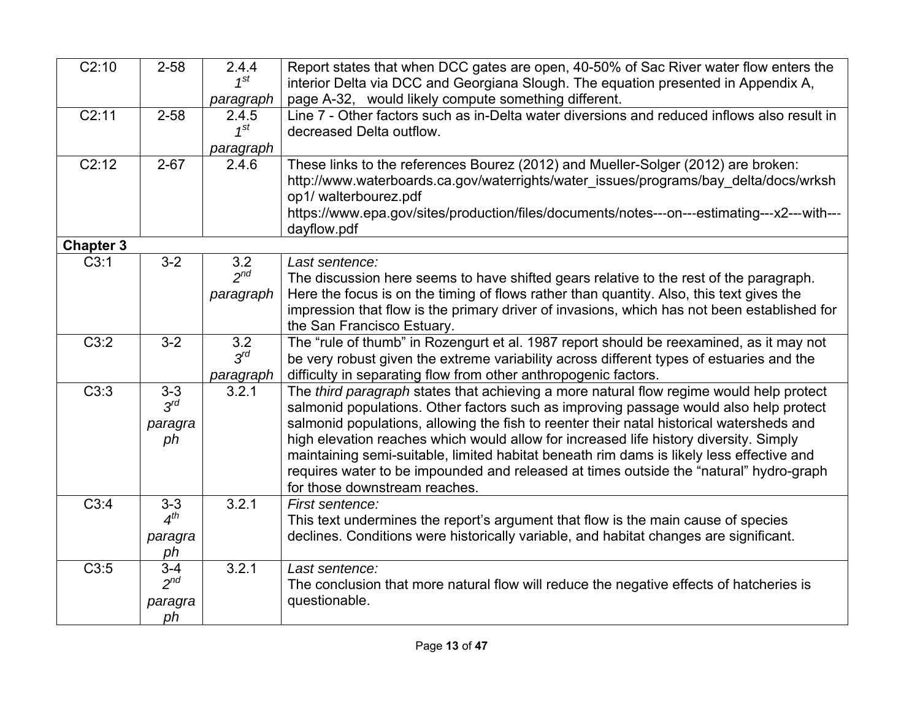| $\overline{C2:10}$ | $2 - 58$                             | 2.4.4<br>$1^{st}$<br>paragraph | Report states that when DCC gates are open, 40-50% of Sac River water flow enters the<br>interior Delta via DCC and Georgiana Slough. The equation presented in Appendix A,<br>page A-32, would likely compute something different.                                                                                                                                                                                                                                                                                                                                                          |
|--------------------|--------------------------------------|--------------------------------|----------------------------------------------------------------------------------------------------------------------------------------------------------------------------------------------------------------------------------------------------------------------------------------------------------------------------------------------------------------------------------------------------------------------------------------------------------------------------------------------------------------------------------------------------------------------------------------------|
| C2:11              | $2 - 58$                             | 2.4.5<br>$1^{St}$<br>paragraph | Line 7 - Other factors such as in-Delta water diversions and reduced inflows also result in<br>decreased Delta outflow.                                                                                                                                                                                                                                                                                                                                                                                                                                                                      |
| $\overline{C2:12}$ | $2 - 67$                             | 2.4.6                          | These links to the references Bourez (2012) and Mueller-Solger (2012) are broken:<br>http://www.waterboards.ca.gov/waterrights/water_issues/programs/bay_delta/docs/wrksh<br>op1/walterbourez.pdf<br>https://www.epa.gov/sites/production/files/documents/notes---on---estimating---x2---with---<br>dayflow.pdf                                                                                                                                                                                                                                                                              |
| <b>Chapter 3</b>   |                                      |                                |                                                                                                                                                                                                                                                                                                                                                                                                                                                                                                                                                                                              |
| C3:1               | $3 - 2$                              | 3.2<br>$2^{nd}$<br>paragraph   | Last sentence:<br>The discussion here seems to have shifted gears relative to the rest of the paragraph.<br>Here the focus is on the timing of flows rather than quantity. Also, this text gives the<br>impression that flow is the primary driver of invasions, which has not been established for<br>the San Francisco Estuary.                                                                                                                                                                                                                                                            |
| C3:2               | $3-2$                                | 3.2<br>$3^{rd}$<br>paragraph   | The "rule of thumb" in Rozengurt et al. 1987 report should be reexamined, as it may not<br>be very robust given the extreme variability across different types of estuaries and the<br>difficulty in separating flow from other anthropogenic factors.                                                                                                                                                                                                                                                                                                                                       |
| C3:3               | $3 - 3$<br>$3^{rd}$<br>paragra<br>ph | 3.2.1                          | The third paragraph states that achieving a more natural flow regime would help protect<br>salmonid populations. Other factors such as improving passage would also help protect<br>salmonid populations, allowing the fish to reenter their natal historical watersheds and<br>high elevation reaches which would allow for increased life history diversity. Simply<br>maintaining semi-suitable, limited habitat beneath rim dams is likely less effective and<br>requires water to be impounded and released at times outside the "natural" hydro-graph<br>for those downstream reaches. |
| C3:4               | $3 - 3$<br>$4^{th}$<br>paragra<br>ph | 3.2.1                          | First sentence:<br>This text undermines the report's argument that flow is the main cause of species<br>declines. Conditions were historically variable, and habitat changes are significant.                                                                                                                                                                                                                                                                                                                                                                                                |
| C3:5               | $3 - 4$<br>$2^{nd}$<br>paragra<br>ph | 3.2.1                          | Last sentence:<br>The conclusion that more natural flow will reduce the negative effects of hatcheries is<br>questionable.                                                                                                                                                                                                                                                                                                                                                                                                                                                                   |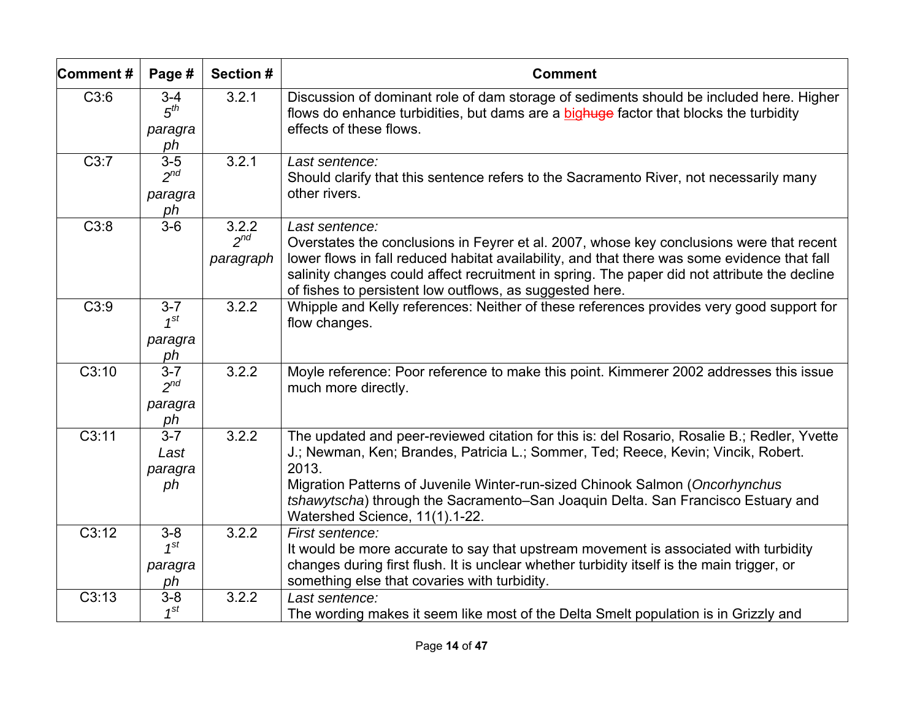| Comment# | Page #                                      | Section #                      | <b>Comment</b>                                                                                                                                                                                                                                                                                                                                                                                  |
|----------|---------------------------------------------|--------------------------------|-------------------------------------------------------------------------------------------------------------------------------------------------------------------------------------------------------------------------------------------------------------------------------------------------------------------------------------------------------------------------------------------------|
| C3:6     | $3 - 4$<br>5 <sup>th</sup><br>paragra<br>ph | 3.2.1                          | Discussion of dominant role of dam storage of sediments should be included here. Higher<br>flows do enhance turbidities, but dams are a bighuge factor that blocks the turbidity<br>effects of these flows.                                                                                                                                                                                     |
| C3:7     | $3-5$<br>$2^{nd}$<br>paragra<br>ph          | 3.2.1                          | Last sentence:<br>Should clarify that this sentence refers to the Sacramento River, not necessarily many<br>other rivers.                                                                                                                                                                                                                                                                       |
| C3:8     | $3-6$                                       | 3.2.2<br>$2^{nd}$<br>paragraph | Last sentence:<br>Overstates the conclusions in Feyrer et al. 2007, whose key conclusions were that recent<br>lower flows in fall reduced habitat availability, and that there was some evidence that fall<br>salinity changes could affect recruitment in spring. The paper did not attribute the decline<br>of fishes to persistent low outflows, as suggested here.                          |
| C3:9     | $3 - 7$<br>$1^{st}$<br>paragra<br>ph        | 3.2.2                          | Whipple and Kelly references: Neither of these references provides very good support for<br>flow changes.                                                                                                                                                                                                                                                                                       |
| C3:10    | $3 - 7$<br>$2^{nd}$<br>paragra<br>ph        | 3.2.2                          | Moyle reference: Poor reference to make this point. Kimmerer 2002 addresses this issue<br>much more directly.                                                                                                                                                                                                                                                                                   |
| C3:11    | $3 - 7$<br>Last<br>paragra<br>ph            | 3.2.2                          | The updated and peer-reviewed citation for this is: del Rosario, Rosalie B.; Redler, Yvette<br>J.; Newman, Ken; Brandes, Patricia L.; Sommer, Ted; Reece, Kevin; Vincik, Robert.<br>2013.<br>Migration Patterns of Juvenile Winter-run-sized Chinook Salmon (Oncorhynchus<br>tshawytscha) through the Sacramento-San Joaquin Delta. San Francisco Estuary and<br>Watershed Science, 11(1).1-22. |
| C3:12    | $3-8$<br>$1^{st}$<br>paragra<br>ph          | 3.2.2                          | First sentence:<br>It would be more accurate to say that upstream movement is associated with turbidity<br>changes during first flush. It is unclear whether turbidity itself is the main trigger, or<br>something else that covaries with turbidity.                                                                                                                                           |
| C3:13    | $3-8$<br>$1^{st}$                           | 3.2.2                          | Last sentence:<br>The wording makes it seem like most of the Delta Smelt population is in Grizzly and                                                                                                                                                                                                                                                                                           |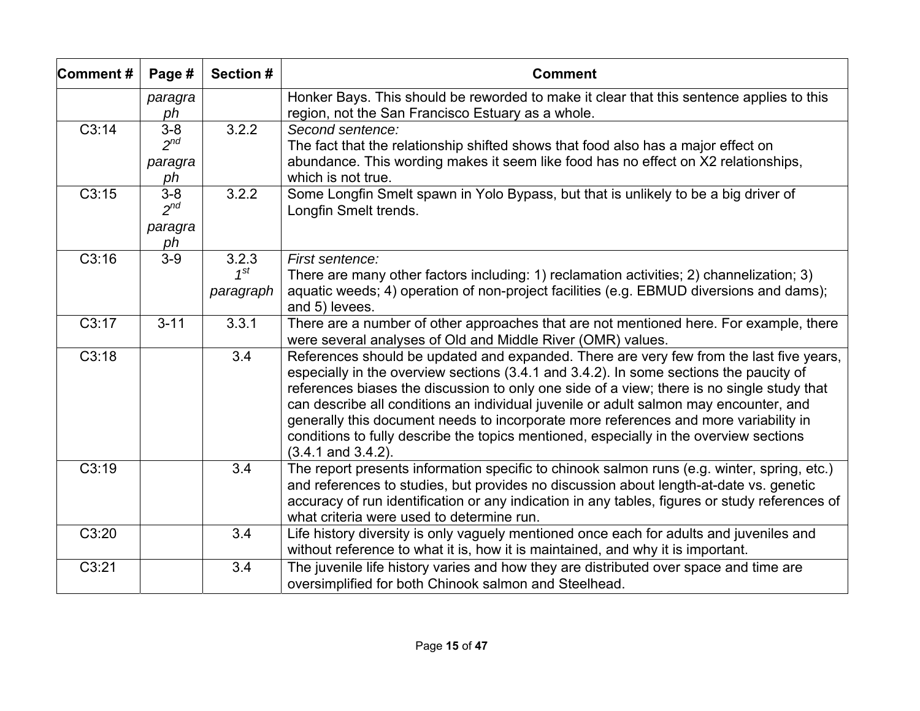| Comment#           | Page #                               | Section #                      | <b>Comment</b>                                                                                                                                                                                                                                                                                                                                                                                                                                                                                                                                                                        |
|--------------------|--------------------------------------|--------------------------------|---------------------------------------------------------------------------------------------------------------------------------------------------------------------------------------------------------------------------------------------------------------------------------------------------------------------------------------------------------------------------------------------------------------------------------------------------------------------------------------------------------------------------------------------------------------------------------------|
|                    | paragra<br>ph                        |                                | Honker Bays. This should be reworded to make it clear that this sentence applies to this<br>region, not the San Francisco Estuary as a whole.                                                                                                                                                                                                                                                                                                                                                                                                                                         |
| $\overline{C3:14}$ | $3-8$<br>$2^{nd}$<br>paragra<br>ph   | 3.2.2                          | Second sentence:<br>The fact that the relationship shifted shows that food also has a major effect on<br>abundance. This wording makes it seem like food has no effect on X2 relationships,<br>which is not true.                                                                                                                                                                                                                                                                                                                                                                     |
| C3:15              | $3 - 8$<br>$2^{nd}$<br>paragra<br>ph | 3.2.2                          | Some Longfin Smelt spawn in Yolo Bypass, but that is unlikely to be a big driver of<br>Longfin Smelt trends.                                                                                                                                                                                                                                                                                                                                                                                                                                                                          |
| C3:16              | $3-9$                                | 3.2.3<br>$1^{St}$<br>paragraph | First sentence:<br>There are many other factors including: 1) reclamation activities; 2) channelization; 3)<br>aquatic weeds; 4) operation of non-project facilities (e.g. EBMUD diversions and dams);<br>and 5) levees.                                                                                                                                                                                                                                                                                                                                                              |
| C3:17              | $3 - 11$                             | 3.3.1                          | There are a number of other approaches that are not mentioned here. For example, there<br>were several analyses of Old and Middle River (OMR) values.                                                                                                                                                                                                                                                                                                                                                                                                                                 |
| C3:18              |                                      | 3.4                            | References should be updated and expanded. There are very few from the last five years,<br>especially in the overview sections (3.4.1 and 3.4.2). In some sections the paucity of<br>references biases the discussion to only one side of a view; there is no single study that<br>can describe all conditions an individual juvenile or adult salmon may encounter, and<br>generally this document needs to incorporate more references and more variability in<br>conditions to fully describe the topics mentioned, especially in the overview sections<br>$(3.4.1$ and $3.4.2)$ . |
| C3:19              |                                      | 3.4                            | The report presents information specific to chinook salmon runs (e.g. winter, spring, etc.)<br>and references to studies, but provides no discussion about length-at-date vs. genetic<br>accuracy of run identification or any indication in any tables, figures or study references of<br>what criteria were used to determine run.                                                                                                                                                                                                                                                  |
| C3:20              |                                      | 3.4                            | Life history diversity is only vaguely mentioned once each for adults and juveniles and<br>without reference to what it is, how it is maintained, and why it is important.                                                                                                                                                                                                                                                                                                                                                                                                            |
| C3:21              |                                      | 3.4                            | The juvenile life history varies and how they are distributed over space and time are<br>oversimplified for both Chinook salmon and Steelhead.                                                                                                                                                                                                                                                                                                                                                                                                                                        |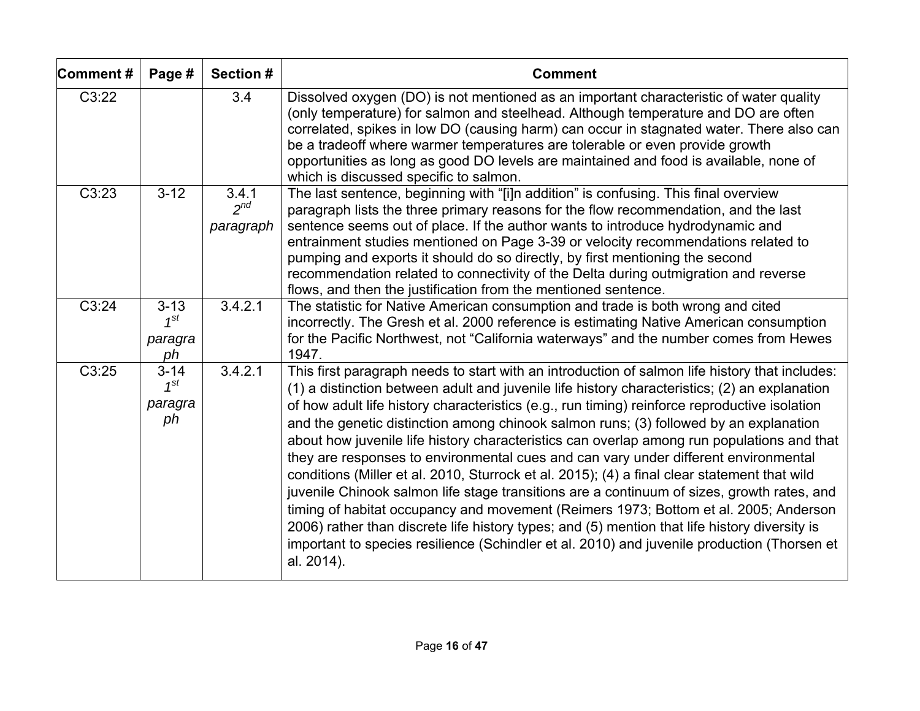| Comment# | Page #                                | Section #                      | <b>Comment</b>                                                                                                                                                                                                                                                                                                                                                                                                                                                                                                                                                                                                                                                                                                                                                                                                                                                                                                                                                                                                                                                                     |
|----------|---------------------------------------|--------------------------------|------------------------------------------------------------------------------------------------------------------------------------------------------------------------------------------------------------------------------------------------------------------------------------------------------------------------------------------------------------------------------------------------------------------------------------------------------------------------------------------------------------------------------------------------------------------------------------------------------------------------------------------------------------------------------------------------------------------------------------------------------------------------------------------------------------------------------------------------------------------------------------------------------------------------------------------------------------------------------------------------------------------------------------------------------------------------------------|
| C3:22    |                                       | 3.4                            | Dissolved oxygen (DO) is not mentioned as an important characteristic of water quality<br>(only temperature) for salmon and steelhead. Although temperature and DO are often<br>correlated, spikes in low DO (causing harm) can occur in stagnated water. There also can<br>be a tradeoff where warmer temperatures are tolerable or even provide growth<br>opportunities as long as good DO levels are maintained and food is available, none of<br>which is discussed specific to salmon.                                                                                                                                                                                                                                                                                                                                                                                                                                                                                                                                                                                        |
| C3:23    | $3 - 12$                              | 3.4.1<br>$2^{nd}$<br>paragraph | The last sentence, beginning with "[i]n addition" is confusing. This final overview<br>paragraph lists the three primary reasons for the flow recommendation, and the last<br>sentence seems out of place. If the author wants to introduce hydrodynamic and<br>entrainment studies mentioned on Page 3-39 or velocity recommendations related to<br>pumping and exports it should do so directly, by first mentioning the second<br>recommendation related to connectivity of the Delta during outmigration and reverse<br>flows, and then the justification from the mentioned sentence.                                                                                                                                                                                                                                                                                                                                                                                                                                                                                         |
| C3:24    | $3 - 13$<br>$1^{St}$<br>paragra<br>ph | 3.4.2.1                        | The statistic for Native American consumption and trade is both wrong and cited<br>incorrectly. The Gresh et al. 2000 reference is estimating Native American consumption<br>for the Pacific Northwest, not "California waterways" and the number comes from Hewes<br>1947.                                                                                                                                                                                                                                                                                                                                                                                                                                                                                                                                                                                                                                                                                                                                                                                                        |
| C3:25    | $3 - 14$<br>$1^{st}$<br>paragra<br>ph | 3.4.2.1                        | This first paragraph needs to start with an introduction of salmon life history that includes:<br>(1) a distinction between adult and juvenile life history characteristics; (2) an explanation<br>of how adult life history characteristics (e.g., run timing) reinforce reproductive isolation<br>and the genetic distinction among chinook salmon runs; (3) followed by an explanation<br>about how juvenile life history characteristics can overlap among run populations and that<br>they are responses to environmental cues and can vary under different environmental<br>conditions (Miller et al. 2010, Sturrock et al. 2015); (4) a final clear statement that wild<br>juvenile Chinook salmon life stage transitions are a continuum of sizes, growth rates, and<br>timing of habitat occupancy and movement (Reimers 1973; Bottom et al. 2005; Anderson<br>2006) rather than discrete life history types; and (5) mention that life history diversity is<br>important to species resilience (Schindler et al. 2010) and juvenile production (Thorsen et<br>al. 2014). |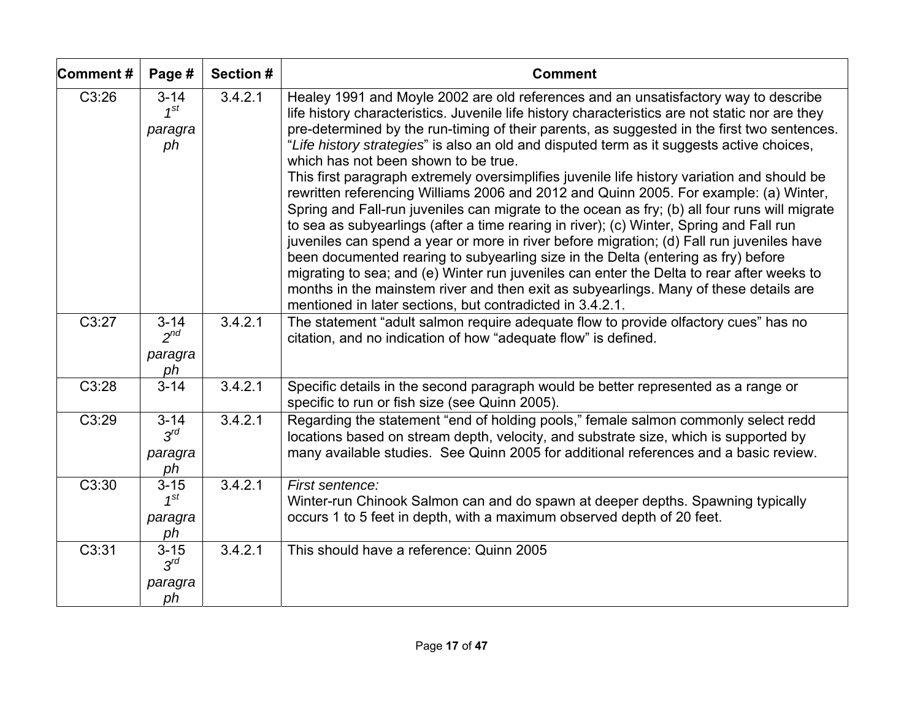| Comment# | Page #                                | <b>Section #</b> | <b>Comment</b>                                                                                                                                                                                                                                                                                                                                                                                                                                                                                                                                                                                                                                                                                                                                                                                                                                                                                                                                                                                                                                                                                                                                                                                                                                      |
|----------|---------------------------------------|------------------|-----------------------------------------------------------------------------------------------------------------------------------------------------------------------------------------------------------------------------------------------------------------------------------------------------------------------------------------------------------------------------------------------------------------------------------------------------------------------------------------------------------------------------------------------------------------------------------------------------------------------------------------------------------------------------------------------------------------------------------------------------------------------------------------------------------------------------------------------------------------------------------------------------------------------------------------------------------------------------------------------------------------------------------------------------------------------------------------------------------------------------------------------------------------------------------------------------------------------------------------------------|
| C3:26    | $3 - 14$<br>$1^{St}$<br>paragra<br>ph | 3.4.2.1          | Healey 1991 and Moyle 2002 are old references and an unsatisfactory way to describe<br>life history characteristics. Juvenile life history characteristics are not static nor are they<br>pre-determined by the run-timing of their parents, as suggested in the first two sentences.<br>"Life history strategies" is also an old and disputed term as it suggests active choices,<br>which has not been shown to be true.<br>This first paragraph extremely oversimplifies juvenile life history variation and should be<br>rewritten referencing Williams 2006 and 2012 and Quinn 2005. For example: (a) Winter,<br>Spring and Fall-run juveniles can migrate to the ocean as fry; (b) all four runs will migrate<br>to sea as subyearlings (after a time rearing in river); (c) Winter, Spring and Fall run<br>juveniles can spend a year or more in river before migration; (d) Fall run juveniles have<br>been documented rearing to subyearling size in the Delta (entering as fry) before<br>migrating to sea; and (e) Winter run juveniles can enter the Delta to rear after weeks to<br>months in the mainstem river and then exit as subyearlings. Many of these details are<br>mentioned in later sections, but contradicted in 3.4.2.1. |
| C3:27    | $3 - 14$<br>$2^{nd}$<br>paragra<br>ph | 3.4.2.1          | The statement "adult salmon require adequate flow to provide olfactory cues" has no<br>citation, and no indication of how "adequate flow" is defined.                                                                                                                                                                                                                                                                                                                                                                                                                                                                                                                                                                                                                                                                                                                                                                                                                                                                                                                                                                                                                                                                                               |
| C3:28    | $3 - 14$                              | 3.4.2.1          | Specific details in the second paragraph would be better represented as a range or<br>specific to run or fish size (see Quinn 2005).                                                                                                                                                                                                                                                                                                                                                                                                                                                                                                                                                                                                                                                                                                                                                                                                                                                                                                                                                                                                                                                                                                                |
| C3:29    | $3 - 14$<br>$3^{rd}$<br>paragra<br>ph | 3.4.2.1          | Regarding the statement "end of holding pools," female salmon commonly select redd<br>locations based on stream depth, velocity, and substrate size, which is supported by<br>many available studies. See Quinn 2005 for additional references and a basic review.                                                                                                                                                                                                                                                                                                                                                                                                                                                                                                                                                                                                                                                                                                                                                                                                                                                                                                                                                                                  |
| C3:30    | $3 - 15$<br>$1^{st}$<br>paragra<br>ph | 3.4.2.1          | First sentence:<br>Winter-run Chinook Salmon can and do spawn at deeper depths. Spawning typically<br>occurs 1 to 5 feet in depth, with a maximum observed depth of 20 feet.                                                                                                                                                                                                                                                                                                                                                                                                                                                                                                                                                                                                                                                                                                                                                                                                                                                                                                                                                                                                                                                                        |
| C3:31    | $3 - 15$<br>$3^{rd}$<br>paragra<br>ph | 3.4.2.1          | This should have a reference: Quinn 2005                                                                                                                                                                                                                                                                                                                                                                                                                                                                                                                                                                                                                                                                                                                                                                                                                                                                                                                                                                                                                                                                                                                                                                                                            |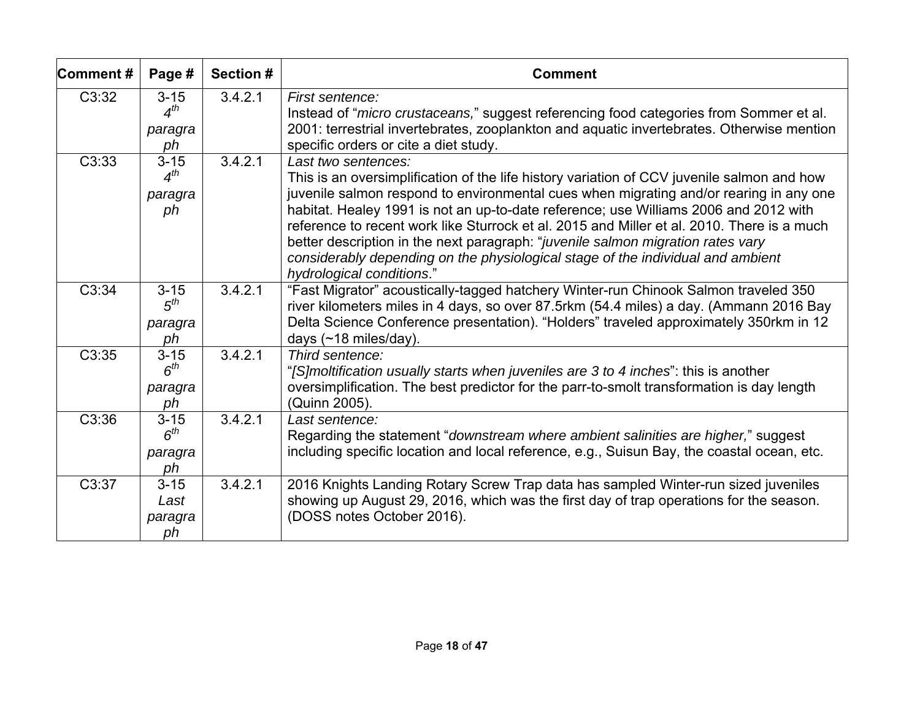| Comment# | Page #                                | Section # | <b>Comment</b>                                                                                                                                                                                                                                                                                                                                                                                                                                                                                                                                                                                       |
|----------|---------------------------------------|-----------|------------------------------------------------------------------------------------------------------------------------------------------------------------------------------------------------------------------------------------------------------------------------------------------------------------------------------------------------------------------------------------------------------------------------------------------------------------------------------------------------------------------------------------------------------------------------------------------------------|
| C3:32    | $3 - 15$<br>$4^{th}$<br>paragra<br>ph | 3.4.2.1   | First sentence:<br>Instead of "micro crustaceans," suggest referencing food categories from Sommer et al.<br>2001: terrestrial invertebrates, zooplankton and aquatic invertebrates. Otherwise mention<br>specific orders or cite a diet study.                                                                                                                                                                                                                                                                                                                                                      |
| C3:33    | $3 - 15$<br>$4^{th}$<br>paragra<br>ph | 3.4.2.1   | Last two sentences:<br>This is an oversimplification of the life history variation of CCV juvenile salmon and how<br>juvenile salmon respond to environmental cues when migrating and/or rearing in any one<br>habitat. Healey 1991 is not an up-to-date reference; use Williams 2006 and 2012 with<br>reference to recent work like Sturrock et al. 2015 and Miller et al. 2010. There is a much<br>better description in the next paragraph: "juvenile salmon migration rates vary<br>considerably depending on the physiological stage of the individual and ambient<br>hydrological conditions." |
| C3:34    | $3 - 15$<br>$5^{th}$<br>paragra<br>ph | 3.4.2.1   | "Fast Migrator" acoustically-tagged hatchery Winter-run Chinook Salmon traveled 350<br>river kilometers miles in 4 days, so over 87.5rkm (54.4 miles) a day. (Ammann 2016 Bay<br>Delta Science Conference presentation). "Holders" traveled approximately 350rkm in 12<br>days $(~18 \text{ miles/day})$ .                                                                                                                                                                                                                                                                                           |
| C3:35    | $3 - 15$<br>$6^{th}$<br>paragra<br>ph | 3.4.2.1   | Third sentence:<br>"[S]moltification usually starts when juveniles are 3 to 4 inches": this is another<br>oversimplification. The best predictor for the parr-to-smolt transformation is day length<br>(Quinn 2005).                                                                                                                                                                                                                                                                                                                                                                                 |
| C3:36    | $3 - 15$<br>$6^{th}$<br>paragra<br>ph | 3.4.2.1   | Last sentence:<br>Regarding the statement "downstream where ambient salinities are higher," suggest<br>including specific location and local reference, e.g., Suisun Bay, the coastal ocean, etc.                                                                                                                                                                                                                                                                                                                                                                                                    |
| C3:37    | $3 - 15$<br>Last<br>paragra<br>ph     | 3.4.2.1   | 2016 Knights Landing Rotary Screw Trap data has sampled Winter-run sized juveniles<br>showing up August 29, 2016, which was the first day of trap operations for the season.<br>(DOSS notes October 2016).                                                                                                                                                                                                                                                                                                                                                                                           |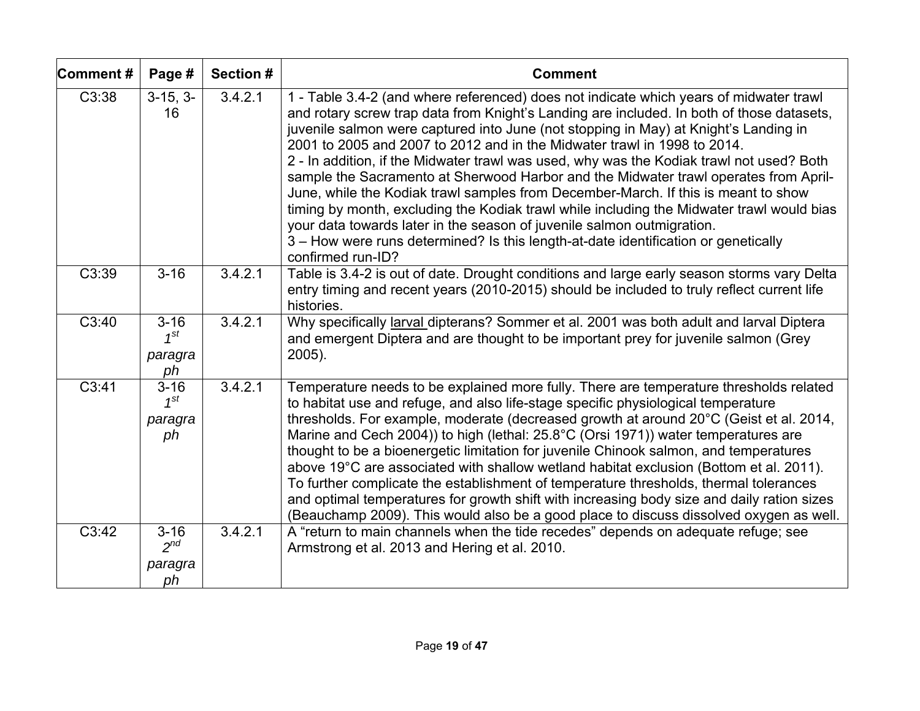| Comment# | Page #                                | Section # | <b>Comment</b>                                                                                                                                                                                                                                                                                                                                                                                                                                                                                                                                                                                                                                                                                                                                                                                                                                                                                                      |
|----------|---------------------------------------|-----------|---------------------------------------------------------------------------------------------------------------------------------------------------------------------------------------------------------------------------------------------------------------------------------------------------------------------------------------------------------------------------------------------------------------------------------------------------------------------------------------------------------------------------------------------------------------------------------------------------------------------------------------------------------------------------------------------------------------------------------------------------------------------------------------------------------------------------------------------------------------------------------------------------------------------|
| C3:38    | $3-15, 3-$<br>16                      | 3.4.2.1   | 1 - Table 3.4-2 (and where referenced) does not indicate which years of midwater trawl<br>and rotary screw trap data from Knight's Landing are included. In both of those datasets,<br>juvenile salmon were captured into June (not stopping in May) at Knight's Landing in<br>2001 to 2005 and 2007 to 2012 and in the Midwater trawl in 1998 to 2014.<br>2 - In addition, if the Midwater trawl was used, why was the Kodiak trawl not used? Both<br>sample the Sacramento at Sherwood Harbor and the Midwater trawl operates from April-<br>June, while the Kodiak trawl samples from December-March. If this is meant to show<br>timing by month, excluding the Kodiak trawl while including the Midwater trawl would bias<br>your data towards later in the season of juvenile salmon outmigration.<br>3 - How were runs determined? Is this length-at-date identification or genetically<br>confirmed run-ID? |
| C3:39    | $3 - 16$                              | 3.4.2.1   | Table is 3.4-2 is out of date. Drought conditions and large early season storms vary Delta<br>entry timing and recent years (2010-2015) should be included to truly reflect current life<br>histories.                                                                                                                                                                                                                                                                                                                                                                                                                                                                                                                                                                                                                                                                                                              |
| C3:40    | $3 - 16$<br>$1^{st}$<br>paragra<br>ph | 3.4.2.1   | Why specifically larval dipterans? Sommer et al. 2001 was both adult and larval Diptera<br>and emergent Diptera and are thought to be important prey for juvenile salmon (Grey<br>$2005$ ).                                                                                                                                                                                                                                                                                                                                                                                                                                                                                                                                                                                                                                                                                                                         |
| C3:41    | $3 - 16$<br>$1^{st}$<br>paragra<br>ph | 3.4.2.1   | Temperature needs to be explained more fully. There are temperature thresholds related<br>to habitat use and refuge, and also life-stage specific physiological temperature<br>thresholds. For example, moderate (decreased growth at around 20°C (Geist et al. 2014,<br>Marine and Cech 2004)) to high (lethal: 25.8°C (Orsi 1971)) water temperatures are<br>thought to be a bioenergetic limitation for juvenile Chinook salmon, and temperatures<br>above 19°C are associated with shallow wetland habitat exclusion (Bottom et al. 2011).<br>To further complicate the establishment of temperature thresholds, thermal tolerances<br>and optimal temperatures for growth shift with increasing body size and daily ration sizes<br>(Beauchamp 2009). This would also be a good place to discuss dissolved oxygen as well.                                                                                     |
| C3:42    | $3 - 16$<br>$2^{nd}$<br>paragra<br>ph | 3.4.2.1   | A "return to main channels when the tide recedes" depends on adequate refuge; see<br>Armstrong et al. 2013 and Hering et al. 2010.                                                                                                                                                                                                                                                                                                                                                                                                                                                                                                                                                                                                                                                                                                                                                                                  |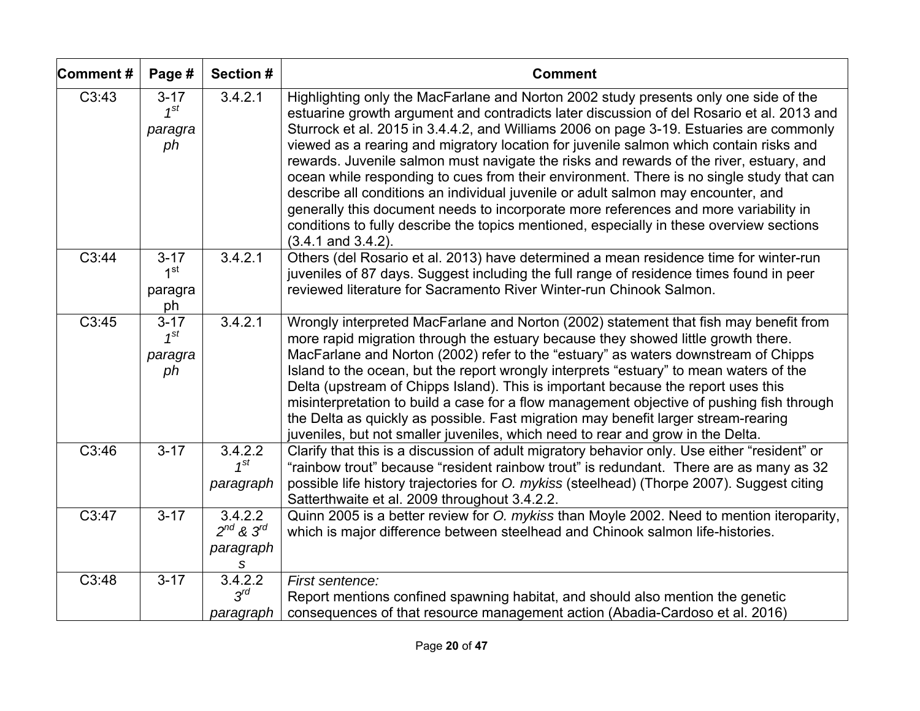| Comment#           | Page #                                       | Section #                                        | <b>Comment</b>                                                                                                                                                                                                                                                                                                                                                                                                                                                                                                                                                                                                                                                                                                                                                                                                                                                    |
|--------------------|----------------------------------------------|--------------------------------------------------|-------------------------------------------------------------------------------------------------------------------------------------------------------------------------------------------------------------------------------------------------------------------------------------------------------------------------------------------------------------------------------------------------------------------------------------------------------------------------------------------------------------------------------------------------------------------------------------------------------------------------------------------------------------------------------------------------------------------------------------------------------------------------------------------------------------------------------------------------------------------|
| C3:43              | $3 - 17$<br>$1^{st}$<br>paragra<br>ph        | 3.4.2.1                                          | Highlighting only the MacFarlane and Norton 2002 study presents only one side of the<br>estuarine growth argument and contradicts later discussion of del Rosario et al. 2013 and<br>Sturrock et al. 2015 in 3.4.4.2, and Williams 2006 on page 3-19. Estuaries are commonly<br>viewed as a rearing and migratory location for juvenile salmon which contain risks and<br>rewards. Juvenile salmon must navigate the risks and rewards of the river, estuary, and<br>ocean while responding to cues from their environment. There is no single study that can<br>describe all conditions an individual juvenile or adult salmon may encounter, and<br>generally this document needs to incorporate more references and more variability in<br>conditions to fully describe the topics mentioned, especially in these overview sections<br>$(3.4.1$ and $3.4.2)$ . |
| C3:44              | $3 - 17$<br>1 <sup>st</sup><br>paragra<br>ph | 3.4.2.1                                          | Others (del Rosario et al. 2013) have determined a mean residence time for winter-run<br>juveniles of 87 days. Suggest including the full range of residence times found in peer<br>reviewed literature for Sacramento River Winter-run Chinook Salmon.                                                                                                                                                                                                                                                                                                                                                                                                                                                                                                                                                                                                           |
| C3:45              | $3 - 17$<br>$1^{St}$<br>paragra<br>ph        | 3.4.2.1                                          | Wrongly interpreted MacFarlane and Norton (2002) statement that fish may benefit from<br>more rapid migration through the estuary because they showed little growth there.<br>MacFarlane and Norton (2002) refer to the "estuary" as waters downstream of Chipps<br>Island to the ocean, but the report wrongly interprets "estuary" to mean waters of the<br>Delta (upstream of Chipps Island). This is important because the report uses this<br>misinterpretation to build a case for a flow management objective of pushing fish through<br>the Delta as quickly as possible. Fast migration may benefit larger stream-rearing<br>juveniles, but not smaller juveniles, which need to rear and grow in the Delta.                                                                                                                                             |
| C3:46              | $3 - 17$                                     | 3.4.2.2<br>$1^{st}$<br>paragraph                 | Clarify that this is a discussion of adult migratory behavior only. Use either "resident" or<br>"rainbow trout" because "resident rainbow trout" is redundant. There are as many as 32<br>possible life history trajectories for O. mykiss (steelhead) (Thorpe 2007). Suggest citing<br>Satterthwaite et al. 2009 throughout 3.4.2.2.                                                                                                                                                                                                                                                                                                                                                                                                                                                                                                                             |
| $\overline{C3:47}$ | $3 - 17$                                     | 3.4.2.2<br>$2^{nd}$ & $3^{rd}$<br>paragraph<br>s | Quinn 2005 is a better review for O. mykiss than Moyle 2002. Need to mention iteroparity,<br>which is major difference between steelhead and Chinook salmon life-histories.                                                                                                                                                                                                                                                                                                                                                                                                                                                                                                                                                                                                                                                                                       |
| C3:48              | $3 - 17$                                     | 3.4.2.2<br>$3^{rd}$<br>paragraph                 | First sentence:<br>Report mentions confined spawning habitat, and should also mention the genetic<br>consequences of that resource management action (Abadia-Cardoso et al. 2016)                                                                                                                                                                                                                                                                                                                                                                                                                                                                                                                                                                                                                                                                                 |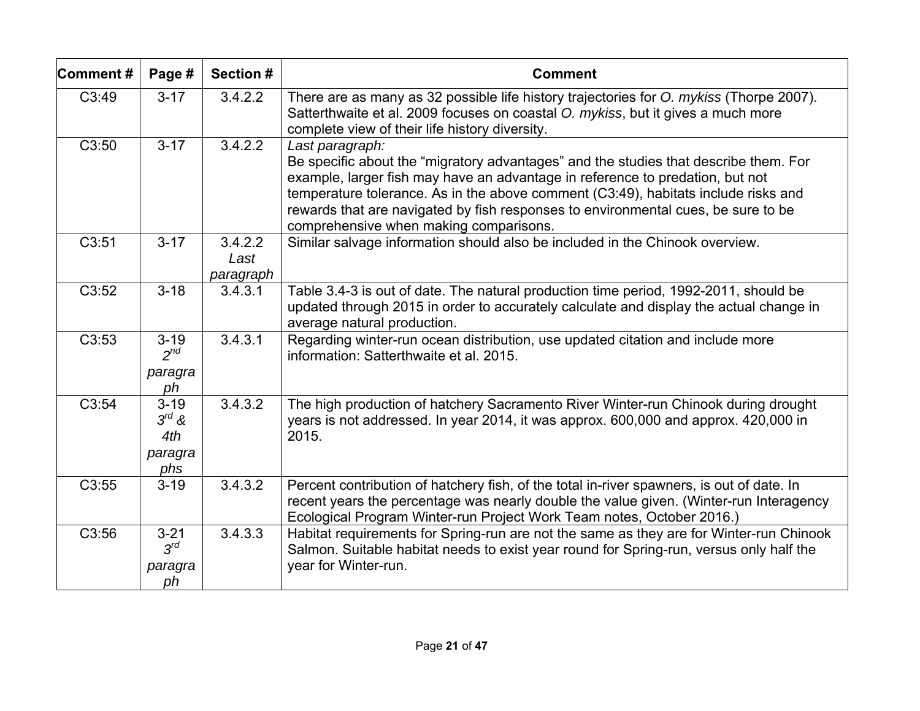| Comment# | Page #                                          | Section #                    | <b>Comment</b>                                                                                                                                                                                                                                                                                                                                                                                                |
|----------|-------------------------------------------------|------------------------------|---------------------------------------------------------------------------------------------------------------------------------------------------------------------------------------------------------------------------------------------------------------------------------------------------------------------------------------------------------------------------------------------------------------|
| C3:49    | $3 - 17$                                        | 3.4.2.2                      | There are as many as 32 possible life history trajectories for O. mykiss (Thorpe 2007).<br>Satterthwaite et al. 2009 focuses on coastal O. mykiss, but it gives a much more<br>complete view of their life history diversity.                                                                                                                                                                                 |
| C3:50    | $3 - 17$                                        | 3.4.2.2                      | Last paragraph:<br>Be specific about the "migratory advantages" and the studies that describe them. For<br>example, larger fish may have an advantage in reference to predation, but not<br>temperature tolerance. As in the above comment (C3:49), habitats include risks and<br>rewards that are navigated by fish responses to environmental cues, be sure to be<br>comprehensive when making comparisons. |
| C3:51    | $3 - 17$                                        | 3.4.2.2<br>Last<br>paragraph | Similar salvage information should also be included in the Chinook overview.                                                                                                                                                                                                                                                                                                                                  |
| C3:52    | $3 - 18$                                        | 3.4.3.1                      | Table 3.4-3 is out of date. The natural production time period, 1992-2011, should be<br>updated through 2015 in order to accurately calculate and display the actual change in<br>average natural production.                                                                                                                                                                                                 |
| C3:53    | $3 - 19$<br>$2^{nd}$<br>paragra<br>ph           | 3.4.3.1                      | Regarding winter-run ocean distribution, use updated citation and include more<br>information: Satterthwaite et al. 2015.                                                                                                                                                                                                                                                                                     |
| C3:54    | $3 - 19$<br>$3^{rd}$ &<br>4th<br>paragra<br>phs | 3.4.3.2                      | The high production of hatchery Sacramento River Winter-run Chinook during drought<br>years is not addressed. In year 2014, it was approx. 600,000 and approx. 420,000 in<br>2015.                                                                                                                                                                                                                            |
| C3:55    | $3 - 19$                                        | 3.4.3.2                      | Percent contribution of hatchery fish, of the total in-river spawners, is out of date. In<br>recent years the percentage was nearly double the value given. (Winter-run Interagency<br>Ecological Program Winter-run Project Work Team notes, October 2016.)                                                                                                                                                  |
| C3:56    | $3 - 21$<br>$3^{rd}$<br>paragra<br>ph           | 3.4.3.3                      | Habitat requirements for Spring-run are not the same as they are for Winter-run Chinook<br>Salmon. Suitable habitat needs to exist year round for Spring-run, versus only half the<br>year for Winter-run.                                                                                                                                                                                                    |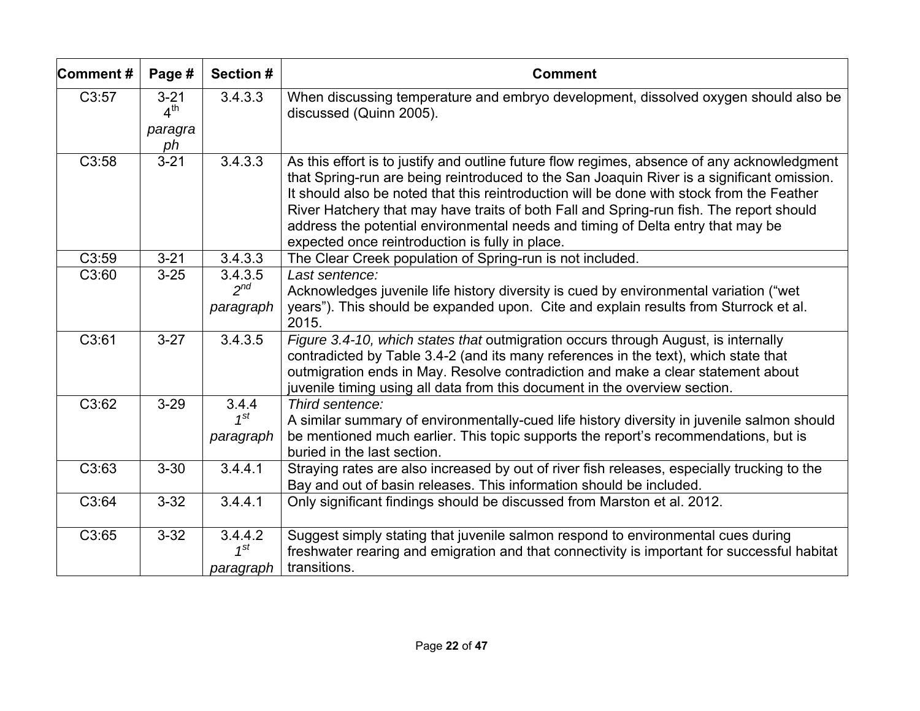| Comment# | Page #                                       | Section #                        | <b>Comment</b>                                                                                                                                                                                                                                                                                                                                                                                                                                                                                                          |
|----------|----------------------------------------------|----------------------------------|-------------------------------------------------------------------------------------------------------------------------------------------------------------------------------------------------------------------------------------------------------------------------------------------------------------------------------------------------------------------------------------------------------------------------------------------------------------------------------------------------------------------------|
| C3:57    | $3 - 21$<br>$4^{\text{th}}$<br>paragra<br>ph | 3.4.3.3                          | When discussing temperature and embryo development, dissolved oxygen should also be<br>discussed (Quinn 2005).                                                                                                                                                                                                                                                                                                                                                                                                          |
| C3:58    | $3 - 21$                                     | 3.4.3.3                          | As this effort is to justify and outline future flow regimes, absence of any acknowledgment<br>that Spring-run are being reintroduced to the San Joaquin River is a significant omission.<br>It should also be noted that this reintroduction will be done with stock from the Feather<br>River Hatchery that may have traits of both Fall and Spring-run fish. The report should<br>address the potential environmental needs and timing of Delta entry that may be<br>expected once reintroduction is fully in place. |
| C3:59    | $3 - 21$                                     | 3.4.3.3                          | The Clear Creek population of Spring-run is not included.                                                                                                                                                                                                                                                                                                                                                                                                                                                               |
| C3:60    | $3 - 25$                                     | 3.4.3.5<br>$2^{nd}$              | Last sentence:<br>Acknowledges juvenile life history diversity is cued by environmental variation ("wet                                                                                                                                                                                                                                                                                                                                                                                                                 |
|          |                                              | paragraph                        | years"). This should be expanded upon. Cite and explain results from Sturrock et al.<br>2015.                                                                                                                                                                                                                                                                                                                                                                                                                           |
| C3:61    | $3 - 27$                                     | 3.4.3.5                          | Figure 3.4-10, which states that outmigration occurs through August, is internally<br>contradicted by Table 3.4-2 (and its many references in the text), which state that<br>outmigration ends in May. Resolve contradiction and make a clear statement about<br>juvenile timing using all data from this document in the overview section.                                                                                                                                                                             |
| C3:62    | $3 - 29$                                     | 3.4.4<br>$1^{st}$<br>paragraph   | Third sentence:<br>A similar summary of environmentally-cued life history diversity in juvenile salmon should<br>be mentioned much earlier. This topic supports the report's recommendations, but is<br>buried in the last section.                                                                                                                                                                                                                                                                                     |
| C3:63    | $3 - 30$                                     | 3.4.4.1                          | Straying rates are also increased by out of river fish releases, especially trucking to the<br>Bay and out of basin releases. This information should be included.                                                                                                                                                                                                                                                                                                                                                      |
| C3:64    | $3 - 32$                                     | 3.4.4.1                          | Only significant findings should be discussed from Marston et al. 2012.                                                                                                                                                                                                                                                                                                                                                                                                                                                 |
| C3:65    | $3 - 32$                                     | 3.4.4.2<br>$1^{st}$<br>paragraph | Suggest simply stating that juvenile salmon respond to environmental cues during<br>freshwater rearing and emigration and that connectivity is important for successful habitat<br>transitions.                                                                                                                                                                                                                                                                                                                         |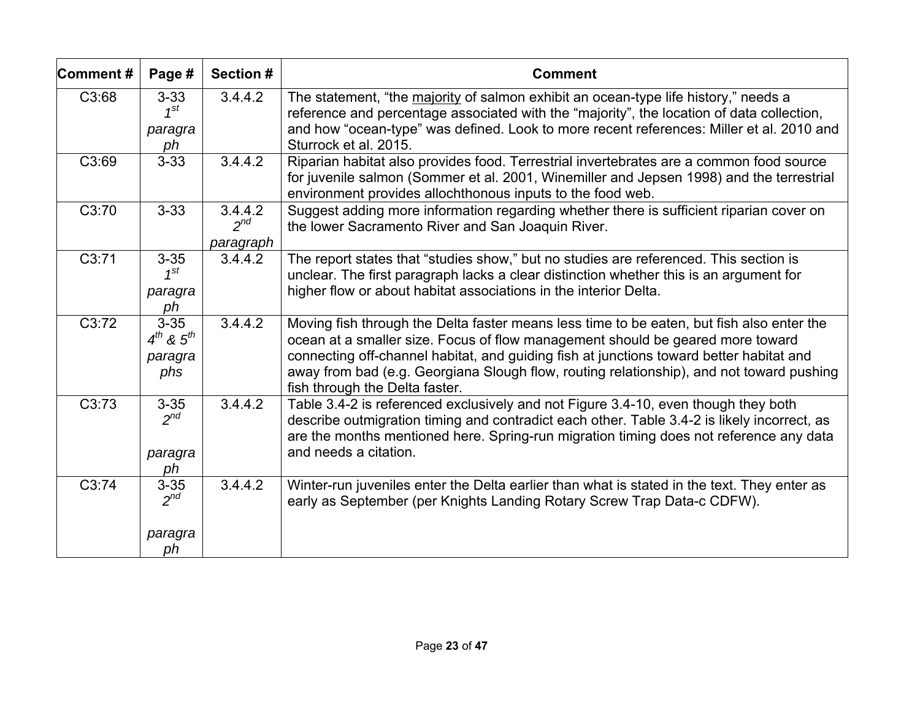| Comment#           | Page #                                            | Section #                        | <b>Comment</b>                                                                                                                                                                                                                                                                                                                                                                                       |
|--------------------|---------------------------------------------------|----------------------------------|------------------------------------------------------------------------------------------------------------------------------------------------------------------------------------------------------------------------------------------------------------------------------------------------------------------------------------------------------------------------------------------------------|
| C3:68              | $3 - 33$<br>$1^{St}$<br>paragra<br>ph             | 3.4.4.2                          | The statement, "the majority of salmon exhibit an ocean-type life history," needs a<br>reference and percentage associated with the "majority", the location of data collection,<br>and how "ocean-type" was defined. Look to more recent references: Miller et al. 2010 and<br>Sturrock et al. 2015.                                                                                                |
| C3:69              | $3 - 33$                                          | 3.4.4.2                          | Riparian habitat also provides food. Terrestrial invertebrates are a common food source<br>for juvenile salmon (Sommer et al. 2001, Winemiller and Jepsen 1998) and the terrestrial<br>environment provides allochthonous inputs to the food web.                                                                                                                                                    |
| C3:70              | $3 - 33$                                          | 3.4.4.2<br>$2^{nd}$<br>paragraph | Suggest adding more information regarding whether there is sufficient riparian cover on<br>the lower Sacramento River and San Joaquin River.                                                                                                                                                                                                                                                         |
| C3:71              | $3 - 35$<br>$1^{st}$<br>paragra<br>ph             | 3.4.4.2                          | The report states that "studies show," but no studies are referenced. This section is<br>unclear. The first paragraph lacks a clear distinction whether this is an argument for<br>higher flow or about habitat associations in the interior Delta.                                                                                                                                                  |
| C3:72              | $3 - 35$<br>$4^{th}$ & $5^{th}$<br>paragra<br>phs | 3.4.4.2                          | Moving fish through the Delta faster means less time to be eaten, but fish also enter the<br>ocean at a smaller size. Focus of flow management should be geared more toward<br>connecting off-channel habitat, and guiding fish at junctions toward better habitat and<br>away from bad (e.g. Georgiana Slough flow, routing relationship), and not toward pushing<br>fish through the Delta faster. |
| C3:73              | $3 - 35$<br>$2^{nd}$<br>paragra<br>ph             | 3.4.4.2                          | Table 3.4-2 is referenced exclusively and not Figure 3.4-10, even though they both<br>describe outmigration timing and contradict each other. Table 3.4-2 is likely incorrect, as<br>are the months mentioned here. Spring-run migration timing does not reference any data<br>and needs a citation.                                                                                                 |
| $\overline{C3:74}$ | $3 - 35$<br>$2^{nd}$                              | 3.4.4.2                          | Winter-run juveniles enter the Delta earlier than what is stated in the text. They enter as<br>early as September (per Knights Landing Rotary Screw Trap Data-c CDFW).                                                                                                                                                                                                                               |
|                    | paragra<br>ph                                     |                                  |                                                                                                                                                                                                                                                                                                                                                                                                      |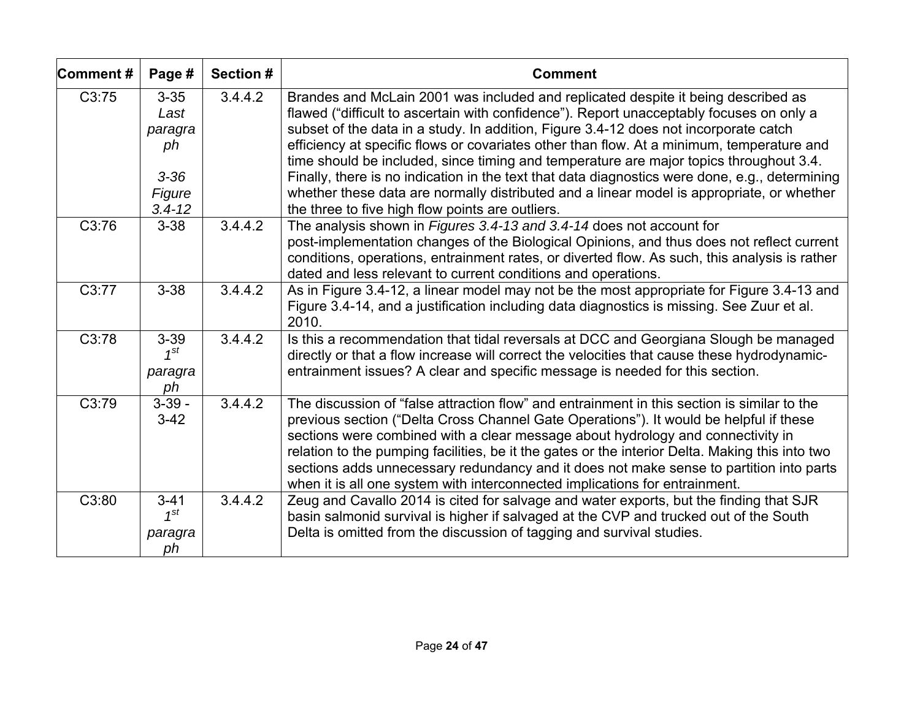| Comment#           | Page #                                                  | <b>Section #</b> | <b>Comment</b>                                                                                                                                                                                                                                                                                                                                                                                                                                                                                                                                                                                                                                              |
|--------------------|---------------------------------------------------------|------------------|-------------------------------------------------------------------------------------------------------------------------------------------------------------------------------------------------------------------------------------------------------------------------------------------------------------------------------------------------------------------------------------------------------------------------------------------------------------------------------------------------------------------------------------------------------------------------------------------------------------------------------------------------------------|
| C3:75              | $3 - 35$<br>Last<br>paragra<br>ph<br>$3 - 36$<br>Figure | 3.4.4.2          | Brandes and McLain 2001 was included and replicated despite it being described as<br>flawed ("difficult to ascertain with confidence"). Report unacceptably focuses on only a<br>subset of the data in a study. In addition, Figure 3.4-12 does not incorporate catch<br>efficiency at specific flows or covariates other than flow. At a minimum, temperature and<br>time should be included, since timing and temperature are major topics throughout 3.4.<br>Finally, there is no indication in the text that data diagnostics were done, e.g., determining<br>whether these data are normally distributed and a linear model is appropriate, or whether |
| C3:76              | $3.4 - 12$<br>$3 - 38$                                  | 3.4.4.2          | the three to five high flow points are outliers.<br>The analysis shown in Figures 3.4-13 and 3.4-14 does not account for<br>post-implementation changes of the Biological Opinions, and thus does not reflect current<br>conditions, operations, entrainment rates, or diverted flow. As such, this analysis is rather<br>dated and less relevant to current conditions and operations.                                                                                                                                                                                                                                                                     |
| C3:77              | $3 - 38$                                                | 3.4.4.2          | As in Figure 3.4-12, a linear model may not be the most appropriate for Figure 3.4-13 and<br>Figure 3.4-14, and a justification including data diagnostics is missing. See Zuur et al.<br>2010.                                                                                                                                                                                                                                                                                                                                                                                                                                                             |
| C3:78              | $3 - 39$<br>$1^{st}$<br>paragra<br>ph                   | 3.4.4.2          | Is this a recommendation that tidal reversals at DCC and Georgiana Slough be managed<br>directly or that a flow increase will correct the velocities that cause these hydrodynamic-<br>entrainment issues? A clear and specific message is needed for this section.                                                                                                                                                                                                                                                                                                                                                                                         |
| $\overline{C3:79}$ | $3 - 39 -$<br>$3-42$                                    | 3.4.4.2          | The discussion of "false attraction flow" and entrainment in this section is similar to the<br>previous section ("Delta Cross Channel Gate Operations"). It would be helpful if these<br>sections were combined with a clear message about hydrology and connectivity in<br>relation to the pumping facilities, be it the gates or the interior Delta. Making this into two<br>sections adds unnecessary redundancy and it does not make sense to partition into parts<br>when it is all one system with interconnected implications for entrainment.                                                                                                       |
| C3:80              | $3 - 41$<br>$1^{st}$<br>paragra<br>ph                   | 3.4.4.2          | Zeug and Cavallo 2014 is cited for salvage and water exports, but the finding that SJR<br>basin salmonid survival is higher if salvaged at the CVP and trucked out of the South<br>Delta is omitted from the discussion of tagging and survival studies.                                                                                                                                                                                                                                                                                                                                                                                                    |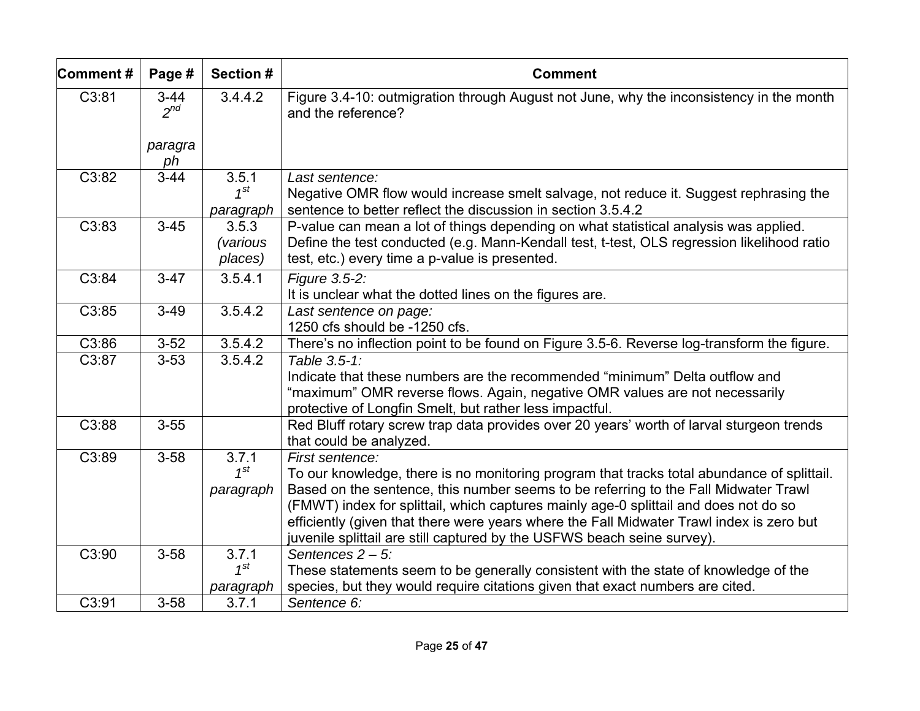| Comment# | Page #             | Section #                           | <b>Comment</b>                                                                                                                                                                                                                                                                                                                                                                                                                                                      |
|----------|--------------------|-------------------------------------|---------------------------------------------------------------------------------------------------------------------------------------------------------------------------------------------------------------------------------------------------------------------------------------------------------------------------------------------------------------------------------------------------------------------------------------------------------------------|
| C3:81    | $3-44$<br>$2^{nd}$ | 3.4.4.2                             | Figure 3.4-10: outmigration through August not June, why the inconsistency in the month<br>and the reference?                                                                                                                                                                                                                                                                                                                                                       |
|          | paragra<br>ph      |                                     |                                                                                                                                                                                                                                                                                                                                                                                                                                                                     |
| C3:82    | $3-44$             | 3.5.1<br>$1^{st}$<br>paragraph      | Last sentence:<br>Negative OMR flow would increase smelt salvage, not reduce it. Suggest rephrasing the<br>sentence to better reflect the discussion in section 3.5.4.2                                                                                                                                                                                                                                                                                             |
| C3:83    | $3 - 45$           | 3.5.3<br><i>(various</i><br>places) | P-value can mean a lot of things depending on what statistical analysis was applied.<br>Define the test conducted (e.g. Mann-Kendall test, t-test, OLS regression likelihood ratio<br>test, etc.) every time a p-value is presented.                                                                                                                                                                                                                                |
| C3:84    | $3-47$             | 3.5.4.1                             | Figure 3.5-2:<br>It is unclear what the dotted lines on the figures are.                                                                                                                                                                                                                                                                                                                                                                                            |
| C3:85    | $3-49$             | 3.5.4.2                             | Last sentence on page:<br>1250 cfs should be -1250 cfs.                                                                                                                                                                                                                                                                                                                                                                                                             |
| C3:86    | $3 - 52$           | 3.5.4.2                             | There's no inflection point to be found on Figure 3.5-6. Reverse log-transform the figure.                                                                                                                                                                                                                                                                                                                                                                          |
| C3:87    | $3 - 53$           | 3.5.4.2                             | Table 3.5-1:<br>Indicate that these numbers are the recommended "minimum" Delta outflow and<br>"maximum" OMR reverse flows. Again, negative OMR values are not necessarily<br>protective of Longfin Smelt, but rather less impactful.                                                                                                                                                                                                                               |
| C3:88    | $3 - 55$           |                                     | Red Bluff rotary screw trap data provides over 20 years' worth of larval sturgeon trends<br>that could be analyzed.                                                                                                                                                                                                                                                                                                                                                 |
| C3:89    | $3 - 58$           | 3.7.1<br>$1^{st}$<br>paragraph      | First sentence:<br>To our knowledge, there is no monitoring program that tracks total abundance of splittail.<br>Based on the sentence, this number seems to be referring to the Fall Midwater Trawl<br>(FMWT) index for splittail, which captures mainly age-0 splittail and does not do so<br>efficiently (given that there were years where the Fall Midwater Trawl index is zero but<br>juvenile splittail are still captured by the USFWS beach seine survey). |
| C3:90    | $3 - 58$           | 3.7.1<br>$1^{st}$<br>paragraph      | Sentences $2 - 5$ :<br>These statements seem to be generally consistent with the state of knowledge of the<br>species, but they would require citations given that exact numbers are cited.                                                                                                                                                                                                                                                                         |
| C3:91    | $3 - 58$           | 3.7.1                               | Sentence 6:                                                                                                                                                                                                                                                                                                                                                                                                                                                         |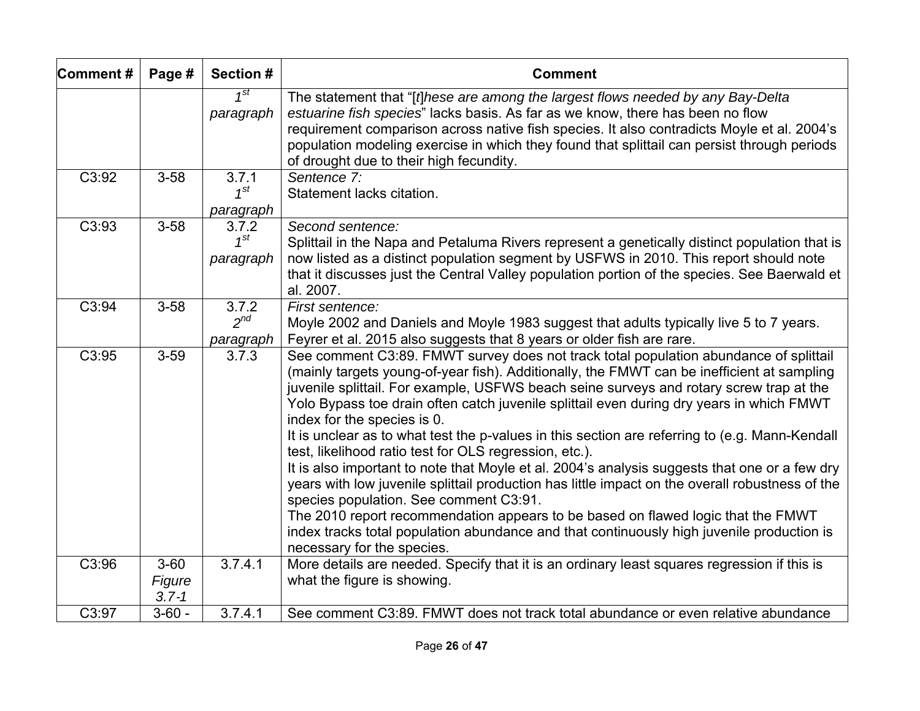| Comment# | Page #                          | Section #                      | <b>Comment</b>                                                                                                                                                                                                                                                                                                                                                                                                                                                                                                                                                                                                                                                                                                                                                                                                                                                                                                                                                                                                                     |
|----------|---------------------------------|--------------------------------|------------------------------------------------------------------------------------------------------------------------------------------------------------------------------------------------------------------------------------------------------------------------------------------------------------------------------------------------------------------------------------------------------------------------------------------------------------------------------------------------------------------------------------------------------------------------------------------------------------------------------------------------------------------------------------------------------------------------------------------------------------------------------------------------------------------------------------------------------------------------------------------------------------------------------------------------------------------------------------------------------------------------------------|
|          |                                 | $1^{st}$<br>paragraph          | The statement that "[f]hese are among the largest flows needed by any Bay-Delta<br>estuarine fish species" lacks basis. As far as we know, there has been no flow<br>requirement comparison across native fish species. It also contradicts Moyle et al. 2004's<br>population modeling exercise in which they found that splittail can persist through periods<br>of drought due to their high fecundity.                                                                                                                                                                                                                                                                                                                                                                                                                                                                                                                                                                                                                          |
| C3:92    | $3 - 58$                        | 3.7.1<br>$1^{st}$<br>paragraph | Sentence 7:<br>Statement lacks citation.                                                                                                                                                                                                                                                                                                                                                                                                                                                                                                                                                                                                                                                                                                                                                                                                                                                                                                                                                                                           |
| C3:93    | $3 - 58$                        | 3.7.2<br>$1^{St}$<br>paragraph | Second sentence:<br>Splittail in the Napa and Petaluma Rivers represent a genetically distinct population that is<br>now listed as a distinct population segment by USFWS in 2010. This report should note<br>that it discusses just the Central Valley population portion of the species. See Baerwald et<br>al. 2007.                                                                                                                                                                                                                                                                                                                                                                                                                                                                                                                                                                                                                                                                                                            |
| C3:94    | $3 - 58$                        | 3.7.2<br>$2^{nd}$<br>paragraph | First sentence:<br>Moyle 2002 and Daniels and Moyle 1983 suggest that adults typically live 5 to 7 years.<br>Feyrer et al. 2015 also suggests that 8 years or older fish are rare.                                                                                                                                                                                                                                                                                                                                                                                                                                                                                                                                                                                                                                                                                                                                                                                                                                                 |
| C3:95    | $3 - 59$                        | 3.7.3                          | See comment C3:89. FMWT survey does not track total population abundance of splittail<br>(mainly targets young-of-year fish). Additionally, the FMWT can be inefficient at sampling<br>juvenile splittail. For example, USFWS beach seine surveys and rotary screw trap at the<br>Yolo Bypass toe drain often catch juvenile splittail even during dry years in which FMWT<br>index for the species is 0.<br>It is unclear as to what test the p-values in this section are referring to (e.g. Mann-Kendall<br>test, likelihood ratio test for OLS regression, etc.).<br>It is also important to note that Moyle et al. 2004's analysis suggests that one or a few dry<br>years with low juvenile splittail production has little impact on the overall robustness of the<br>species population. See comment C3:91.<br>The 2010 report recommendation appears to be based on flawed logic that the FMWT<br>index tracks total population abundance and that continuously high juvenile production is<br>necessary for the species. |
| C3:96    | $3 - 60$<br>Figure<br>$3.7 - 1$ | 3.7.4.1                        | More details are needed. Specify that it is an ordinary least squares regression if this is<br>what the figure is showing.                                                                                                                                                                                                                                                                                                                                                                                                                                                                                                                                                                                                                                                                                                                                                                                                                                                                                                         |
| C3:97    | $3 - 60 -$                      | 3.7.4.1                        | See comment C3:89. FMWT does not track total abundance or even relative abundance                                                                                                                                                                                                                                                                                                                                                                                                                                                                                                                                                                                                                                                                                                                                                                                                                                                                                                                                                  |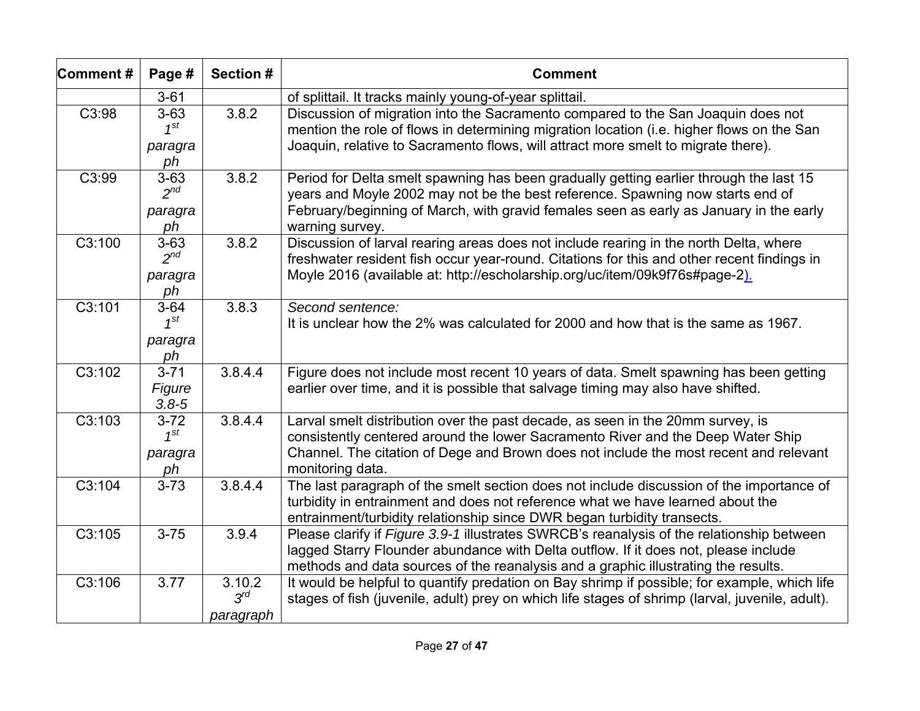| Comment# | Page #                                | Section #                       | <b>Comment</b>                                                                                                                                                                                                                                                                        |
|----------|---------------------------------------|---------------------------------|---------------------------------------------------------------------------------------------------------------------------------------------------------------------------------------------------------------------------------------------------------------------------------------|
|          | $3 - 61$                              |                                 | of splittail. It tracks mainly young-of-year splittail.                                                                                                                                                                                                                               |
| C3:98    | $3 - 63$<br>$1^{st}$<br>paragra<br>ph | 3.8.2                           | Discussion of migration into the Sacramento compared to the San Joaquin does not<br>mention the role of flows in determining migration location (i.e. higher flows on the San<br>Joaquin, relative to Sacramento flows, will attract more smelt to migrate there).                    |
| C3:99    | $3 - 63$<br>$2^{nd}$<br>paragra<br>ph | 3.8.2                           | Period for Delta smelt spawning has been gradually getting earlier through the last 15<br>years and Moyle 2002 may not be the best reference. Spawning now starts end of<br>February/beginning of March, with gravid females seen as early as January in the early<br>warning survey. |
| C3:100   | $3 - 63$<br>$2^{nd}$<br>paragra<br>ph | 3.8.2                           | Discussion of larval rearing areas does not include rearing in the north Delta, where<br>freshwater resident fish occur year-round. Citations for this and other recent findings in<br>Moyle 2016 (available at: http://escholarship.org/uc/item/09k9f76s#page-2).                    |
| C3:101   | $3 - 64$<br>$1^{st}$<br>paragra<br>ph | 3.8.3                           | Second sentence:<br>It is unclear how the 2% was calculated for 2000 and how that is the same as 1967.                                                                                                                                                                                |
| C3:102   | $3 - 71$<br>Figure<br>$3.8 - 5$       | 3.8.4.4                         | Figure does not include most recent 10 years of data. Smelt spawning has been getting<br>earlier over time, and it is possible that salvage timing may also have shifted.                                                                                                             |
| C3:103   | $3 - 72$<br>$1^{St}$<br>paragra<br>ph | 3.8.4.4                         | Larval smelt distribution over the past decade, as seen in the 20mm survey, is<br>consistently centered around the lower Sacramento River and the Deep Water Ship<br>Channel. The citation of Dege and Brown does not include the most recent and relevant<br>monitoring data.        |
| C3:104   | $3 - 73$                              | 3.8.4.4                         | The last paragraph of the smelt section does not include discussion of the importance of<br>turbidity in entrainment and does not reference what we have learned about the<br>entrainment/turbidity relationship since DWR began turbidity transects.                                 |
| C3:105   | $3 - 75$                              | 3.9.4                           | Please clarify if Figure 3.9-1 illustrates SWRCB's reanalysis of the relationship between<br>lagged Starry Flounder abundance with Delta outflow. If it does not, please include<br>methods and data sources of the reanalysis and a graphic illustrating the results.                |
| C3:106   | 3.77                                  | 3.10.2<br>$3^{rd}$<br>paragraph | It would be helpful to quantify predation on Bay shrimp if possible; for example, which life<br>stages of fish (juvenile, adult) prey on which life stages of shrimp (larval, juvenile, adult).                                                                                       |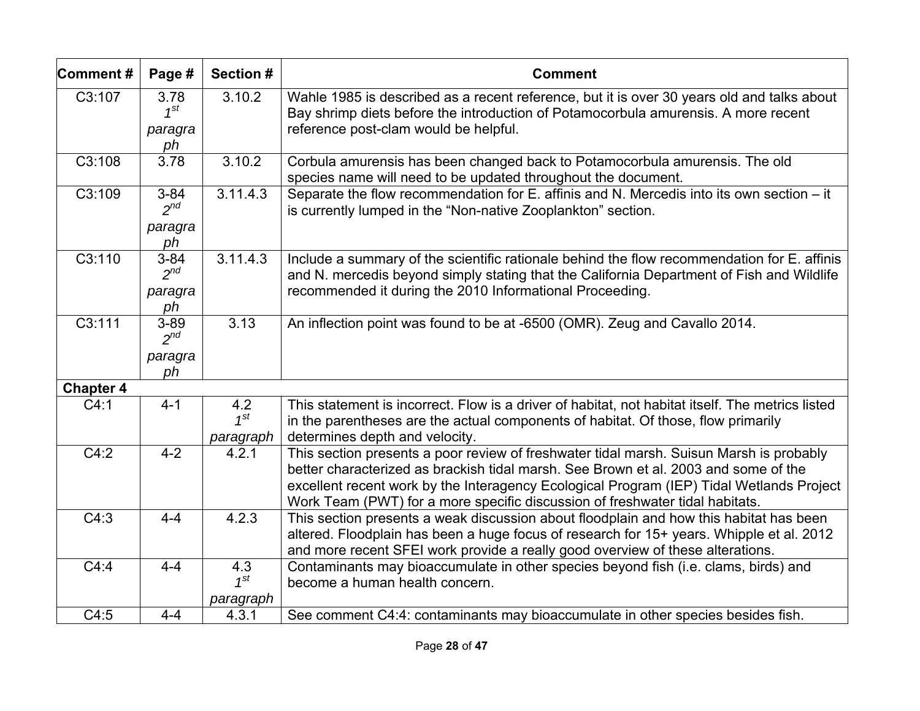| Comment#         | Page #                                | Section #                    | <b>Comment</b>                                                                                                                                                                                                                                                                                                                                             |
|------------------|---------------------------------------|------------------------------|------------------------------------------------------------------------------------------------------------------------------------------------------------------------------------------------------------------------------------------------------------------------------------------------------------------------------------------------------------|
| C3:107           | 3.78<br>$1^{st}$<br>paragra<br>ph     | 3.10.2                       | Wahle 1985 is described as a recent reference, but it is over 30 years old and talks about<br>Bay shrimp diets before the introduction of Potamocorbula amurensis. A more recent<br>reference post-clam would be helpful.                                                                                                                                  |
| C3:108           | 3.78                                  | 3.10.2                       | Corbula amurensis has been changed back to Potamocorbula amurensis. The old<br>species name will need to be updated throughout the document.                                                                                                                                                                                                               |
| C3:109           | $3 - 84$<br>$2^{nd}$<br>paragra<br>ph | 3.11.4.3                     | Separate the flow recommendation for E. affinis and N. Mercedis into its own section - it<br>is currently lumped in the "Non-native Zooplankton" section.                                                                                                                                                                                                  |
| C3:110           | $3 - 84$<br>$2^{nd}$<br>paragra<br>ph | 3.11.4.3                     | Include a summary of the scientific rationale behind the flow recommendation for E. affinis<br>and N. mercedis beyond simply stating that the California Department of Fish and Wildlife<br>recommended it during the 2010 Informational Proceeding.                                                                                                       |
| C3:111           | $3 - 89$<br>$2^{nd}$                  | 3.13                         | An inflection point was found to be at -6500 (OMR). Zeug and Cavallo 2014.                                                                                                                                                                                                                                                                                 |
|                  | paragra<br>ph                         |                              |                                                                                                                                                                                                                                                                                                                                                            |
| <b>Chapter 4</b> |                                       |                              |                                                                                                                                                                                                                                                                                                                                                            |
| C4:1             | $4 - 1$                               | 4.2<br>$1^{st}$<br>paragraph | This statement is incorrect. Flow is a driver of habitat, not habitat itself. The metrics listed<br>in the parentheses are the actual components of habitat. Of those, flow primarily<br>determines depth and velocity.                                                                                                                                    |
| C4:2             | $4 - 2$                               | 4.2.1                        | This section presents a poor review of freshwater tidal marsh. Suisun Marsh is probably<br>better characterized as brackish tidal marsh. See Brown et al. 2003 and some of the<br>excellent recent work by the Interagency Ecological Program (IEP) Tidal Wetlands Project<br>Work Team (PWT) for a more specific discussion of freshwater tidal habitats. |
| C4:3             | $4 - 4$                               | 4.2.3                        | This section presents a weak discussion about floodplain and how this habitat has been<br>altered. Floodplain has been a huge focus of research for 15+ years. Whipple et al. 2012<br>and more recent SFEI work provide a really good overview of these alterations.                                                                                       |
| C4:4             | $4 - 4$                               | 4.3<br>$1^{st}$              | Contaminants may bioaccumulate in other species beyond fish (i.e. clams, birds) and<br>become a human health concern.                                                                                                                                                                                                                                      |
| C4:5             | $4 - 4$                               | paragraph<br>4.3.1           | See comment C4:4: contaminants may bioaccumulate in other species besides fish.                                                                                                                                                                                                                                                                            |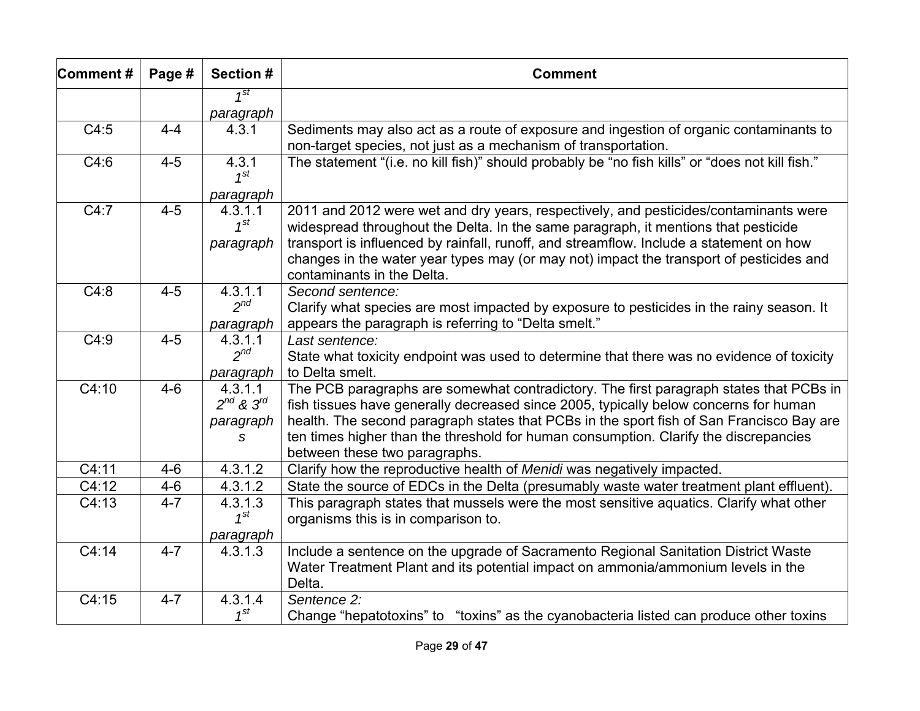| Comment#           | Page #  | Section #           | <b>Comment</b>                                                                                                                                                                                                   |
|--------------------|---------|---------------------|------------------------------------------------------------------------------------------------------------------------------------------------------------------------------------------------------------------|
|                    |         | 1 <sup>st</sup>     |                                                                                                                                                                                                                  |
|                    |         | paragraph           |                                                                                                                                                                                                                  |
| C4:5               | $4 - 4$ | 4.3.1               | Sediments may also act as a route of exposure and ingestion of organic contaminants to<br>non-target species, not just as a mechanism of transportation.                                                         |
| C4:6               | $4 - 5$ | 4.3.1<br>$1^{St}$   | The statement "(i.e. no kill fish)" should probably be "no fish kills" or "does not kill fish."                                                                                                                  |
|                    |         | paragraph           |                                                                                                                                                                                                                  |
| C4:7               | $4 - 5$ | 4.3.1.1<br>$1^{st}$ | 2011 and 2012 were wet and dry years, respectively, and pesticides/contaminants were<br>widespread throughout the Delta. In the same paragraph, it mentions that pesticide                                       |
|                    |         | paragraph           | transport is influenced by rainfall, runoff, and streamflow. Include a statement on how<br>changes in the water year types may (or may not) impact the transport of pesticides and<br>contaminants in the Delta. |
| C4:8               | $4 - 5$ | 4.3.1.1             | Second sentence:                                                                                                                                                                                                 |
|                    |         | $2^{nd}$            | Clarify what species are most impacted by exposure to pesticides in the rainy season. It                                                                                                                         |
|                    |         | paragraph           | appears the paragraph is referring to "Delta smelt."                                                                                                                                                             |
| C4:9               | $4 - 5$ | 4.3.1.1             | Last sentence:                                                                                                                                                                                                   |
|                    |         | $2^{nd}$            | State what toxicity endpoint was used to determine that there was no evidence of toxicity                                                                                                                        |
|                    |         | paragraph           | to Delta smelt.                                                                                                                                                                                                  |
| $\overline{C4:10}$ | $4 - 6$ | 4.3.1.1             | The PCB paragraphs are somewhat contradictory. The first paragraph states that PCBs in                                                                                                                           |
|                    |         | $2^{nd}$ & $3^{rd}$ | fish tissues have generally decreased since 2005, typically below concerns for human                                                                                                                             |
|                    |         | paragraph           | health. The second paragraph states that PCBs in the sport fish of San Francisco Bay are                                                                                                                         |
|                    |         | S                   | ten times higher than the threshold for human consumption. Clarify the discrepancies                                                                                                                             |
|                    |         |                     | between these two paragraphs.                                                                                                                                                                                    |
| C4:11              | $4 - 6$ | 4.3.1.2             | Clarify how the reproductive health of Menidi was negatively impacted.                                                                                                                                           |
| C4:12              | $4 - 6$ | 4.3.1.2             | State the source of EDCs in the Delta (presumably waste water treatment plant effluent).                                                                                                                         |
| C4:13              | $4 - 7$ | 4.3.1.3             | This paragraph states that mussels were the most sensitive aquatics. Clarify what other                                                                                                                          |
|                    |         | $1^{st}$            | organisms this is in comparison to.                                                                                                                                                                              |
|                    |         | paragraph           |                                                                                                                                                                                                                  |
| $\overline{C4:14}$ | $4 - 7$ | 4.3.1.3             | Include a sentence on the upgrade of Sacramento Regional Sanitation District Waste                                                                                                                               |
|                    |         |                     | Water Treatment Plant and its potential impact on ammonia/ammonium levels in the                                                                                                                                 |
|                    |         |                     | Delta.                                                                                                                                                                                                           |
| C4:15              | $4 - 7$ | 4.3.1.4             | Sentence 2:                                                                                                                                                                                                      |
|                    |         | $1^{st}$            | Change "hepatotoxins" to "toxins" as the cyanobacteria listed can produce other toxins                                                                                                                           |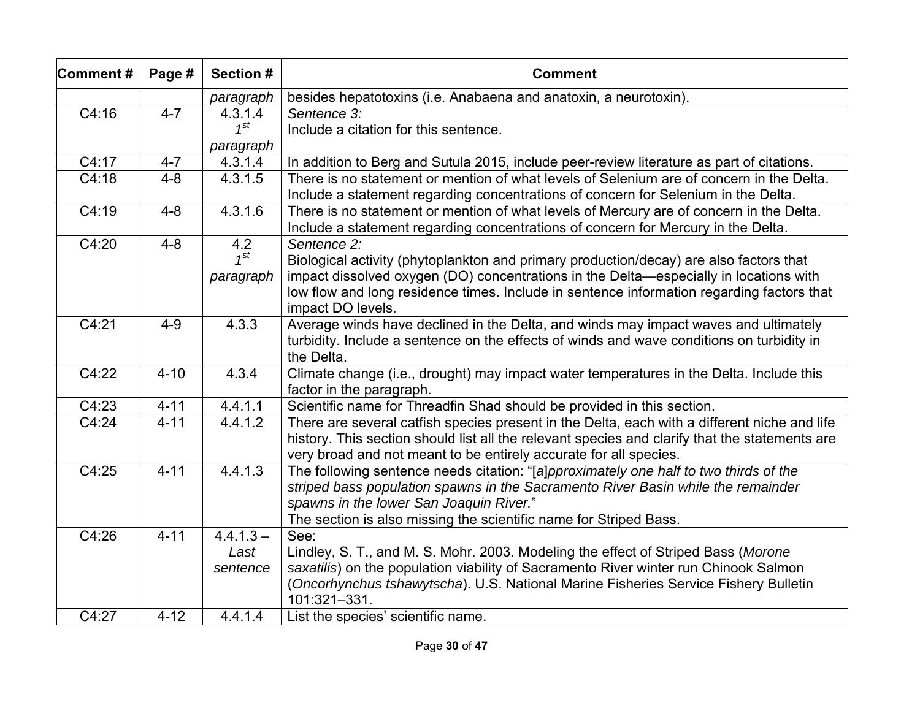| Comment#           | Page #   | Section #   | <b>Comment</b>                                                                                                                                                                                                                                                      |
|--------------------|----------|-------------|---------------------------------------------------------------------------------------------------------------------------------------------------------------------------------------------------------------------------------------------------------------------|
|                    |          | paragraph   | besides hepatotoxins (i.e. Anabaena and anatoxin, a neurotoxin).                                                                                                                                                                                                    |
| C4:16              | $4 - 7$  | 4.3.1.4     | Sentence 3:                                                                                                                                                                                                                                                         |
|                    |          | $1^{st}$    | Include a citation for this sentence.                                                                                                                                                                                                                               |
|                    |          | paragraph   |                                                                                                                                                                                                                                                                     |
| C4:17              | $4 - 7$  | 4.3.1.4     | In addition to Berg and Sutula 2015, include peer-review literature as part of citations.                                                                                                                                                                           |
| C4:18              | $4 - 8$  | 4.3.1.5     | There is no statement or mention of what levels of Selenium are of concern in the Delta.<br>Include a statement regarding concentrations of concern for Selenium in the Delta.                                                                                      |
| C4:19              | $4 - 8$  | 4.3.1.6     | There is no statement or mention of what levels of Mercury are of concern in the Delta.<br>Include a statement regarding concentrations of concern for Mercury in the Delta.                                                                                        |
| $\overline{C4:20}$ | $4 - 8$  | 4.2         | Sentence 2:                                                                                                                                                                                                                                                         |
|                    |          | $1^{st}$    | Biological activity (phytoplankton and primary production/decay) are also factors that                                                                                                                                                                              |
|                    |          | paragraph   | impact dissolved oxygen (DO) concentrations in the Delta—especially in locations with                                                                                                                                                                               |
|                    |          |             | low flow and long residence times. Include in sentence information regarding factors that                                                                                                                                                                           |
|                    |          |             | impact DO levels.                                                                                                                                                                                                                                                   |
| C4:21              | $4 - 9$  | 4.3.3       | Average winds have declined in the Delta, and winds may impact waves and ultimately                                                                                                                                                                                 |
|                    |          |             | turbidity. Include a sentence on the effects of winds and wave conditions on turbidity in<br>the Delta.                                                                                                                                                             |
| C4:22              | $4 - 10$ | 4.3.4       | Climate change (i.e., drought) may impact water temperatures in the Delta. Include this                                                                                                                                                                             |
|                    |          |             | factor in the paragraph.                                                                                                                                                                                                                                            |
| C4:23              | $4 - 11$ | 4.4.1.1     | Scientific name for Threadfin Shad should be provided in this section.                                                                                                                                                                                              |
| C4:24              | $4 - 11$ | 4.4.1.2     | There are several catfish species present in the Delta, each with a different niche and life<br>history. This section should list all the relevant species and clarify that the statements are<br>very broad and not meant to be entirely accurate for all species. |
| C4:25              | $4 - 11$ | 4.4.1.3     | The following sentence needs citation: "[a]pproximately one half to two thirds of the                                                                                                                                                                               |
|                    |          |             | striped bass population spawns in the Sacramento River Basin while the remainder                                                                                                                                                                                    |
|                    |          |             | spawns in the lower San Joaquin River."                                                                                                                                                                                                                             |
|                    |          |             | The section is also missing the scientific name for Striped Bass.                                                                                                                                                                                                   |
| C4:26              | $4 - 11$ | $4.4.1.3 -$ | See:                                                                                                                                                                                                                                                                |
|                    |          | Last        | Lindley, S. T., and M. S. Mohr. 2003. Modeling the effect of Striped Bass (Morone                                                                                                                                                                                   |
|                    |          | sentence    | saxatilis) on the population viability of Sacramento River winter run Chinook Salmon                                                                                                                                                                                |
|                    |          |             | (Oncorhynchus tshawytscha). U.S. National Marine Fisheries Service Fishery Bulletin<br>101:321-331.                                                                                                                                                                 |
| C4:27              | $4 - 12$ | 4.4.1.4     | List the species' scientific name.                                                                                                                                                                                                                                  |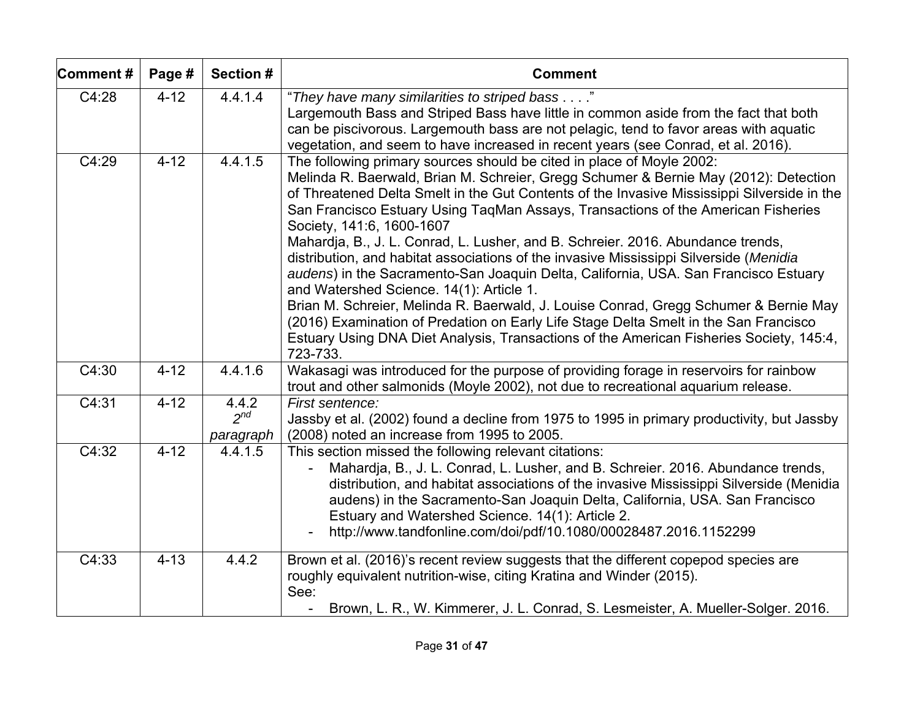| Comment#           | Page #   | Section #                      | <b>Comment</b>                                                                                                                                                                                                                                                                                                                                                                                                                                                    |
|--------------------|----------|--------------------------------|-------------------------------------------------------------------------------------------------------------------------------------------------------------------------------------------------------------------------------------------------------------------------------------------------------------------------------------------------------------------------------------------------------------------------------------------------------------------|
| C4:28              | $4 - 12$ | 4.4.1.4                        | "They have many similarities to striped bass"<br>Largemouth Bass and Striped Bass have little in common aside from the fact that both<br>can be piscivorous. Largemouth bass are not pelagic, tend to favor areas with aquatic<br>vegetation, and seem to have increased in recent years (see Conrad, et al. 2016).                                                                                                                                               |
| C4:29              | $4 - 12$ | 4.4.1.5                        | The following primary sources should be cited in place of Moyle 2002:<br>Melinda R. Baerwald, Brian M. Schreier, Gregg Schumer & Bernie May (2012): Detection<br>of Threatened Delta Smelt in the Gut Contents of the Invasive Mississippi Silverside in the<br>San Francisco Estuary Using TaqMan Assays, Transactions of the American Fisheries<br>Society, 141:6, 1600-1607<br>Mahardja, B., J. L. Conrad, L. Lusher, and B. Schreier. 2016. Abundance trends, |
|                    |          |                                | distribution, and habitat associations of the invasive Mississippi Silverside (Menidia<br>audens) in the Sacramento-San Joaquin Delta, California, USA. San Francisco Estuary<br>and Watershed Science. 14(1): Article 1.                                                                                                                                                                                                                                         |
|                    |          |                                | Brian M. Schreier, Melinda R. Baerwald, J. Louise Conrad, Gregg Schumer & Bernie May<br>(2016) Examination of Predation on Early Life Stage Delta Smelt in the San Francisco<br>Estuary Using DNA Diet Analysis, Transactions of the American Fisheries Society, 145:4,<br>723-733.                                                                                                                                                                               |
| C4:30              | $4 - 12$ | 4.4.1.6                        | Wakasagi was introduced for the purpose of providing forage in reservoirs for rainbow<br>trout and other salmonids (Moyle 2002), not due to recreational aquarium release.                                                                                                                                                                                                                                                                                        |
| C4:31              | $4 - 12$ | 4.4.2<br>$2^{nd}$<br>paragraph | First sentence:<br>Jassby et al. (2002) found a decline from 1975 to 1995 in primary productivity, but Jassby<br>(2008) noted an increase from 1995 to 2005.                                                                                                                                                                                                                                                                                                      |
| $\overline{C4:32}$ | $4 - 12$ | 4.4.1.5                        | This section missed the following relevant citations:<br>Mahardja, B., J. L. Conrad, L. Lusher, and B. Schreier. 2016. Abundance trends,<br>distribution, and habitat associations of the invasive Mississippi Silverside (Menidia<br>audens) in the Sacramento-San Joaquin Delta, California, USA. San Francisco<br>Estuary and Watershed Science. 14(1): Article 2.<br>http://www.tandfonline.com/doi/pdf/10.1080/00028487.2016.1152299                         |
| C4:33              | $4 - 13$ | 4.4.2                          | Brown et al. (2016)'s recent review suggests that the different copepod species are<br>roughly equivalent nutrition-wise, citing Kratina and Winder (2015).<br>See:<br>Brown, L. R., W. Kimmerer, J. L. Conrad, S. Lesmeister, A. Mueller-Solger. 2016.                                                                                                                                                                                                           |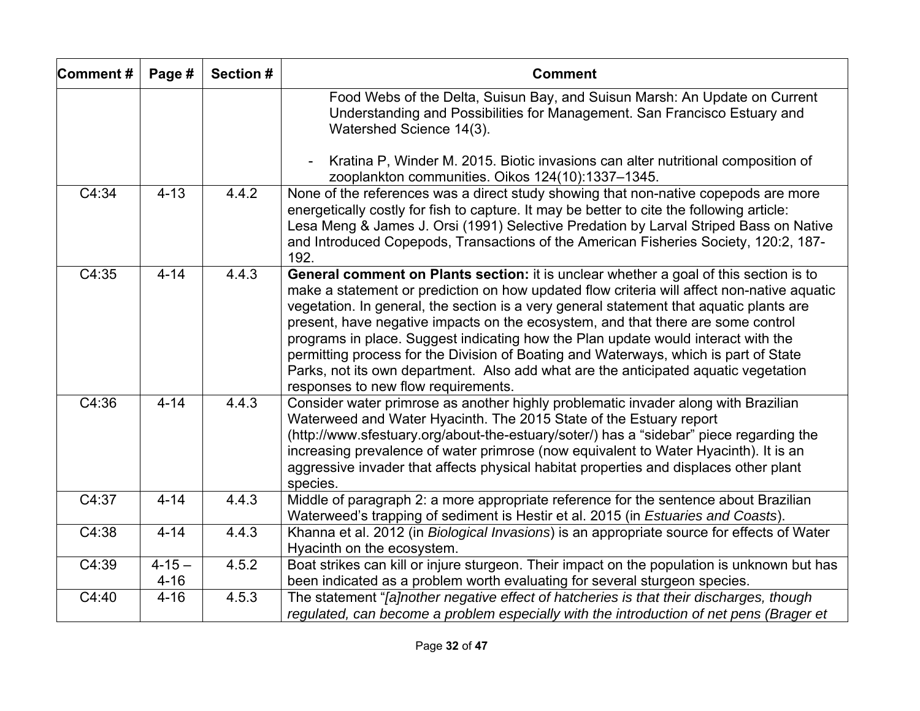| Comment#           | Page #                 | Section # | <b>Comment</b>                                                                                                                                                                                                                                                                                                                                                                                                                                                                                                                                                                                                                                                                |
|--------------------|------------------------|-----------|-------------------------------------------------------------------------------------------------------------------------------------------------------------------------------------------------------------------------------------------------------------------------------------------------------------------------------------------------------------------------------------------------------------------------------------------------------------------------------------------------------------------------------------------------------------------------------------------------------------------------------------------------------------------------------|
|                    |                        |           | Food Webs of the Delta, Suisun Bay, and Suisun Marsh: An Update on Current<br>Understanding and Possibilities for Management. San Francisco Estuary and<br>Watershed Science 14(3).                                                                                                                                                                                                                                                                                                                                                                                                                                                                                           |
|                    |                        |           | Kratina P, Winder M. 2015. Biotic invasions can alter nutritional composition of<br>zooplankton communities. Oikos 124(10):1337-1345.                                                                                                                                                                                                                                                                                                                                                                                                                                                                                                                                         |
| $\overline{C4:34}$ | $4 - 13$               | 4.4.2     | None of the references was a direct study showing that non-native copepods are more<br>energetically costly for fish to capture. It may be better to cite the following article:<br>Lesa Meng & James J. Orsi (1991) Selective Predation by Larval Striped Bass on Native<br>and Introduced Copepods, Transactions of the American Fisheries Society, 120:2, 187-<br>192.                                                                                                                                                                                                                                                                                                     |
| C4:35              | $4 - 14$               | 4.4.3     | General comment on Plants section: it is unclear whether a goal of this section is to<br>make a statement or prediction on how updated flow criteria will affect non-native aquatic<br>vegetation. In general, the section is a very general statement that aquatic plants are<br>present, have negative impacts on the ecosystem, and that there are some control<br>programs in place. Suggest indicating how the Plan update would interact with the<br>permitting process for the Division of Boating and Waterways, which is part of State<br>Parks, not its own department. Also add what are the anticipated aquatic vegetation<br>responses to new flow requirements. |
| C4:36              | $4 - 14$               | 4.4.3     | Consider water primrose as another highly problematic invader along with Brazilian<br>Waterweed and Water Hyacinth. The 2015 State of the Estuary report<br>(http://www.sfestuary.org/about-the-estuary/soter/) has a "sidebar" piece regarding the<br>increasing prevalence of water primrose (now equivalent to Water Hyacinth). It is an<br>aggressive invader that affects physical habitat properties and displaces other plant<br>species.                                                                                                                                                                                                                              |
| C4:37              | $4 - 14$               | 4.4.3     | Middle of paragraph 2: a more appropriate reference for the sentence about Brazilian<br>Waterweed's trapping of sediment is Hestir et al. 2015 (in Estuaries and Coasts).                                                                                                                                                                                                                                                                                                                                                                                                                                                                                                     |
| C4:38              | $4 - 14$               | 4.4.3     | Khanna et al. 2012 (in Biological Invasions) is an appropriate source for effects of Water<br>Hyacinth on the ecosystem.                                                                                                                                                                                                                                                                                                                                                                                                                                                                                                                                                      |
| C4:39              | $4 - 15 -$<br>$4 - 16$ | 4.5.2     | Boat strikes can kill or injure sturgeon. Their impact on the population is unknown but has<br>been indicated as a problem worth evaluating for several sturgeon species.                                                                                                                                                                                                                                                                                                                                                                                                                                                                                                     |
| C4:40              | $4 - 16$               | 4.5.3     | The statement "[a]nother negative effect of hatcheries is that their discharges, though<br>regulated, can become a problem especially with the introduction of net pens (Brager et                                                                                                                                                                                                                                                                                                                                                                                                                                                                                            |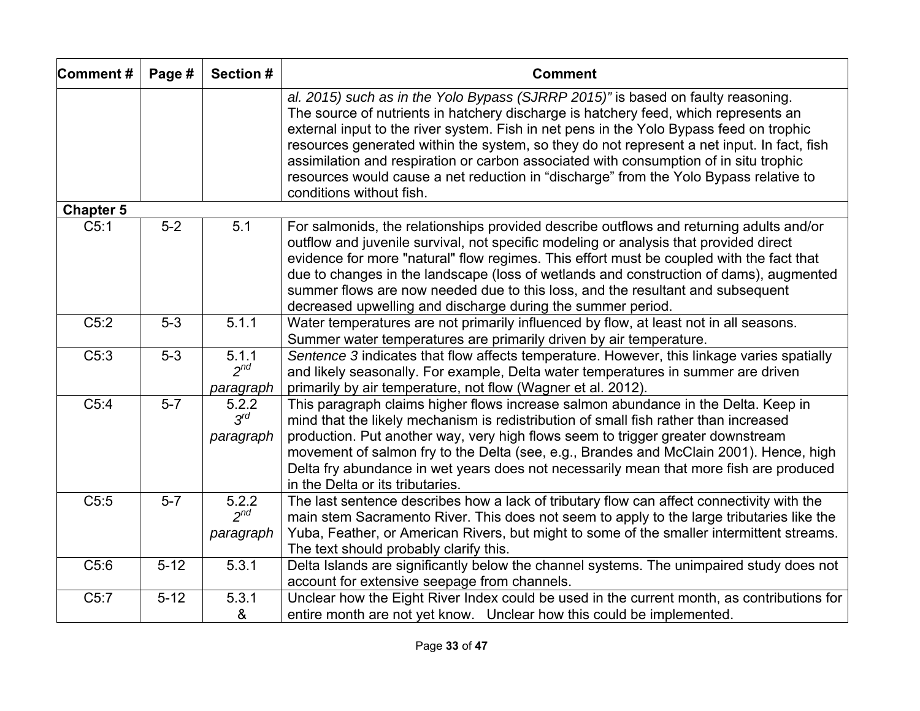| Comment#         | Page #   | Section #                      | <b>Comment</b>                                                                                                                                                                                                                                                                                                                                                                                                                                                                                                                                                                 |
|------------------|----------|--------------------------------|--------------------------------------------------------------------------------------------------------------------------------------------------------------------------------------------------------------------------------------------------------------------------------------------------------------------------------------------------------------------------------------------------------------------------------------------------------------------------------------------------------------------------------------------------------------------------------|
|                  |          |                                | al. 2015) such as in the Yolo Bypass (SJRRP 2015)" is based on faulty reasoning.<br>The source of nutrients in hatchery discharge is hatchery feed, which represents an<br>external input to the river system. Fish in net pens in the Yolo Bypass feed on trophic<br>resources generated within the system, so they do not represent a net input. In fact, fish<br>assimilation and respiration or carbon associated with consumption of in situ trophic<br>resources would cause a net reduction in "discharge" from the Yolo Bypass relative to<br>conditions without fish. |
| <b>Chapter 5</b> |          |                                |                                                                                                                                                                                                                                                                                                                                                                                                                                                                                                                                                                                |
| C5:1             | $5-2$    | 5.1                            | For salmonids, the relationships provided describe outflows and returning adults and/or<br>outflow and juvenile survival, not specific modeling or analysis that provided direct<br>evidence for more "natural" flow regimes. This effort must be coupled with the fact that<br>due to changes in the landscape (loss of wetlands and construction of dams), augmented<br>summer flows are now needed due to this loss, and the resultant and subsequent<br>decreased upwelling and discharge during the summer period.                                                        |
| C5:2             | $5-3$    | 5.1.1                          | Water temperatures are not primarily influenced by flow, at least not in all seasons.                                                                                                                                                                                                                                                                                                                                                                                                                                                                                          |
|                  |          |                                | Summer water temperatures are primarily driven by air temperature.                                                                                                                                                                                                                                                                                                                                                                                                                                                                                                             |
| C5:3             | $5-3$    | 5.1.1<br>$2^{nd}$<br>paragraph | Sentence 3 indicates that flow affects temperature. However, this linkage varies spatially<br>and likely seasonally. For example, Delta water temperatures in summer are driven<br>primarily by air temperature, not flow (Wagner et al. 2012).                                                                                                                                                                                                                                                                                                                                |
| C5:4             | $5 - 7$  | 5.2.2<br>$3^{rd}$<br>paragraph | This paragraph claims higher flows increase salmon abundance in the Delta. Keep in<br>mind that the likely mechanism is redistribution of small fish rather than increased<br>production. Put another way, very high flows seem to trigger greater downstream<br>movement of salmon fry to the Delta (see, e.g., Brandes and McClain 2001). Hence, high<br>Delta fry abundance in wet years does not necessarily mean that more fish are produced<br>in the Delta or its tributaries.                                                                                          |
| C5:5             | $5-7$    | 5.2.2<br>$2^{nd}$<br>paragraph | The last sentence describes how a lack of tributary flow can affect connectivity with the<br>main stem Sacramento River. This does not seem to apply to the large tributaries like the<br>Yuba, Feather, or American Rivers, but might to some of the smaller intermittent streams.<br>The text should probably clarify this.                                                                                                                                                                                                                                                  |
| C5:6             | $5 - 12$ | 5.3.1                          | Delta Islands are significantly below the channel systems. The unimpaired study does not<br>account for extensive seepage from channels.                                                                                                                                                                                                                                                                                                                                                                                                                                       |
| C5:7             | $5 - 12$ | 5.3.1<br>&                     | Unclear how the Eight River Index could be used in the current month, as contributions for<br>entire month are not yet know. Unclear how this could be implemented.                                                                                                                                                                                                                                                                                                                                                                                                            |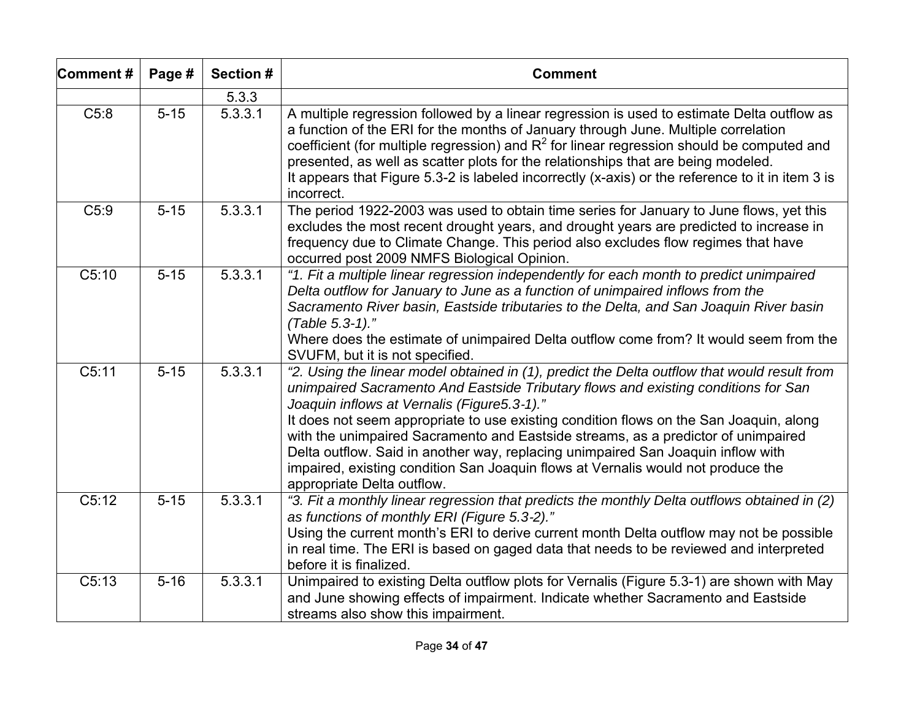| Comment# | Page #            | Section # | <b>Comment</b>                                                                                                                                                                                                                                                                                                                                                                                                                                                                                                                                                                                                         |
|----------|-------------------|-----------|------------------------------------------------------------------------------------------------------------------------------------------------------------------------------------------------------------------------------------------------------------------------------------------------------------------------------------------------------------------------------------------------------------------------------------------------------------------------------------------------------------------------------------------------------------------------------------------------------------------------|
|          |                   | 5.3.3     |                                                                                                                                                                                                                                                                                                                                                                                                                                                                                                                                                                                                                        |
| C5:8     | $5 - 15$          | 5.3.3.1   | A multiple regression followed by a linear regression is used to estimate Delta outflow as<br>a function of the ERI for the months of January through June. Multiple correlation<br>coefficient (for multiple regression) and $R^2$ for linear regression should be computed and<br>presented, as well as scatter plots for the relationships that are being modeled.<br>It appears that Figure 5.3-2 is labeled incorrectly (x-axis) or the reference to it in item 3 is<br>incorrect.                                                                                                                                |
| C5:9     | $5 - 15$          | 5.3.3.1   | The period 1922-2003 was used to obtain time series for January to June flows, yet this<br>excludes the most recent drought years, and drought years are predicted to increase in<br>frequency due to Climate Change. This period also excludes flow regimes that have<br>occurred post 2009 NMFS Biological Opinion.                                                                                                                                                                                                                                                                                                  |
| C5:10    | $5 - 15$          | 5.3.3.1   | "1. Fit a multiple linear regression independently for each month to predict unimpaired<br>Delta outflow for January to June as a function of unimpaired inflows from the<br>Sacramento River basin, Eastside tributaries to the Delta, and San Joaquin River basin<br>(Table 5.3-1)."<br>Where does the estimate of unimpaired Delta outflow come from? It would seem from the<br>SVUFM, but it is not specified.                                                                                                                                                                                                     |
| C5:11    | $\overline{5-15}$ | 5.3.3.1   | "2. Using the linear model obtained in (1), predict the Delta outflow that would result from<br>unimpaired Sacramento And Eastside Tributary flows and existing conditions for San<br>Joaquin inflows at Vernalis (Figure5.3-1)."<br>It does not seem appropriate to use existing condition flows on the San Joaquin, along<br>with the unimpaired Sacramento and Eastside streams, as a predictor of unimpaired<br>Delta outflow. Said in another way, replacing unimpaired San Joaquin inflow with<br>impaired, existing condition San Joaquin flows at Vernalis would not produce the<br>appropriate Delta outflow. |
| C5:12    | $5 - 15$          | 5.3.3.1   | "3. Fit a monthly linear regression that predicts the monthly Delta outflows obtained in (2)<br>as functions of monthly ERI (Figure 5.3-2)."<br>Using the current month's ERI to derive current month Delta outflow may not be possible<br>in real time. The ERI is based on gaged data that needs to be reviewed and interpreted<br>before it is finalized.                                                                                                                                                                                                                                                           |
| C5:13    | $5 - 16$          | 5.3.3.1   | Unimpaired to existing Delta outflow plots for Vernalis (Figure 5.3-1) are shown with May<br>and June showing effects of impairment. Indicate whether Sacramento and Eastside<br>streams also show this impairment.                                                                                                                                                                                                                                                                                                                                                                                                    |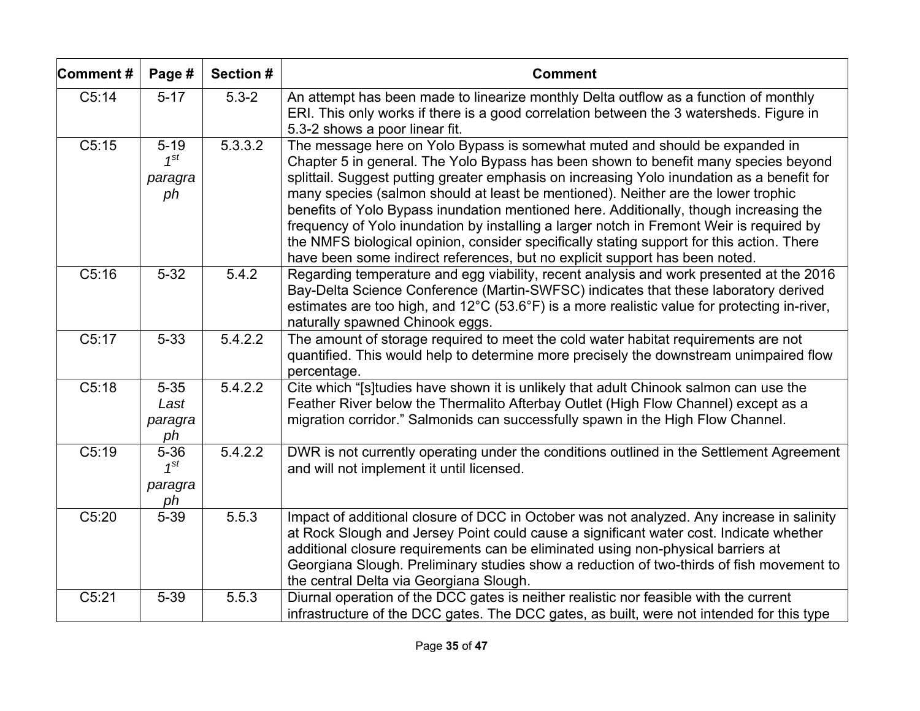| Comment# | Page #                                | Section # | <b>Comment</b>                                                                                                                                                                                                                                                                                                                                                                                                                                                                                                                                                                                                                                                                                                          |
|----------|---------------------------------------|-----------|-------------------------------------------------------------------------------------------------------------------------------------------------------------------------------------------------------------------------------------------------------------------------------------------------------------------------------------------------------------------------------------------------------------------------------------------------------------------------------------------------------------------------------------------------------------------------------------------------------------------------------------------------------------------------------------------------------------------------|
| C5:14    | $5 - 17$                              | $5.3 - 2$ | An attempt has been made to linearize monthly Delta outflow as a function of monthly<br>ERI. This only works if there is a good correlation between the 3 watersheds. Figure in<br>5.3-2 shows a poor linear fit.                                                                                                                                                                                                                                                                                                                                                                                                                                                                                                       |
| C5:15    | $5 - 19$<br>$1^{st}$<br>paragra<br>ph | 5.3.3.2   | The message here on Yolo Bypass is somewhat muted and should be expanded in<br>Chapter 5 in general. The Yolo Bypass has been shown to benefit many species beyond<br>splittail. Suggest putting greater emphasis on increasing Yolo inundation as a benefit for<br>many species (salmon should at least be mentioned). Neither are the lower trophic<br>benefits of Yolo Bypass inundation mentioned here. Additionally, though increasing the<br>frequency of Yolo inundation by installing a larger notch in Fremont Weir is required by<br>the NMFS biological opinion, consider specifically stating support for this action. There<br>have been some indirect references, but no explicit support has been noted. |
| C5:16    | $5 - 32$                              | 5.4.2     | Regarding temperature and egg viability, recent analysis and work presented at the 2016<br>Bay-Delta Science Conference (Martin-SWFSC) indicates that these laboratory derived<br>estimates are too high, and 12°C (53.6°F) is a more realistic value for protecting in-river,<br>naturally spawned Chinook eggs.                                                                                                                                                                                                                                                                                                                                                                                                       |
| C5:17    | $5 - 33$                              | 5.4.2.2   | The amount of storage required to meet the cold water habitat requirements are not<br>quantified. This would help to determine more precisely the downstream unimpaired flow<br>percentage.                                                                                                                                                                                                                                                                                                                                                                                                                                                                                                                             |
| C5:18    | $5 - 35$<br>Last<br>paragra<br>ph     | 5.4.2.2   | Cite which "[s]tudies have shown it is unlikely that adult Chinook salmon can use the<br>Feather River below the Thermalito Afterbay Outlet (High Flow Channel) except as a<br>migration corridor." Salmonids can successfully spawn in the High Flow Channel.                                                                                                                                                                                                                                                                                                                                                                                                                                                          |
| C5:19    | $5 - 36$<br>$1^{st}$<br>paragra<br>ph | 5.4.2.2   | DWR is not currently operating under the conditions outlined in the Settlement Agreement<br>and will not implement it until licensed.                                                                                                                                                                                                                                                                                                                                                                                                                                                                                                                                                                                   |
| C5:20    | $5 - 39$                              | 5.5.3     | Impact of additional closure of DCC in October was not analyzed. Any increase in salinity<br>at Rock Slough and Jersey Point could cause a significant water cost. Indicate whether<br>additional closure requirements can be eliminated using non-physical barriers at<br>Georgiana Slough. Preliminary studies show a reduction of two-thirds of fish movement to<br>the central Delta via Georgiana Slough.                                                                                                                                                                                                                                                                                                          |
| C5:21    | $5 - 39$                              | 5.5.3     | Diurnal operation of the DCC gates is neither realistic nor feasible with the current<br>infrastructure of the DCC gates. The DCC gates, as built, were not intended for this type                                                                                                                                                                                                                                                                                                                                                                                                                                                                                                                                      |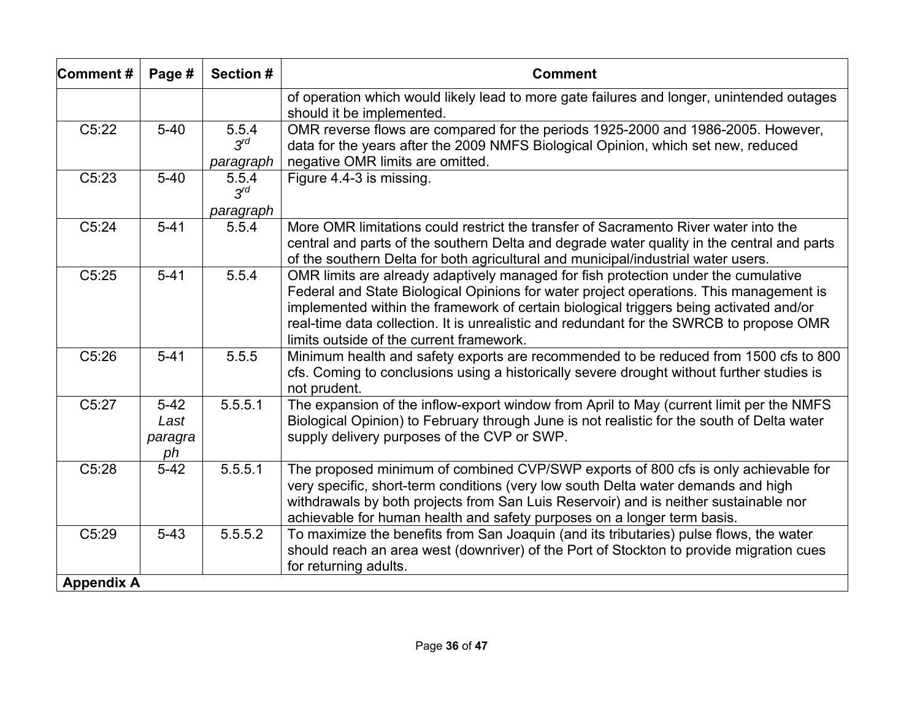| Comment#          | Page #                          | Section #                            | <b>Comment</b>                                                                                                                                                                                                                                                                                                                                                                                                |
|-------------------|---------------------------------|--------------------------------------|---------------------------------------------------------------------------------------------------------------------------------------------------------------------------------------------------------------------------------------------------------------------------------------------------------------------------------------------------------------------------------------------------------------|
|                   |                                 |                                      | of operation which would likely lead to more gate failures and longer, unintended outages<br>should it be implemented.                                                                                                                                                                                                                                                                                        |
| C5:22             | $5 - 40$                        | 5.5.4<br>$3^{rd}$                    | OMR reverse flows are compared for the periods 1925-2000 and 1986-2005. However,<br>data for the years after the 2009 NMFS Biological Opinion, which set new, reduced                                                                                                                                                                                                                                         |
| C5:23             | $5 - 40$                        | paragraph<br>5.5.4<br>$3^{\prime d}$ | negative OMR limits are omitted.<br>Figure 4.4-3 is missing.                                                                                                                                                                                                                                                                                                                                                  |
| C5:24             | $5 - 41$                        | paragraph<br>5.5.4                   | More OMR limitations could restrict the transfer of Sacramento River water into the<br>central and parts of the southern Delta and degrade water quality in the central and parts<br>of the southern Delta for both agricultural and municipal/industrial water users.                                                                                                                                        |
| C5:25             | $5 - 41$                        | 5.5.4                                | OMR limits are already adaptively managed for fish protection under the cumulative<br>Federal and State Biological Opinions for water project operations. This management is<br>implemented within the framework of certain biological triggers being activated and/or<br>real-time data collection. It is unrealistic and redundant for the SWRCB to propose OMR<br>limits outside of the current framework. |
| C5:26             | $5 - 41$                        | 5.5.5                                | Minimum health and safety exports are recommended to be reduced from 1500 cfs to 800<br>cfs. Coming to conclusions using a historically severe drought without further studies is<br>not prudent.                                                                                                                                                                                                             |
| C5:27             | $5-42$<br>Last<br>paragra<br>ph | 5.5.5.1                              | The expansion of the inflow-export window from April to May (current limit per the NMFS<br>Biological Opinion) to February through June is not realistic for the south of Delta water<br>supply delivery purposes of the CVP or SWP.                                                                                                                                                                          |
| C5:28             | $5 - 42$                        | 5.5.5.1                              | The proposed minimum of combined CVP/SWP exports of 800 cfs is only achievable for<br>very specific, short-term conditions (very low south Delta water demands and high<br>withdrawals by both projects from San Luis Reservoir) and is neither sustainable nor<br>achievable for human health and safety purposes on a longer term basis.                                                                    |
| C5:29             | $5 - 43$                        | $\overline{5.5.5.2}$                 | To maximize the benefits from San Joaquin (and its tributaries) pulse flows, the water<br>should reach an area west (downriver) of the Port of Stockton to provide migration cues<br>for returning adults.                                                                                                                                                                                                    |
| <b>Appendix A</b> |                                 |                                      |                                                                                                                                                                                                                                                                                                                                                                                                               |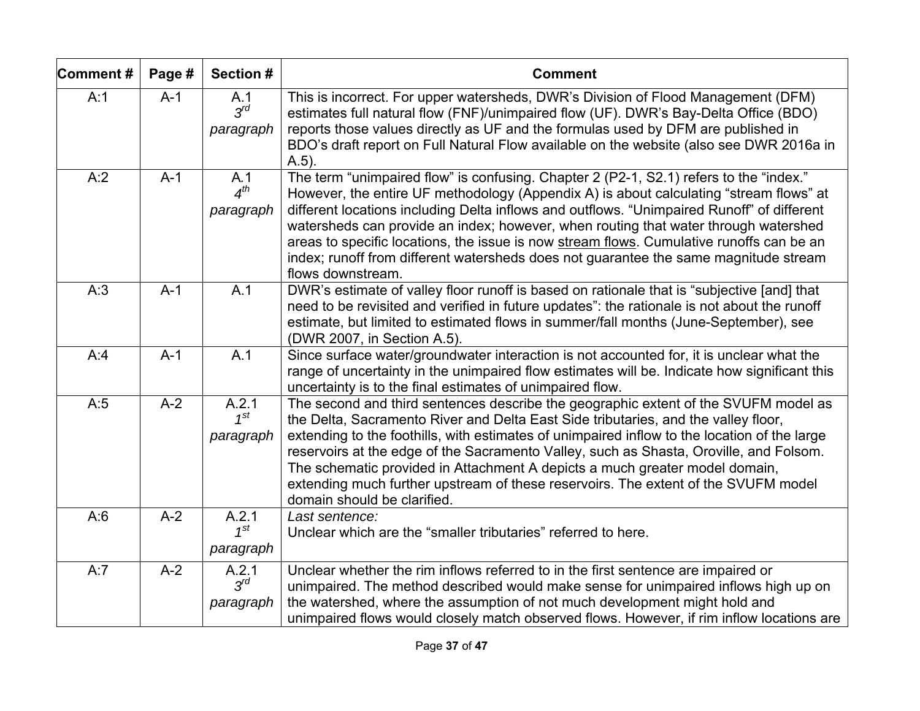| Comment# | Page # | Section #                           | <b>Comment</b>                                                                                                                                                                                                                                                                                                                                                                                                                                                                                                                                                                 |  |  |
|----------|--------|-------------------------------------|--------------------------------------------------------------------------------------------------------------------------------------------------------------------------------------------------------------------------------------------------------------------------------------------------------------------------------------------------------------------------------------------------------------------------------------------------------------------------------------------------------------------------------------------------------------------------------|--|--|
| A:1      | $A-1$  | A.1<br>$3^{rd}$<br>paragraph        | This is incorrect. For upper watersheds, DWR's Division of Flood Management (DFM)<br>estimates full natural flow (FNF)/unimpaired flow (UF). DWR's Bay-Delta Office (BDO)<br>reports those values directly as UF and the formulas used by DFM are published in<br>BDO's draft report on Full Natural Flow available on the website (also see DWR 2016a in<br>$A.5$ ).                                                                                                                                                                                                          |  |  |
| A:2      | $A-1$  | A.1<br>4 <sup>th</sup><br>paragraph | The term "unimpaired flow" is confusing. Chapter 2 (P2-1, S2.1) refers to the "index."<br>However, the entire UF methodology (Appendix A) is about calculating "stream flows" at<br>different locations including Delta inflows and outflows. "Unimpaired Runoff" of different<br>watersheds can provide an index; however, when routing that water through watershed<br>areas to specific locations, the issue is now stream flows. Cumulative runoffs can be an<br>index; runoff from different watersheds does not guarantee the same magnitude stream<br>flows downstream. |  |  |
| A:3      | $A-1$  | A.1                                 | DWR's estimate of valley floor runoff is based on rationale that is "subjective [and] that<br>need to be revisited and verified in future updates": the rationale is not about the runoff<br>estimate, but limited to estimated flows in summer/fall months (June-September), see<br>(DWR 2007, in Section A.5).                                                                                                                                                                                                                                                               |  |  |
| A:4      | $A-1$  | A.1                                 | Since surface water/groundwater interaction is not accounted for, it is unclear what the<br>range of uncertainty in the unimpaired flow estimates will be. Indicate how significant this<br>uncertainty is to the final estimates of unimpaired flow.                                                                                                                                                                                                                                                                                                                          |  |  |
| A:5      | $A-2$  | A.2.1<br>$1^{st}$<br>paragraph      | The second and third sentences describe the geographic extent of the SVUFM model as<br>the Delta, Sacramento River and Delta East Side tributaries, and the valley floor,<br>extending to the foothills, with estimates of unimpaired inflow to the location of the large<br>reservoirs at the edge of the Sacramento Valley, such as Shasta, Oroville, and Folsom.<br>The schematic provided in Attachment A depicts a much greater model domain,<br>extending much further upstream of these reservoirs. The extent of the SVUFM model<br>domain should be clarified.        |  |  |
| A:6      | $A-2$  | A.2.1<br>$1^{st}$<br>paragraph      | Last sentence:<br>Unclear which are the "smaller tributaries" referred to here.                                                                                                                                                                                                                                                                                                                                                                                                                                                                                                |  |  |
| A:7      | $A-2$  | A.2.1<br>$3^{rd}$<br>paragraph      | Unclear whether the rim inflows referred to in the first sentence are impaired or<br>unimpaired. The method described would make sense for unimpaired inflows high up on<br>the watershed, where the assumption of not much development might hold and<br>unimpaired flows would closely match observed flows. However, if rim inflow locations are                                                                                                                                                                                                                            |  |  |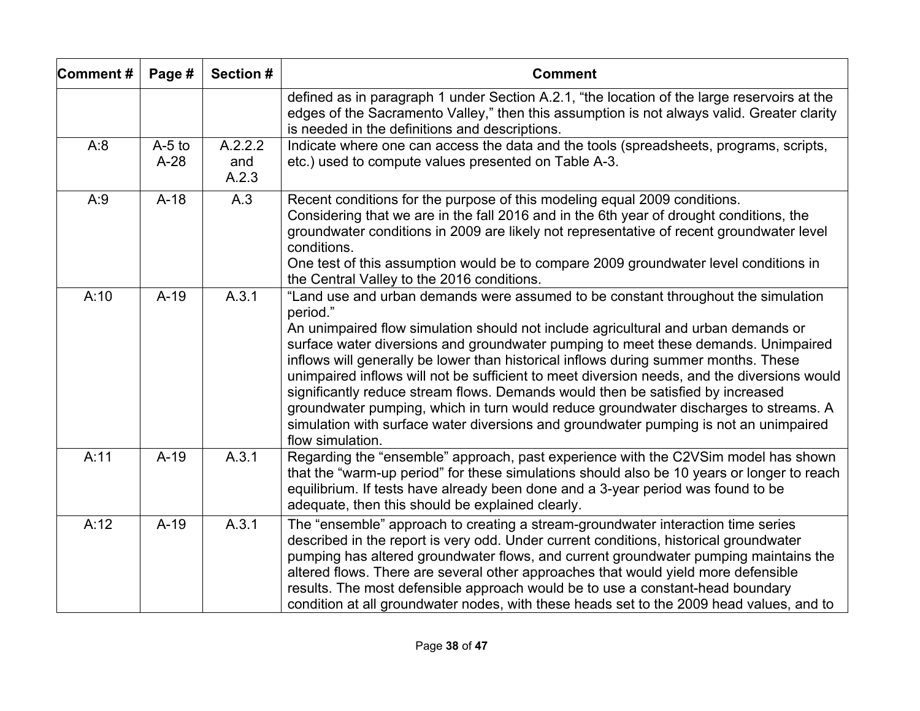| Comment# | Page #             | Section #               | <b>Comment</b>                                                                                                                                                                                                                                                                                                                                                                                                                                                                                                                                                                                                                                                                                                                                          |  |
|----------|--------------------|-------------------------|---------------------------------------------------------------------------------------------------------------------------------------------------------------------------------------------------------------------------------------------------------------------------------------------------------------------------------------------------------------------------------------------------------------------------------------------------------------------------------------------------------------------------------------------------------------------------------------------------------------------------------------------------------------------------------------------------------------------------------------------------------|--|
|          |                    |                         | defined as in paragraph 1 under Section A.2.1, "the location of the large reservoirs at the<br>edges of the Sacramento Valley," then this assumption is not always valid. Greater clarity<br>is needed in the definitions and descriptions.                                                                                                                                                                                                                                                                                                                                                                                                                                                                                                             |  |
| A:8      | $A-5$ to<br>$A-28$ | A.2.2.2<br>and<br>A.2.3 | Indicate where one can access the data and the tools (spreadsheets, programs, scripts,<br>etc.) used to compute values presented on Table A-3.                                                                                                                                                                                                                                                                                                                                                                                                                                                                                                                                                                                                          |  |
| A:9      | $A-18$             | A.3                     | Recent conditions for the purpose of this modeling equal 2009 conditions.<br>Considering that we are in the fall 2016 and in the 6th year of drought conditions, the<br>groundwater conditions in 2009 are likely not representative of recent groundwater level<br>conditions.<br>One test of this assumption would be to compare 2009 groundwater level conditions in<br>the Central Valley to the 2016 conditions.                                                                                                                                                                                                                                                                                                                                   |  |
| A:10     | $A-19$             | A.3.1                   | "Land use and urban demands were assumed to be constant throughout the simulation<br>period."<br>An unimpaired flow simulation should not include agricultural and urban demands or<br>surface water diversions and groundwater pumping to meet these demands. Unimpaired<br>inflows will generally be lower than historical inflows during summer months. These<br>unimpaired inflows will not be sufficient to meet diversion needs, and the diversions would<br>significantly reduce stream flows. Demands would then be satisfied by increased<br>groundwater pumping, which in turn would reduce groundwater discharges to streams. A<br>simulation with surface water diversions and groundwater pumping is not an unimpaired<br>flow simulation. |  |
| A:11     | $A-19$             | A.3.1                   | Regarding the "ensemble" approach, past experience with the C2VSim model has shown<br>that the "warm-up period" for these simulations should also be 10 years or longer to reach<br>equilibrium. If tests have already been done and a 3-year period was found to be<br>adequate, then this should be explained clearly.                                                                                                                                                                                                                                                                                                                                                                                                                                |  |
| A:12     | $A-19$             | A.3.1                   | The "ensemble" approach to creating a stream-groundwater interaction time series<br>described in the report is very odd. Under current conditions, historical groundwater<br>pumping has altered groundwater flows, and current groundwater pumping maintains the<br>altered flows. There are several other approaches that would yield more defensible<br>results. The most defensible approach would be to use a constant-head boundary<br>condition at all groundwater nodes, with these heads set to the 2009 head values, and to                                                                                                                                                                                                                   |  |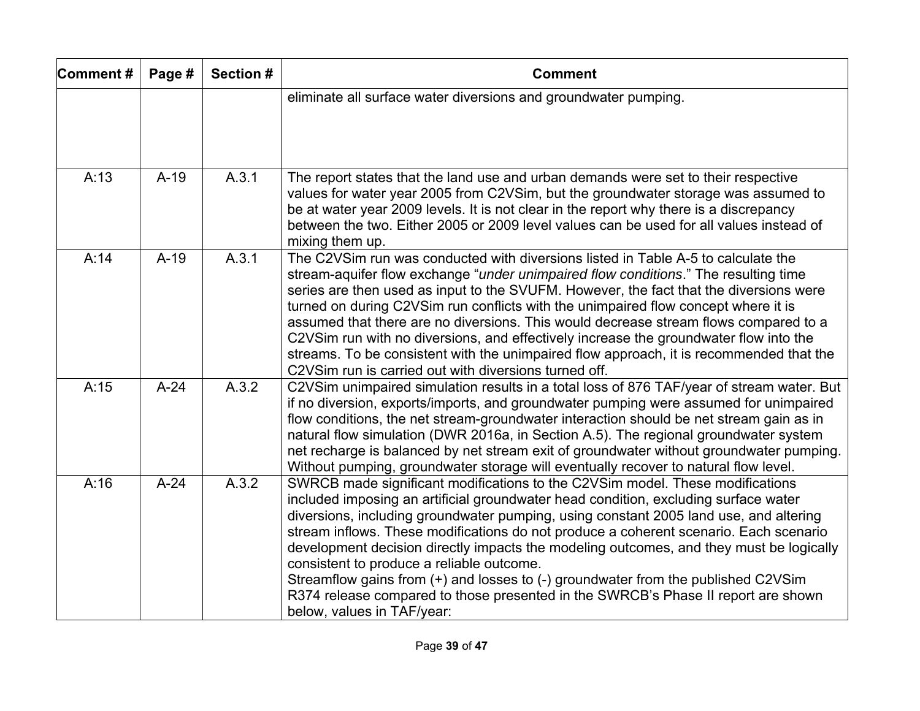| Comment# | Page # | Section # | <b>Comment</b>                                                                                                                                                                                                                                                                                                                                                                                                                                                                                                                                                                                                                                                                                         |  |
|----------|--------|-----------|--------------------------------------------------------------------------------------------------------------------------------------------------------------------------------------------------------------------------------------------------------------------------------------------------------------------------------------------------------------------------------------------------------------------------------------------------------------------------------------------------------------------------------------------------------------------------------------------------------------------------------------------------------------------------------------------------------|--|
|          |        |           | eliminate all surface water diversions and groundwater pumping.                                                                                                                                                                                                                                                                                                                                                                                                                                                                                                                                                                                                                                        |  |
| A:13     | $A-19$ | A.3.1     | The report states that the land use and urban demands were set to their respective<br>values for water year 2005 from C2VSim, but the groundwater storage was assumed to<br>be at water year 2009 levels. It is not clear in the report why there is a discrepancy<br>between the two. Either 2005 or 2009 level values can be used for all values instead of<br>mixing them up.                                                                                                                                                                                                                                                                                                                       |  |
| A:14     | $A-19$ | A.3.1     | The C2VSim run was conducted with diversions listed in Table A-5 to calculate the<br>stream-aquifer flow exchange "under unimpaired flow conditions." The resulting time<br>series are then used as input to the SVUFM. However, the fact that the diversions were<br>turned on during C2VSim run conflicts with the unimpaired flow concept where it is<br>assumed that there are no diversions. This would decrease stream flows compared to a<br>C2VSim run with no diversions, and effectively increase the groundwater flow into the<br>streams. To be consistent with the unimpaired flow approach, it is recommended that the<br>C2VSim run is carried out with diversions turned off.          |  |
| A:15     | $A-24$ | A.3.2     | C2VSim unimpaired simulation results in a total loss of 876 TAF/year of stream water. But<br>if no diversion, exports/imports, and groundwater pumping were assumed for unimpaired<br>flow conditions, the net stream-groundwater interaction should be net stream gain as in<br>natural flow simulation (DWR 2016a, in Section A.5). The regional groundwater system<br>net recharge is balanced by net stream exit of groundwater without groundwater pumping.<br>Without pumping, groundwater storage will eventually recover to natural flow level.                                                                                                                                                |  |
| A:16     | $A-24$ | A.3.2     | SWRCB made significant modifications to the C2VSim model. These modifications<br>included imposing an artificial groundwater head condition, excluding surface water<br>diversions, including groundwater pumping, using constant 2005 land use, and altering<br>stream inflows. These modifications do not produce a coherent scenario. Each scenario<br>development decision directly impacts the modeling outcomes, and they must be logically<br>consistent to produce a reliable outcome.<br>Streamflow gains from (+) and losses to (-) groundwater from the published C2VSim<br>R374 release compared to those presented in the SWRCB's Phase II report are shown<br>below, values in TAF/year: |  |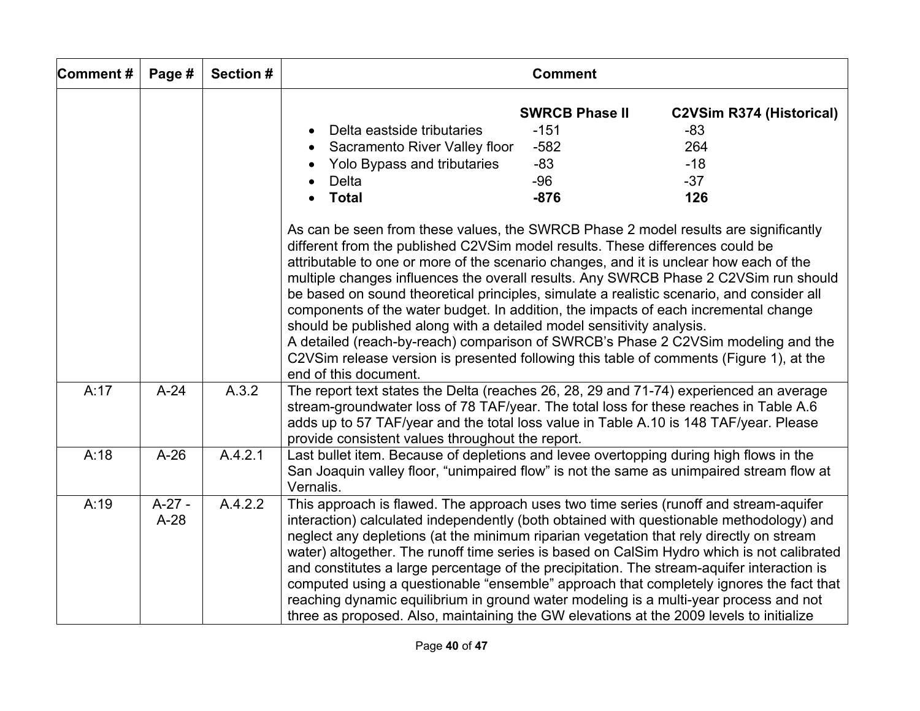| Comment# | Page #             | Section # |                                                                                                                                                                                                                                                                                                                                                                                                                                                                                                                                                                                                                                                                                                                                                                                                                              | <b>Comment</b>                                                        |                                                                          |
|----------|--------------------|-----------|------------------------------------------------------------------------------------------------------------------------------------------------------------------------------------------------------------------------------------------------------------------------------------------------------------------------------------------------------------------------------------------------------------------------------------------------------------------------------------------------------------------------------------------------------------------------------------------------------------------------------------------------------------------------------------------------------------------------------------------------------------------------------------------------------------------------------|-----------------------------------------------------------------------|--------------------------------------------------------------------------|
|          |                    |           | Delta eastside tributaries<br>Sacramento River Valley floor<br>Yolo Bypass and tributaries<br>Delta<br><b>Total</b>                                                                                                                                                                                                                                                                                                                                                                                                                                                                                                                                                                                                                                                                                                          | <b>SWRCB Phase II</b><br>$-151$<br>$-582$<br>$-83$<br>$-96$<br>$-876$ | <b>C2VSim R374 (Historical)</b><br>$-83$<br>264<br>$-18$<br>$-37$<br>126 |
|          |                    |           | As can be seen from these values, the SWRCB Phase 2 model results are significantly<br>different from the published C2VSim model results. These differences could be<br>attributable to one or more of the scenario changes, and it is unclear how each of the<br>multiple changes influences the overall results. Any SWRCB Phase 2 C2VSim run should<br>be based on sound theoretical principles, simulate a realistic scenario, and consider all<br>components of the water budget. In addition, the impacts of each incremental change<br>should be published along with a detailed model sensitivity analysis.<br>A detailed (reach-by-reach) comparison of SWRCB's Phase 2 C2VSim modeling and the<br>C2VSim release version is presented following this table of comments (Figure 1), at the<br>end of this document. |                                                                       |                                                                          |
| A:17     | $A-24$             | A.3.2     | The report text states the Delta (reaches 26, 28, 29 and 71-74) experienced an average<br>stream-groundwater loss of 78 TAF/year. The total loss for these reaches in Table A.6<br>adds up to 57 TAF/year and the total loss value in Table A.10 is 148 TAF/year. Please<br>provide consistent values throughout the report.                                                                                                                                                                                                                                                                                                                                                                                                                                                                                                 |                                                                       |                                                                          |
| A:18     | $A-26$             | A.4.2.1   | Last bullet item. Because of depletions and levee overtopping during high flows in the<br>San Joaquin valley floor, "unimpaired flow" is not the same as unimpaired stream flow at<br>Vernalis.                                                                                                                                                                                                                                                                                                                                                                                                                                                                                                                                                                                                                              |                                                                       |                                                                          |
| A:19     | $A-27 -$<br>$A-28$ | A.4.2.2   | This approach is flawed. The approach uses two time series (runoff and stream-aquifer<br>interaction) calculated independently (both obtained with questionable methodology) and<br>neglect any depletions (at the minimum riparian vegetation that rely directly on stream<br>water) altogether. The runoff time series is based on CalSim Hydro which is not calibrated<br>and constitutes a large percentage of the precipitation. The stream-aquifer interaction is<br>computed using a questionable "ensemble" approach that completely ignores the fact that<br>reaching dynamic equilibrium in ground water modeling is a multi-year process and not<br>three as proposed. Also, maintaining the GW elevations at the 2009 levels to initialize                                                                       |                                                                       |                                                                          |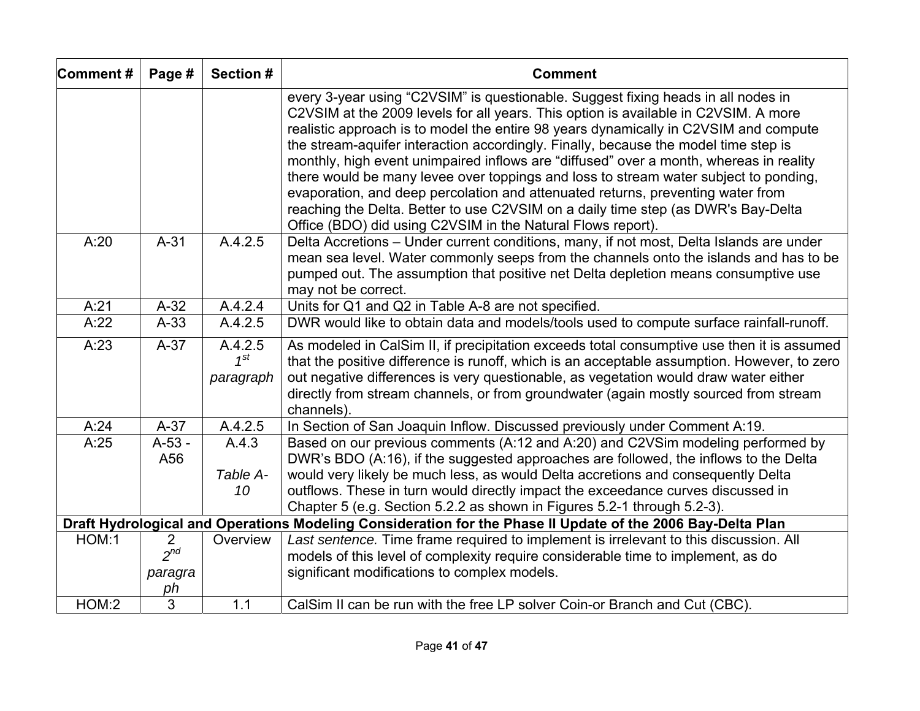| Comment# | Page #                                      | <b>Section #</b>                 | <b>Comment</b>                                                                                                                                                                                                                                                                                                                                                                                                                                                                                                                                                                                                                                                                                                                                                                   |  |  |
|----------|---------------------------------------------|----------------------------------|----------------------------------------------------------------------------------------------------------------------------------------------------------------------------------------------------------------------------------------------------------------------------------------------------------------------------------------------------------------------------------------------------------------------------------------------------------------------------------------------------------------------------------------------------------------------------------------------------------------------------------------------------------------------------------------------------------------------------------------------------------------------------------|--|--|
|          |                                             |                                  | every 3-year using "C2VSIM" is questionable. Suggest fixing heads in all nodes in<br>C2VSIM at the 2009 levels for all years. This option is available in C2VSIM. A more<br>realistic approach is to model the entire 98 years dynamically in C2VSIM and compute<br>the stream-aquifer interaction accordingly. Finally, because the model time step is<br>monthly, high event unimpaired inflows are "diffused" over a month, whereas in reality<br>there would be many levee over toppings and loss to stream water subject to ponding,<br>evaporation, and deep percolation and attenuated returns, preventing water from<br>reaching the Delta. Better to use C2VSIM on a daily time step (as DWR's Bay-Delta<br>Office (BDO) did using C2VSIM in the Natural Flows report). |  |  |
| A:20     | $A-31$                                      | A.4.2.5                          | Delta Accretions - Under current conditions, many, if not most, Delta Islands are under<br>mean sea level. Water commonly seeps from the channels onto the islands and has to be<br>pumped out. The assumption that positive net Delta depletion means consumptive use<br>may not be correct.                                                                                                                                                                                                                                                                                                                                                                                                                                                                                    |  |  |
| A:21     | $A-32$                                      | A.4.2.4                          | Units for Q1 and Q2 in Table A-8 are not specified.                                                                                                                                                                                                                                                                                                                                                                                                                                                                                                                                                                                                                                                                                                                              |  |  |
| A:22     | $A-33$                                      | A.4.2.5                          | DWR would like to obtain data and models/tools used to compute surface rainfall-runoff.                                                                                                                                                                                                                                                                                                                                                                                                                                                                                                                                                                                                                                                                                          |  |  |
| A:23     | $A-37$                                      | A.4.2.5<br>$1^{st}$<br>paragraph | As modeled in CalSim II, if precipitation exceeds total consumptive use then it is assumed<br>that the positive difference is runoff, which is an acceptable assumption. However, to zero<br>out negative differences is very questionable, as vegetation would draw water either<br>directly from stream channels, or from groundwater (again mostly sourced from stream<br>channels).                                                                                                                                                                                                                                                                                                                                                                                          |  |  |
| A:24     | $A-37$                                      | A.4.2.5                          | In Section of San Joaquin Inflow. Discussed previously under Comment A:19.                                                                                                                                                                                                                                                                                                                                                                                                                                                                                                                                                                                                                                                                                                       |  |  |
| A:25     | $A-53 -$<br>A56                             | A.4.3<br>Table A-<br>10          | Based on our previous comments (A:12 and A:20) and C2VSim modeling performed by<br>DWR's BDO (A:16), if the suggested approaches are followed, the inflows to the Delta<br>would very likely be much less, as would Delta accretions and consequently Delta<br>outflows. These in turn would directly impact the exceedance curves discussed in<br>Chapter 5 (e.g. Section 5.2.2 as shown in Figures 5.2-1 through 5.2-3).                                                                                                                                                                                                                                                                                                                                                       |  |  |
|          |                                             |                                  | Draft Hydrological and Operations Modeling Consideration for the Phase II Update of the 2006 Bay-Delta Plan                                                                                                                                                                                                                                                                                                                                                                                                                                                                                                                                                                                                                                                                      |  |  |
| HOM:1    | $\overline{2}$<br>$2^{nd}$<br>paragra<br>ph | Overview                         | Last sentence. Time frame required to implement is irrelevant to this discussion. All<br>models of this level of complexity require considerable time to implement, as do<br>significant modifications to complex models.                                                                                                                                                                                                                                                                                                                                                                                                                                                                                                                                                        |  |  |
| HOM:2    | $\overline{3}$                              | 1.1                              | CalSim II can be run with the free LP solver Coin-or Branch and Cut (CBC).                                                                                                                                                                                                                                                                                                                                                                                                                                                                                                                                                                                                                                                                                                       |  |  |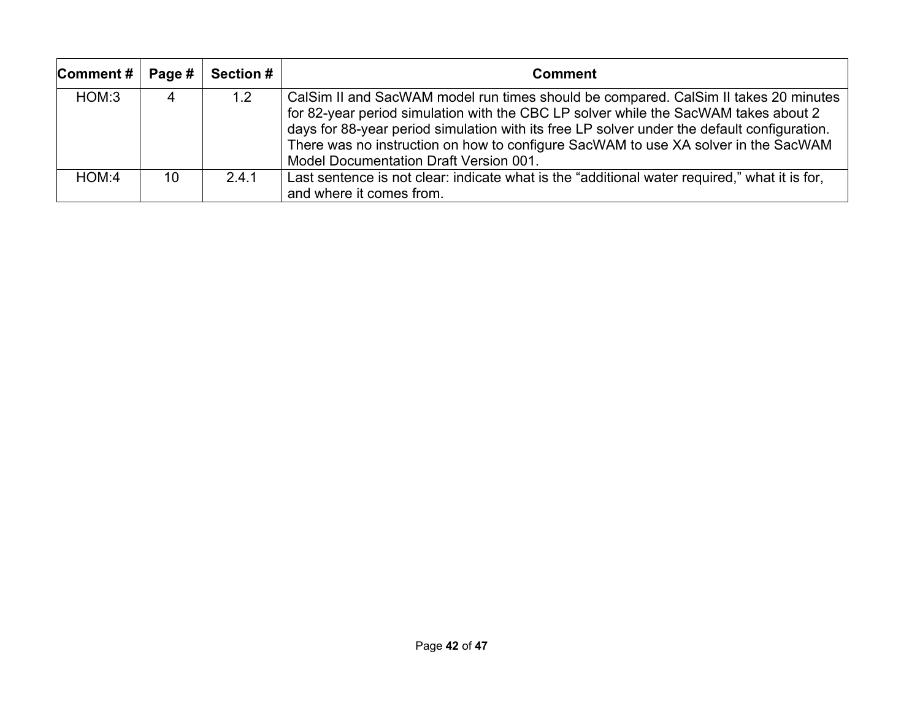| Comment $#$ | Page # | <b>Section #</b> | <b>Comment</b>                                                                                                                                                                                                                                                                                                                                                                                            |  |
|-------------|--------|------------------|-----------------------------------------------------------------------------------------------------------------------------------------------------------------------------------------------------------------------------------------------------------------------------------------------------------------------------------------------------------------------------------------------------------|--|
| HOM:3       |        | 1.2              | CalSim II and SacWAM model run times should be compared. CalSim II takes 20 minutes<br>for 82-year period simulation with the CBC LP solver while the SacWAM takes about 2<br>days for 88-year period simulation with its free LP solver under the default configuration.<br>There was no instruction on how to configure SacWAM to use XA solver in the SacWAM<br>Model Documentation Draft Version 001. |  |
| HOM:4       | 10     | 2.4.1            | Last sentence is not clear: indicate what is the "additional water required," what it is for,<br>and where it comes from.                                                                                                                                                                                                                                                                                 |  |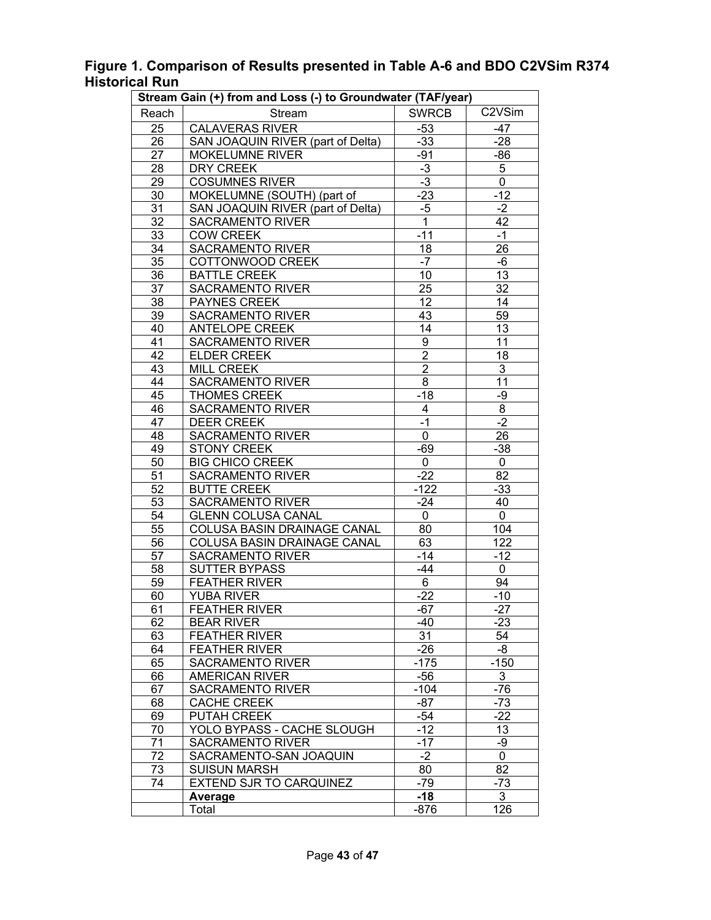| Figure 1. Comparison of Results presented in Table A-6 and BDO C2VSim R374 |  |
|----------------------------------------------------------------------------|--|
| <b>Historical Run</b>                                                      |  |

| Stream Gain (+) from and Loss (-) to Groundwater (TAF/year) |                                   |                  |                 |  |  |
|-------------------------------------------------------------|-----------------------------------|------------------|-----------------|--|--|
| Reach                                                       | Stream                            | <b>SWRCB</b>     | C2VSim          |  |  |
| 25                                                          | <b>CALAVERAS RIVER</b>            | $-53$            | $-47$           |  |  |
| 26                                                          | SAN JOAQUIN RIVER (part of Delta) | $-33$            | $-28$           |  |  |
| 27                                                          | <b>MOKELUMNE RIVER</b>            | -91              | -86             |  |  |
| 28                                                          | <b>DRY CREEK</b>                  | $-3$             | 5               |  |  |
| 29                                                          | <b>COSUMNES RIVER</b>             | $-3$             | $\overline{0}$  |  |  |
| 30                                                          | MOKELUMNE (SOUTH) (part of        | $-23$            | $-12$           |  |  |
| 31                                                          | SAN JOAQUIN RIVER (part of Delta) | $-5$             | $-2$            |  |  |
| $\overline{32}$                                             | <b>SACRAMENTO RIVER</b>           | $\overline{1}$   | 42              |  |  |
| 33                                                          | <b>COW CREEK</b>                  | $-11$            | $-1$            |  |  |
| 34                                                          | <b>SACRAMENTO RIVER</b>           | 18               | 26              |  |  |
| $\overline{35}$                                             | <b>COTTONWOOD CREEK</b>           | $-7$             | $-6$            |  |  |
| 36                                                          | <b>BATTLE CREEK</b>               | 10               | 13              |  |  |
| 37                                                          | <b>SACRAMENTO RIVER</b>           | 25               | 32              |  |  |
| 38                                                          | <b>PAYNES CREEK</b>               | 12               | $\overline{14}$ |  |  |
| 39                                                          | <b>SACRAMENTO RIVER</b>           | 43               | 59              |  |  |
| 40                                                          | <b>ANTELOPE CREEK</b>             | 14               | 13              |  |  |
| 41                                                          | <b>SACRAMENTO RIVER</b>           | $\boldsymbol{9}$ | 11              |  |  |
| 42                                                          | <b>ELDER CREEK</b>                | $\overline{2}$   | 18              |  |  |
| 43                                                          | <b>MILL CREEK</b>                 | $\overline{2}$   | $\overline{3}$  |  |  |
| $\overline{44}$                                             | <b>SACRAMENTO RIVER</b>           | $\overline{8}$   | $\overline{11}$ |  |  |
| 45                                                          | <b>THOMES CREEK</b>               | $-18$            | $-9$            |  |  |
| 46                                                          | <b>SACRAMENTO RIVER</b>           | 4                | 8               |  |  |
| 47                                                          | <b>DEER CREEK</b>                 | $-1$             | $-2$            |  |  |
| 48                                                          | <b>SACRAMENTO RIVER</b>           | $\overline{0}$   | 26              |  |  |
| 49                                                          | <b>STONY CREEK</b>                | $-69$            | $-38$           |  |  |
| 50                                                          | <b>BIG CHICO CREEK</b>            | $\mathbf{0}$     | 0               |  |  |
| 51                                                          | <b>SACRAMENTO RIVER</b>           | $-22$            | 82              |  |  |
| 52                                                          | <b>BUTTE CREEK</b>                | $-122$           | $-33$           |  |  |
| 53                                                          | <b>SACRAMENTO RIVER</b>           | $-24$            | 40              |  |  |
| 54                                                          | <b>GLENN COLUSA CANAL</b>         | $\Omega$         | 0               |  |  |
| 55                                                          | COLUSA BASIN DRAINAGE CANAL       | 80               | 104             |  |  |
| 56                                                          | COLUSA BASIN DRAINAGE CANAL       | 63               | 122             |  |  |
| 57                                                          | <b>SACRAMENTO RIVER</b>           | $-14$            | $-12$           |  |  |
| 58                                                          | <b>SUTTER BYPASS</b>              | $-44$            | 0               |  |  |
| 59                                                          | <b>FEATHER RIVER</b>              | $\overline{6}$   | 94              |  |  |
| 60                                                          | <b>YUBA RIVER</b>                 | $-22$            | $-10$           |  |  |
| 61                                                          | <b>FEATHER RIVER</b>              | $-67$            | $-27$           |  |  |
| 62                                                          | <b>BEAR RIVER</b>                 | -40              | $-23$           |  |  |
| 63                                                          | <b>FEATHER RIVER</b>              | 31               | 54              |  |  |
| 64                                                          | <b>FEATHER RIVER</b>              | -26              | -8              |  |  |
| 65                                                          | <b>SACRAMENTO RIVER</b>           | $-175$           | $-150$          |  |  |
| 66                                                          | <b>AMERICAN RIVER</b>             | $-56$            | 3               |  |  |
| 67                                                          | <b>SACRAMENTO RIVER</b>           | $-104$           | $-76$           |  |  |
| 68                                                          | <b>CACHE CREEK</b>                | $-87$            | $-73$           |  |  |
| 69                                                          | PUTAH CREEK                       | $-54$            | $-22$           |  |  |
| 70                                                          | YOLO BYPASS - CACHE SLOUGH        | $-12$            | 13              |  |  |
| 71                                                          | <b>SACRAMENTO RIVER</b>           | $-17$            | -9              |  |  |
| 72                                                          | SACRAMENTO-SAN JOAQUIN            | $-2$             | 0               |  |  |
| 73                                                          | <b>SUISUN MARSH</b>               | 80               | 82              |  |  |
| 74                                                          | <b>EXTEND SJR TO CARQUINEZ</b>    | -79              | $-73$           |  |  |
|                                                             | Average                           | $-18$            | 3               |  |  |
|                                                             | Total                             | $-876$           | 126             |  |  |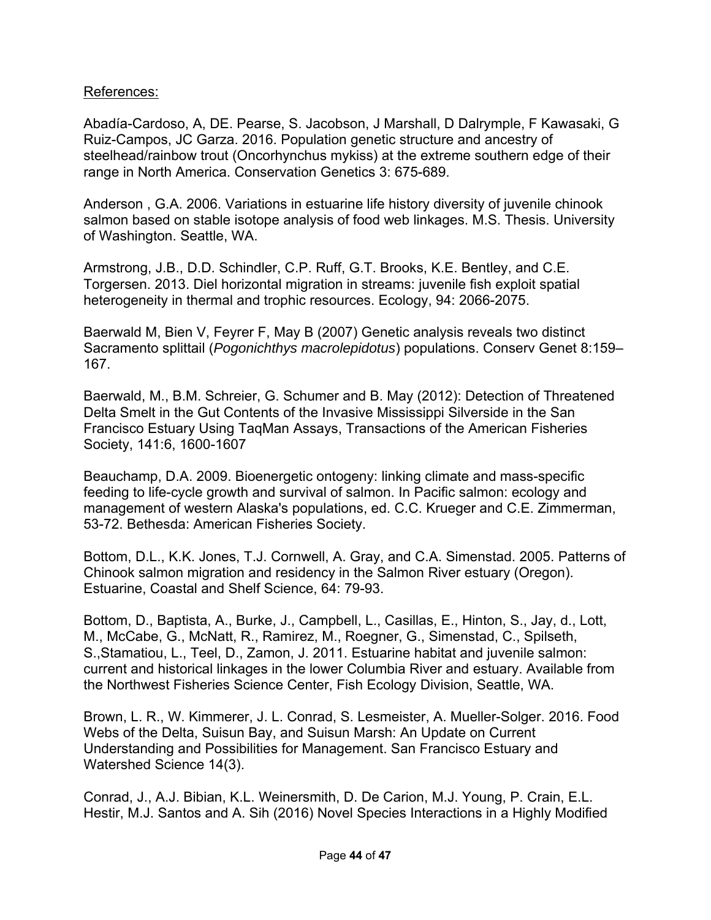## References:

Abadía-Cardoso, A, DE. Pearse, S. Jacobson, J Marshall, D Dalrymple, F Kawasaki, G Ruiz-Campos, JC Garza. 2016. Population genetic structure and ancestry of steelhead/rainbow trout (Oncorhynchus mykiss) at the extreme southern edge of their range in North America. Conservation Genetics 3: 675-689.

Anderson , G.A. 2006. Variations in estuarine life history diversity of juvenile chinook salmon based on stable isotope analysis of food web linkages. M.S. Thesis. University of Washington. Seattle, WA.

Armstrong, J.B., D.D. Schindler, C.P. Ruff, G.T. Brooks, K.E. Bentley, and C.E. Torgersen. 2013. Diel horizontal migration in streams: juvenile fish exploit spatial heterogeneity in thermal and trophic resources. Ecology, 94: 2066-2075.

Baerwald M, Bien V, Feyrer F, May B (2007) Genetic analysis reveals two distinct Sacramento splittail (*Pogonichthys macrolepidotus*) populations. Conserv Genet 8:159– 167.

Baerwald, M., B.M. Schreier, G. Schumer and B. May (2012): Detection of Threatened Delta Smelt in the Gut Contents of the Invasive Mississippi Silverside in the San Francisco Estuary Using TaqMan Assays, Transactions of the American Fisheries Society, 141:6, 1600-1607

Beauchamp, D.A. 2009. Bioenergetic ontogeny: linking climate and mass-specific feeding to life-cycle growth and survival of salmon. In Pacific salmon: ecology and management of western Alaska's populations, ed. C.C. Krueger and C.E. Zimmerman, 53-72. Bethesda: American Fisheries Society.

Bottom, D.L., K.K. Jones, T.J. Cornwell, A. Gray, and C.A. Simenstad. 2005. Patterns of Chinook salmon migration and residency in the Salmon River estuary (Oregon). Estuarine, Coastal and Shelf Science, 64: 79-93.

Bottom, D., Baptista, A., Burke, J., Campbell, L., Casillas, E., Hinton, S., Jay, d., Lott, M., McCabe, G., McNatt, R., Ramirez, M., Roegner, G., Simenstad, C., Spilseth, S.,Stamatiou, L., Teel, D., Zamon, J. 2011. Estuarine habitat and juvenile salmon: current and historical linkages in the lower Columbia River and estuary. Available from the Northwest Fisheries Science Center, Fish Ecology Division, Seattle, WA.

Brown, L. R., W. Kimmerer, J. L. Conrad, S. Lesmeister, A. Mueller-Solger. 2016. Food Webs of the Delta, Suisun Bay, and Suisun Marsh: An Update on Current Understanding and Possibilities for Management. San Francisco Estuary and Watershed Science 14(3).

Conrad, J., A.J. Bibian, K.L. Weinersmith, D. De Carion, M.J. Young, P. Crain, E.L. Hestir, M.J. Santos and A. Sih (2016) Novel Species Interactions in a Highly Modified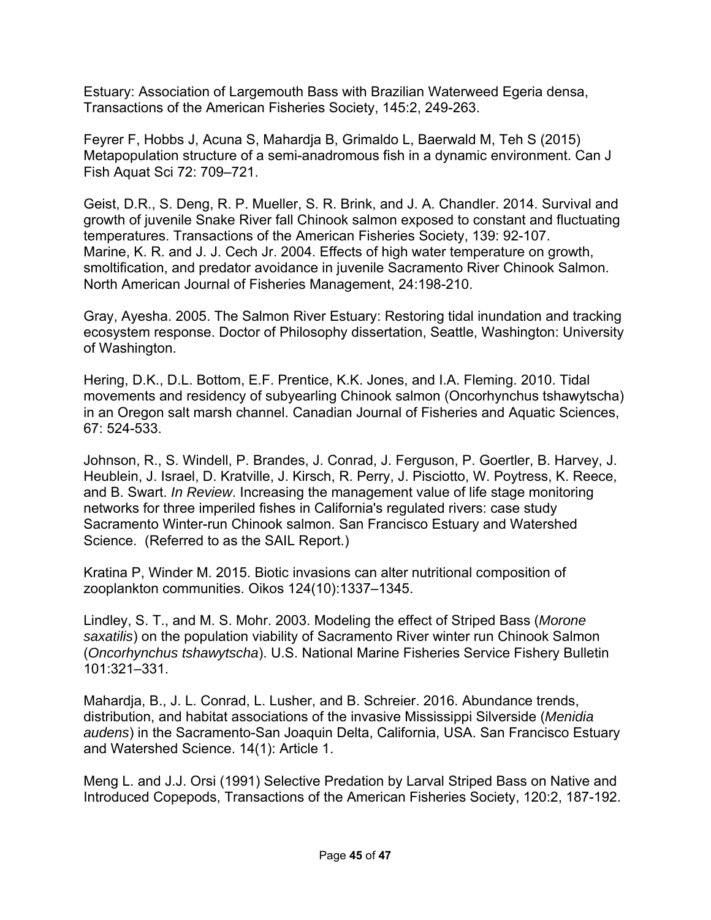Estuary: Association of Largemouth Bass with Brazilian Waterweed Egeria densa, Transactions of the American Fisheries Society, 145:2, 249-263.

Feyrer F, Hobbs J, Acuna S, Mahardja B, Grimaldo L, Baerwald M, Teh S (2015) Metapopulation structure of a semi-anadromous fish in a dynamic environment. Can J Fish Aquat Sci 72: 709–721.

Geist, D.R., S. Deng, R. P. Mueller, S. R. Brink, and J. A. Chandler. 2014. Survival and growth of juvenile Snake River fall Chinook salmon exposed to constant and fluctuating temperatures. Transactions of the American Fisheries Society, 139: 92-107. Marine, K. R. and J. J. Cech Jr. 2004. Effects of high water temperature on growth, smoltification, and predator avoidance in juvenile Sacramento River Chinook Salmon. North American Journal of Fisheries Management, 24:198-210.

Gray, Ayesha. 2005. The Salmon River Estuary: Restoring tidal inundation and tracking ecosystem response. Doctor of Philosophy dissertation, Seattle, Washington: University of Washington.

Hering, D.K., D.L. Bottom, E.F. Prentice, K.K. Jones, and I.A. Fleming. 2010. Tidal movements and residency of subyearling Chinook salmon (Oncorhynchus tshawytscha) in an Oregon salt marsh channel. Canadian Journal of Fisheries and Aquatic Sciences, 67: 524-533.

Johnson, R., S. Windell, P. Brandes, J. Conrad, J. Ferguson, P. Goertler, B. Harvey, J. Heublein, J. Israel, D. Kratville, J. Kirsch, R. Perry, J. Pisciotto, W. Poytress, K. Reece, and B. Swart. *In Review*. Increasing the management value of life stage monitoring networks for three imperiled fishes in California's regulated rivers: case study Sacramento Winter-run Chinook salmon. San Francisco Estuary and Watershed Science. (Referred to as the SAIL Report.)

Kratina P, Winder M. 2015. Biotic invasions can alter nutritional composition of zooplankton communities. Oikos 124(10):1337–1345.

Lindley, S. T., and M. S. Mohr. 2003. Modeling the effect of Striped Bass (*Morone saxatilis*) on the population viability of Sacramento River winter run Chinook Salmon (*Oncorhynchus tshawytscha*). U.S. National Marine Fisheries Service Fishery Bulletin 101:321–331.

Mahardja, B., J. L. Conrad, L. Lusher, and B. Schreier. 2016. Abundance trends, distribution, and habitat associations of the invasive Mississippi Silverside (*Menidia audens*) in the Sacramento-San Joaquin Delta, California, USA. San Francisco Estuary and Watershed Science. 14(1): Article 1.

Meng L. and J.J. Orsi (1991) Selective Predation by Larval Striped Bass on Native and Introduced Copepods, Transactions of the American Fisheries Society, 120:2, 187-192.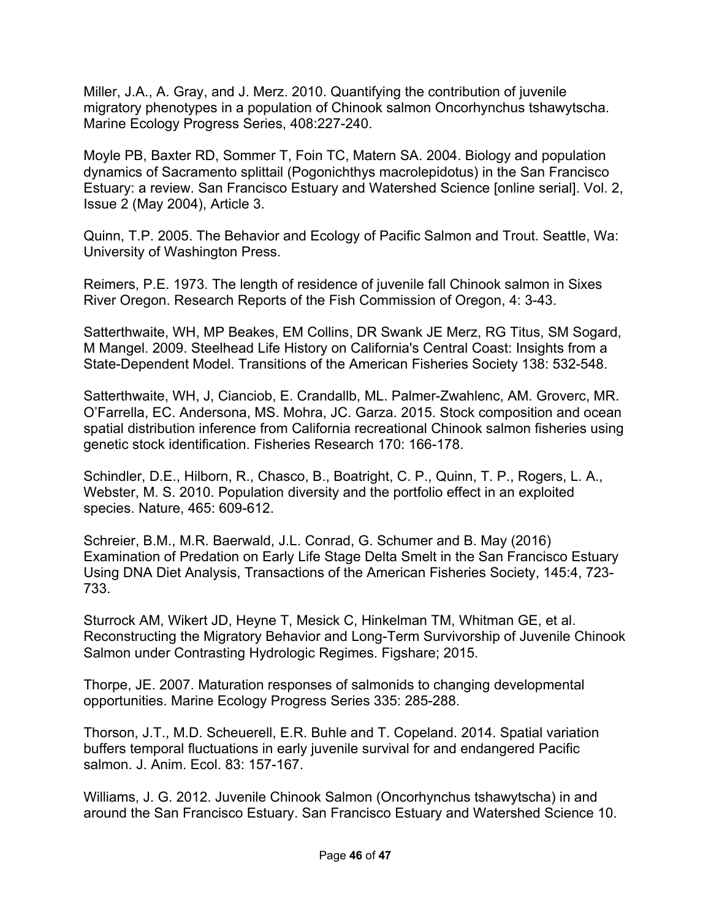Miller, J.A., A. Gray, and J. Merz. 2010. Quantifying the contribution of juvenile migratory phenotypes in a population of Chinook salmon Oncorhynchus tshawytscha. Marine Ecology Progress Series, 408:227-240.

Moyle PB, Baxter RD, Sommer T, Foin TC, Matern SA. 2004. Biology and population dynamics of Sacramento splittail (Pogonichthys macrolepidotus) in the San Francisco Estuary: a review. San Francisco Estuary and Watershed Science [online serial]. Vol. 2, Issue 2 (May 2004), Article 3.

Quinn, T.P. 2005. The Behavior and Ecology of Pacific Salmon and Trout. Seattle, Wa: University of Washington Press.

Reimers, P.E. 1973. The length of residence of juvenile fall Chinook salmon in Sixes River Oregon. Research Reports of the Fish Commission of Oregon, 4: 3-43.

Satterthwaite, WH, MP Beakes, EM Collins, DR Swank JE Merz, RG Titus, SM Sogard, M Mangel. 2009. Steelhead Life History on California's Central Coast: Insights from a State-Dependent Model. Transitions of the American Fisheries Society 138: 532-548.

Satterthwaite, WH, J, Cianciob, E. Crandallb, ML. Palmer-Zwahlenc, AM. Groverc, MR. O'Farrella, EC. Andersona, MS. Mohra, JC. Garza. 2015. Stock composition and ocean spatial distribution inference from California recreational Chinook salmon fisheries using genetic stock identification. Fisheries Research 170: 166-178.

Schindler, D.E., Hilborn, R., Chasco, B., Boatright, C. P., Quinn, T. P., Rogers, L. A., Webster, M. S. 2010. Population diversity and the portfolio effect in an exploited species. Nature, 465: 609-612.

Schreier, B.M., M.R. Baerwald, J.L. Conrad, G. Schumer and B. May (2016) Examination of Predation on Early Life Stage Delta Smelt in the San Francisco Estuary Using DNA Diet Analysis, Transactions of the American Fisheries Society, 145:4, 723- 733.

Sturrock AM, Wikert JD, Heyne T, Mesick C, Hinkelman TM, Whitman GE, et al. Reconstructing the Migratory Behavior and Long-Term Survivorship of Juvenile Chinook Salmon under Contrasting Hydrologic Regimes. Figshare; 2015.

Thorpe, JE. 2007. Maturation responses of salmonids to changing developmental opportunities. Marine Ecology Progress Series 335: 285-288.

Thorson, J.T., M.D. Scheuerell, E.R. Buhle and T. Copeland. 2014. Spatial variation buffers temporal fluctuations in early juvenile survival for and endangered Pacific salmon. J. Anim. Ecol. 83: 157-167.

Williams, J. G. 2012. Juvenile Chinook Salmon (Oncorhynchus tshawytscha) in and around the San Francisco Estuary. San Francisco Estuary and Watershed Science 10.